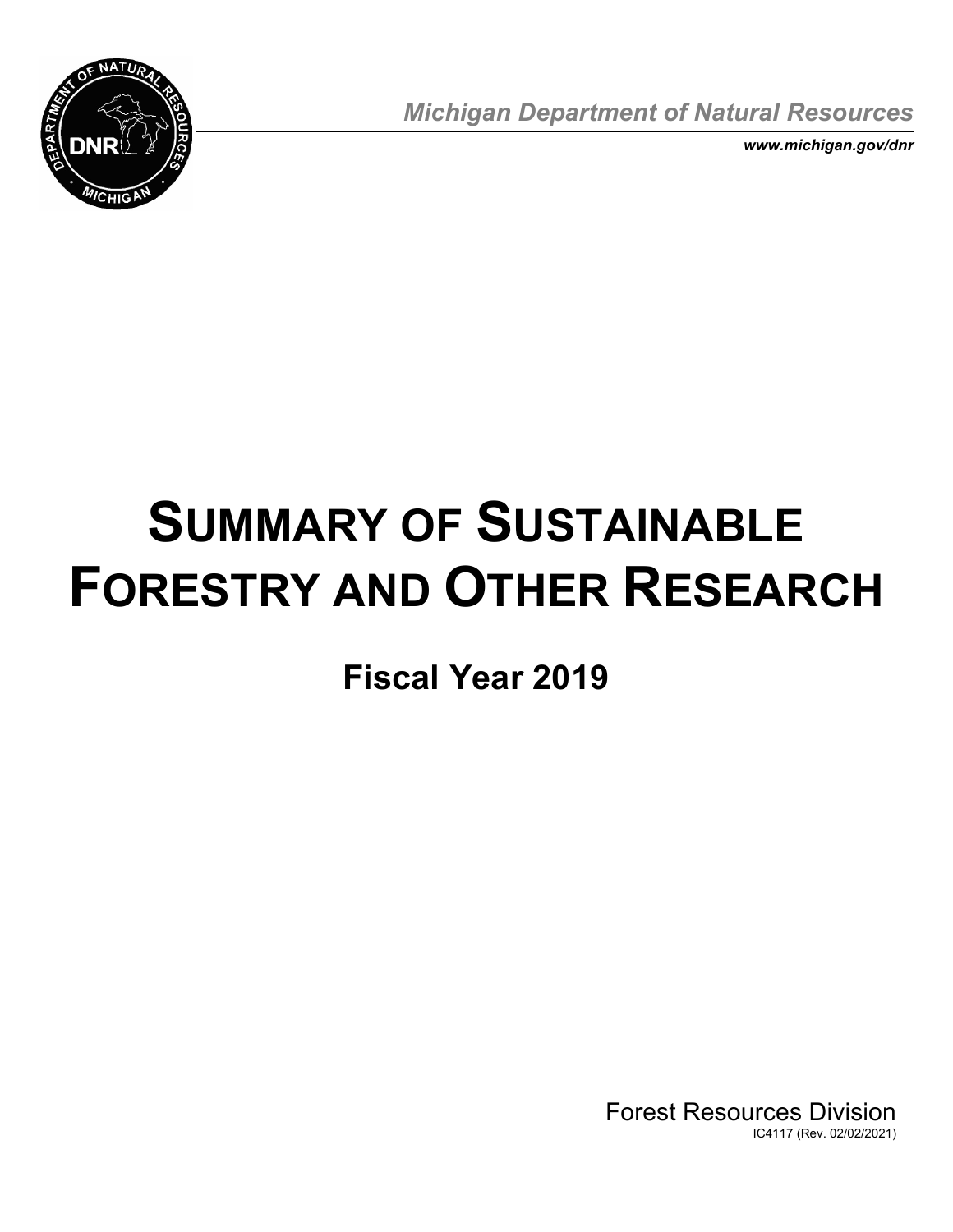

*Michigan Department of Natural Resources* 

*<www.michigan.gov/dnr>* 

# **SUMMARY OF SUSTAINABLE FORESTRY AND OTHER RESEARCH**

**Fiscal Year 2019** 

Forest Resources Division IC4117 (Rev. 02/02/2021)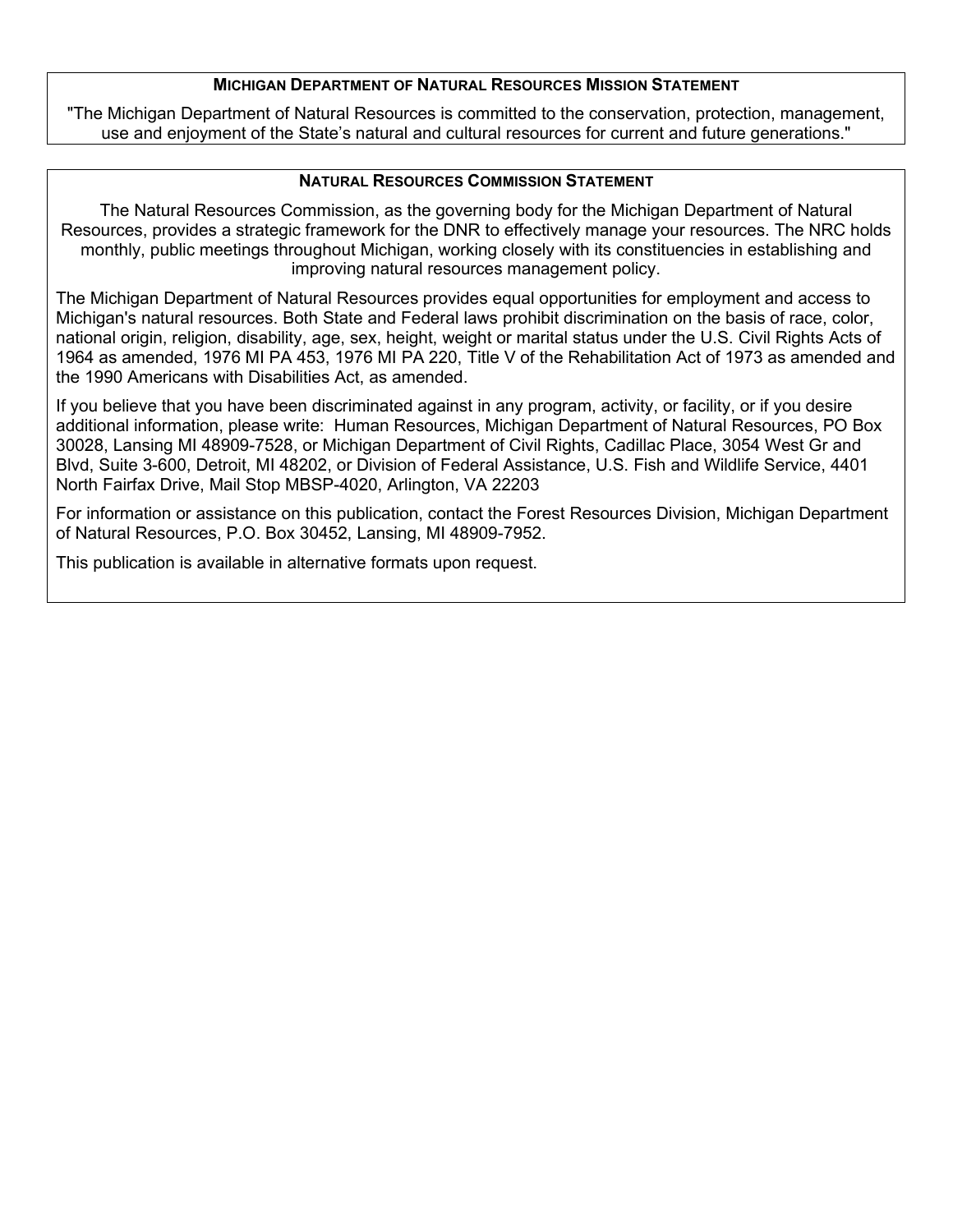## **MICHIGAN DEPARTMENT OF NATURAL RESOURCES MISSION STATEMENT**

 use and enjoyment of the State's natural and cultural resources for current and future generations." "The Michigan Department of Natural Resources is committed to the conservation, protection, management,

## **NATURAL RESOURCES COMMISSION STATEMENT**

 The Natural Resources Commission, as the governing body for the Michigan Department of Natural Resources, provides a strategic framework for the DNR to effectively manage your resources. The NRC holds monthly, public meetings throughout Michigan, working closely with its constituencies in establishing and improving natural resources management policy.

 The Michigan Department of Natural Resources provides equal opportunities for employment and access to Michigan's natural resources. Both State and Federal laws prohibit discrimination on the basis of race, color, national origin, religion, disability, age, sex, height, weight or marital status under the U.S. Civil Rights Acts of 1964 as amended, 1976 MI PA 453, 1976 MI PA 220, Title V of the Rehabilitation Act of 1973 as amended and the 1990 Americans with Disabilities Act, as amended.

 If you believe that you have been discriminated against in any program, activity, or facility, or if you desire 30028, Lansing MI 48909-7528, or Michigan Department of Civil Rights, Cadillac Place, 3054 West Gr and Blvd, Suite 3-600, Detroit, MI 48202, or Division of Federal Assistance, U.S. Fish and Wildlife Service, 4401 additional information, please write: Human Resources, Michigan Department of Natural Resources, PO Box North Fairfax Drive, Mail Stop MBSP-4020, Arlington, VA 22203

For information or assistance on this publication, contact the Forest Resources Division, Michigan Department of Natural Resources, P.O. Box 30452, Lansing, MI 48909-7952.

This publication is available in alternative formats upon request.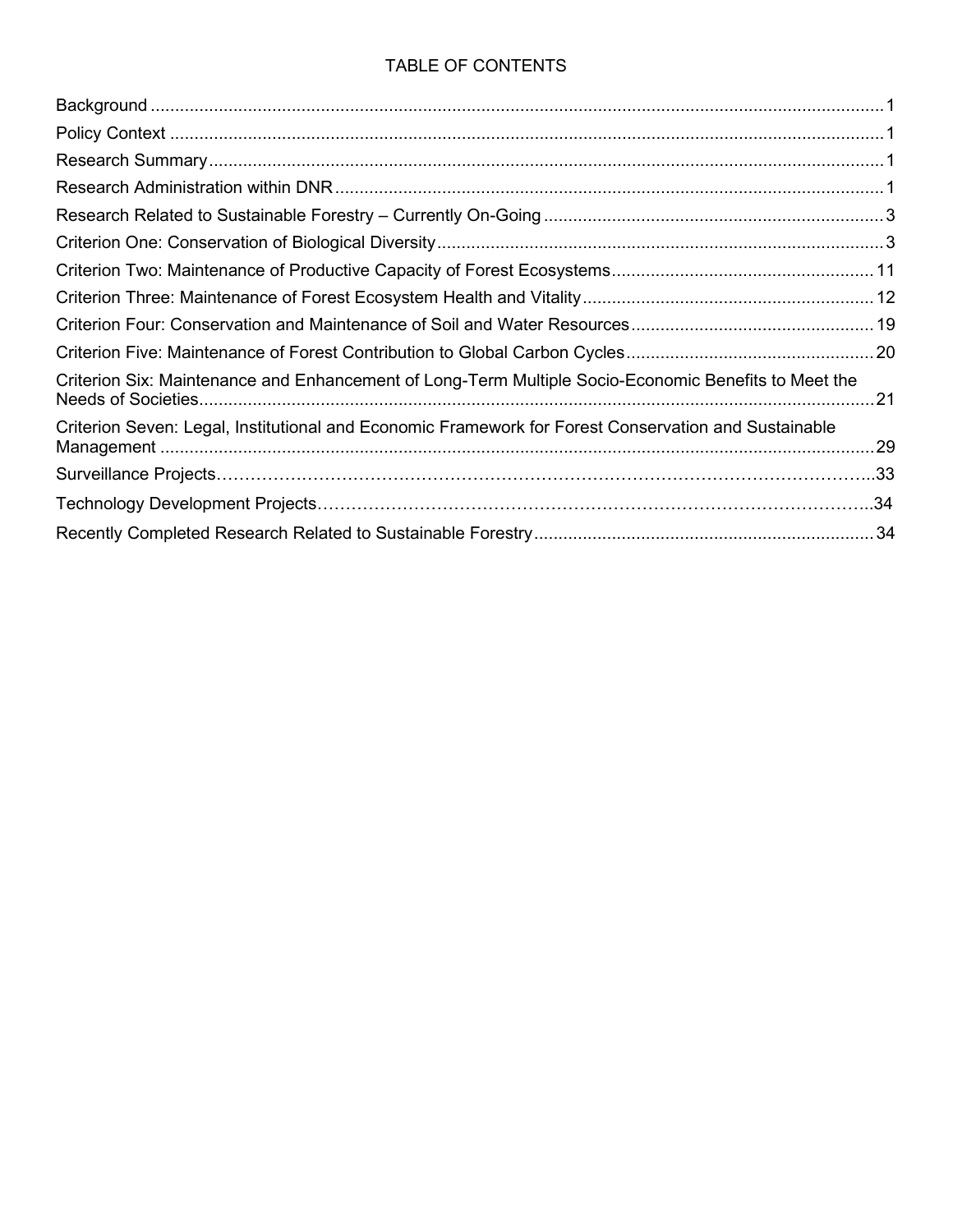## TABLE OF CONTENTS

| Criterion Six: Maintenance and Enhancement of Long-Term Multiple Socio-Economic Benefits to Meet the<br>.21 |  |
|-------------------------------------------------------------------------------------------------------------|--|
| Criterion Seven: Legal, Institutional and Economic Framework for Forest Conservation and Sustainable        |  |
|                                                                                                             |  |
|                                                                                                             |  |
|                                                                                                             |  |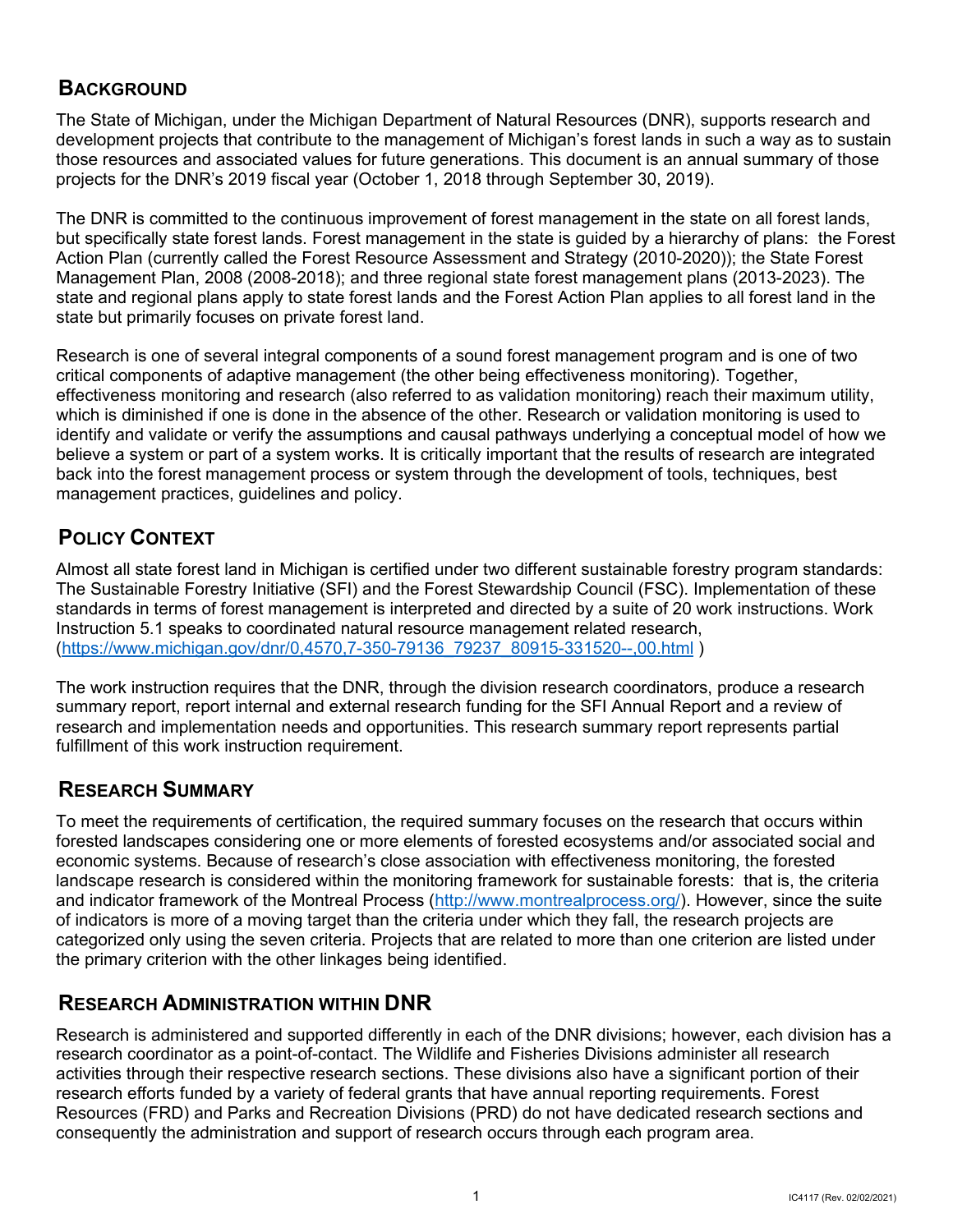# <span id="page-3-0"></span>**BACKGROUND**

 The State of Michigan, under the Michigan Department of Natural Resources (DNR), supports research and development projects that contribute to the management of Michigan's forest lands in such a way as to sustain those resources and associated values for future generations. This document is an annual summary of those projects for the DNR's 2019 fiscal year (October 1, 2018 through September 30, 2019).

 The DNR is committed to the continuous improvement of forest management in the state on all forest lands, Action Plan (currently called the Forest Resource Assessment and Strategy (2010-2020)); the State Forest Management Plan, 2008 (2008-2018); and three regional state forest management plans (2013-2023). The state and regional plans apply to state forest lands and the Forest Action Plan applies to all forest land in the but specifically state forest lands. Forest management in the state is guided by a hierarchy of plans: the Forest state but primarily focuses on private forest land.

 Research is one of several integral components of a sound forest management program and is one of two critical components of adaptive management (the other being effectiveness monitoring). Together, effectiveness monitoring and research (also referred to as validation monitoring) reach their maximum utility, which is diminished if one is done in the absence of the other. Research or validation monitoring is used to identify and validate or verify the assumptions and causal pathways underlying a conceptual model of how we believe a system or part of a system works. It is critically important that the results of research are integrated management practices, guidelines and policy. back into the forest management process or system through the development of tools, techniques, best

# <span id="page-3-1"></span>**POLICY CONTEXT**

 The Sustainable Forestry Initiative (SFI) and the Forest Stewardship Council (FSC). Implementation of these standards in terms of forest management is interpreted and directed by a suite of 20 work instructions. Work [\(https://www.michigan.gov/dnr/0,4570,7-350-79136\\_79237\\_80915-331520--,00.html](https://www.michigan.gov/dnr/0,4570,7-350-79136_79237_80915-331520--,00.html) ) Almost all state forest land in Michigan is certified under two different sustainable forestry program standards: Instruction 5.1 speaks to coordinated natural resource management related research,

 The work instruction requires that the DNR, through the division research coordinators, produce a research summary report, report internal and external research funding for the SFI Annual Report and a review of research and implementation needs and opportunities. This research summary report represents partial fulfillment of this work instruction requirement.

# <span id="page-3-2"></span>**RESEARCH SUMMARY**

 To meet the requirements of certification, the required summary focuses on the research that occurs within forested landscapes considering one or more elements of forested ecosystems and/or associated social and economic systems. Because of research's close association with effectiveness monitoring, the forested landscape research is considered within the monitoring framework for sustainable forests: that is, the criteria and indicator framework of the Montreal Process [\(](http://www.montrealprocess.org/)[http://www.montrealprocess.or](http://www.montrealprocess.org)[g/\)](http://www.montrealprocess.org/). However, since the suite of indicators is more of a moving target than the criteria under which they fall, the research projects are categorized only using the seven criteria. Projects that are related to more than one criterion are listed under the primary criterion with the other linkages being identified.

# <span id="page-3-3"></span>**RESEARCH ADMINISTRATION WITHIN DNR**

 Research is administered and supported differently in each of the DNR divisions; however, each division has a research coordinator as a point-of-contact. The Wildlife and Fisheries Divisions administer all research activities through their respective research sections. These divisions also have a significant portion of their Resources (FRD) and Parks and Recreation Divisions (PRD) do not have dedicated research sections and consequently the administration and support of research occurs through each program area. research efforts funded by a variety of federal grants that have annual reporting requirements. Forest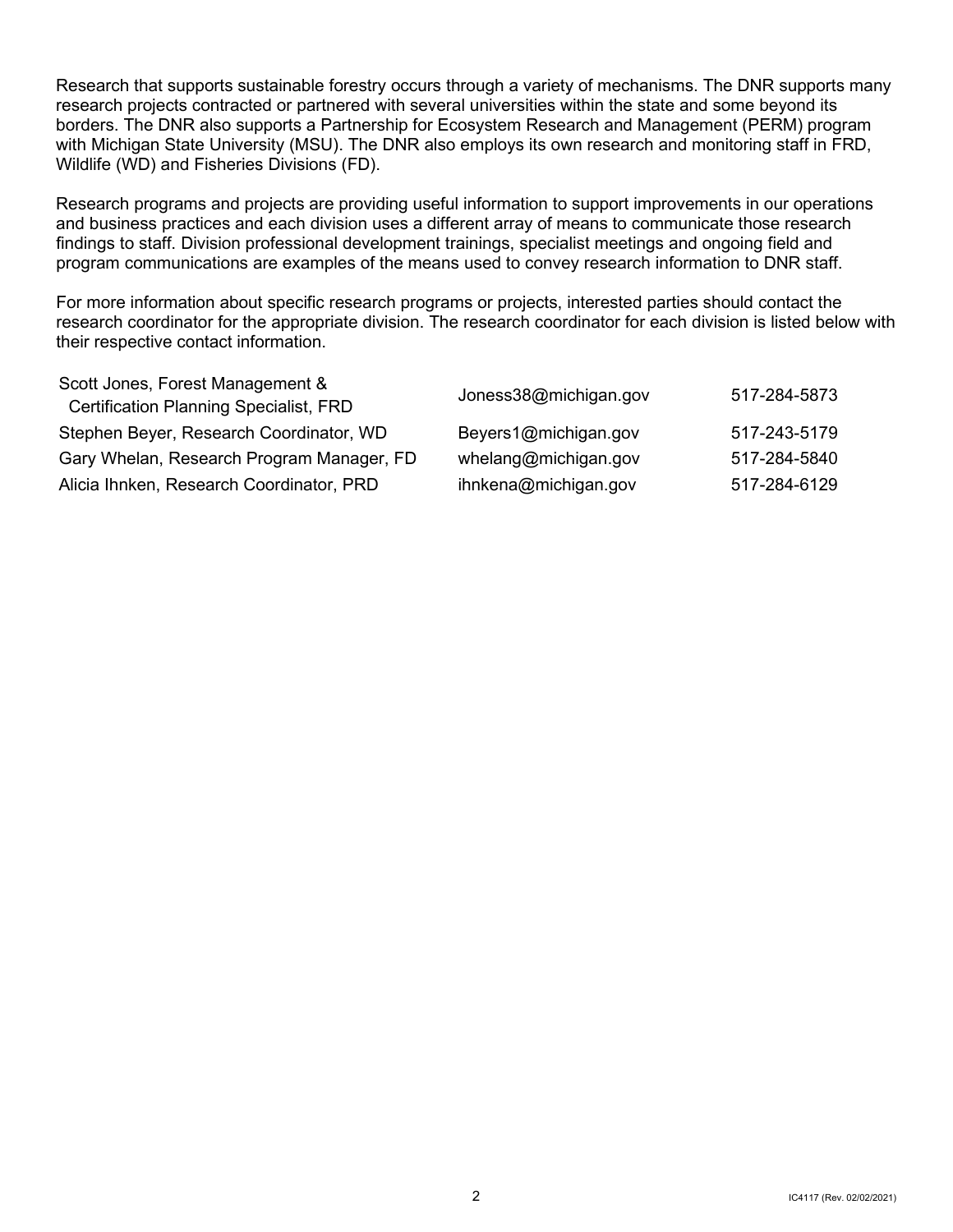Research that supports sustainable forestry occurs through a variety of mechanisms. The DNR supports many research projects contracted or partnered with several universities within the state and some beyond its borders. The DNR also supports a Partnership for Ecosystem Research and Management (PERM) program with Michigan State University (MSU). The DNR also employs its own research and monitoring staff in FRD, Wildlife (WD) and Fisheries Divisions (FD).

 Research programs and projects are providing useful information to support improvements in our operations and business practices and each division uses a different array of means to communicate those research findings to staff. Division professional development trainings, specialist meetings and ongoing field and program communications are examples of the means used to convey research information to DNR staff.

 research coordinator for the appropriate division. The research coordinator for each division is listed below with For more information about specific research programs or projects, interested parties should contact the their respective contact information.

<span id="page-4-0"></span>

| Scott Jones, Forest Management &<br><b>Certification Planning Specialist, FRD</b> | Joness38@michigan.gov | 517-284-5873 |
|-----------------------------------------------------------------------------------|-----------------------|--------------|
| Stephen Beyer, Research Coordinator, WD                                           | Beyers1@michigan.gov  | 517-243-5179 |
| Gary Whelan, Research Program Manager, FD                                         | whelang@michigan.gov  | 517-284-5840 |
| Alicia Ihnken, Research Coordinator, PRD                                          | ihnkena@michigan.gov  | 517-284-6129 |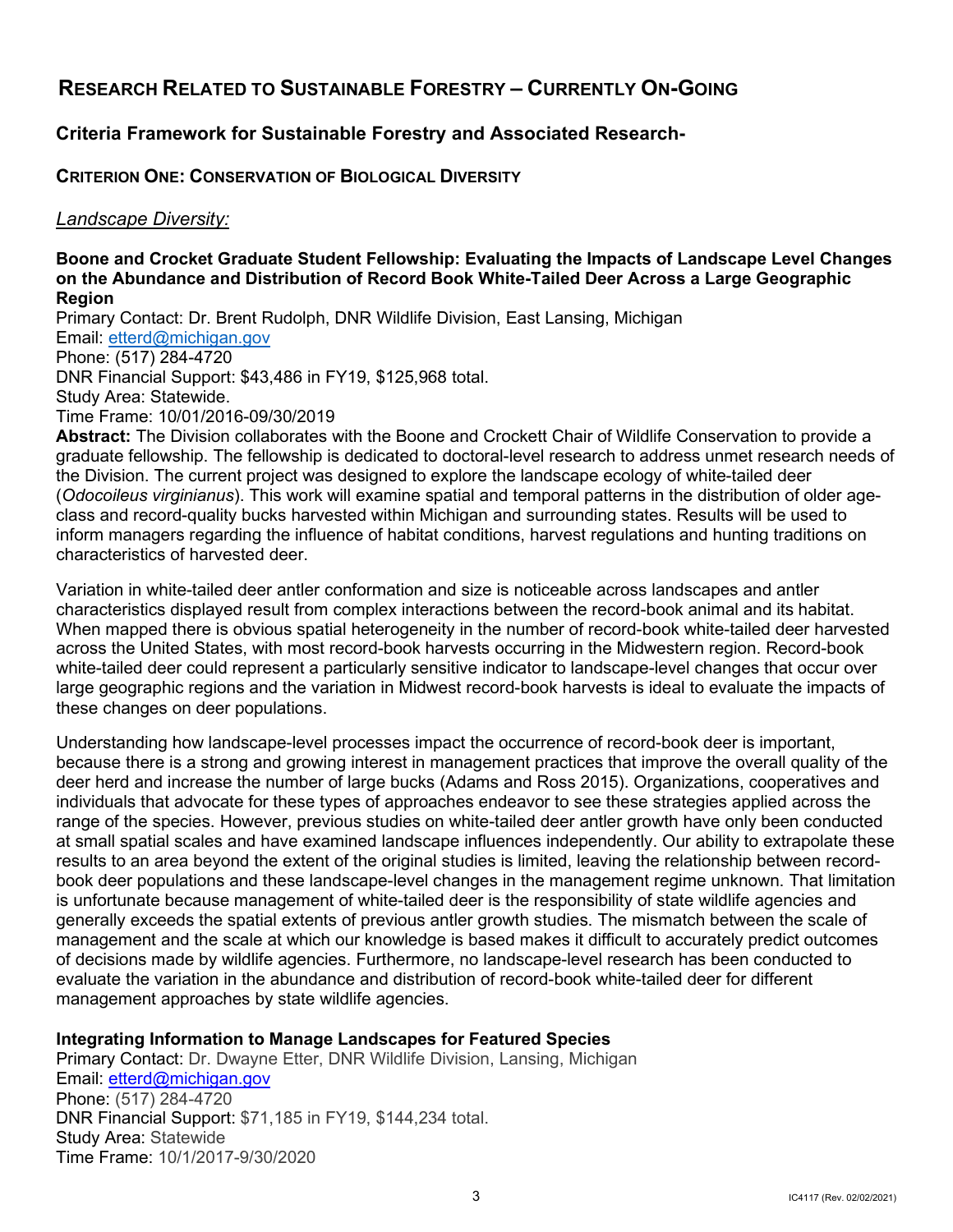# **RESEARCH RELATED TO SUSTAINABLE FORESTRY – CURRENTLY ON-GOING**

## **Criteria Framework for Sustainable Forestry and Associated Research-**

## <span id="page-5-0"></span>**CRITERION ONE: CONSERVATION OF BIOLOGICAL DIVERSITY**

## *Landscape Diversity:*

#### **Boone and Crocket Graduate Student Fellowship: Evaluating the Impacts of Landscape Level Changes on the Abundance and Distribution of Record Book White-Tailed Deer Across a Large Geographic Region**

 DNR Financial Support: \$43,486 in FY19, \$125,968 total. Primary Contact: Dr. Brent Rudolph, DNR Wildlife Division, East Lansing, Michigan Email: [etterd@michigan.gov](mailto:etterd@michigan.gov)  Phone: (517) 284-4720 Study Area: Statewide. Time Frame: 10/01/2016-09/30/2019

 **Abstract:** The Division collaborates with the Boone and Crockett Chair of Wildlife Conservation to provide a (*Odocoileus virginianus*). This work will examine spatial and temporal patterns in the distribution of older age- class and record-quality bucks harvested within Michigan and surrounding states. Results will be used to inform managers regarding the influence of habitat conditions, harvest regulations and hunting traditions on graduate fellowship. The fellowship is dedicated to doctoral-level research to address unmet research needs of the Division. The current project was designed to explore the landscape ecology of white-tailed deer characteristics of harvested deer.

 Variation in white-tailed deer antler conformation and size is noticeable across landscapes and antler characteristics displayed result from complex interactions between the record-book animal and its habitat. large geographic regions and the variation in Midwest record-book harvests is ideal to evaluate the impacts of When mapped there is obvious spatial heterogeneity in the number of record-book white-tailed deer harvested across the United States, with most record-book harvests occurring in the Midwestern region. Record-book white-tailed deer could represent a particularly sensitive indicator to landscape-level changes that occur over these changes on deer populations.

 because there is a strong and growing interest in management practices that improve the overall quality of the deer herd and increase the number of large bucks (Adams and Ross 2015). Organizations, cooperatives and at small spatial scales and have examined landscape influences independently. Our ability to extrapolate these book deer populations and these landscape-level changes in the management regime unknown. That limitation is unfortunate because management of white-tailed deer is the responsibility of state wildlife agencies and generally exceeds the spatial extents of previous antler growth studies. The mismatch between the scale of management and the scale at which our knowledge is based makes it difficult to accurately predict outcomes evaluate the variation in the abundance and distribution of record-book white-tailed deer for different Understanding how landscape-level processes impact the occurrence of record-book deer is important, individuals that advocate for these types of approaches endeavor to see these strategies applied across the range of the species. However, previous studies on white-tailed deer antler growth have only been conducted results to an area beyond the extent of the original studies is limited, leaving the relationship between recordof decisions made by wildlife agencies. Furthermore, no landscape-level research has been conducted to management approaches by state wildlife agencies.

## **Integrating Information to Manage Landscapes for Featured Species**

Primary Contact: Dr. Dwayne Etter, DNR Wildlife Division, Lansing, Michigan Email: [etterd@michigan.gov](mailto:etterd@michigan.gov)  Phone: (517) 284-4720 DNR Financial Support: \$71,185 in FY19, \$144,234 total. Study Area: Statewide Time Frame: 10/1/2017-9/30/2020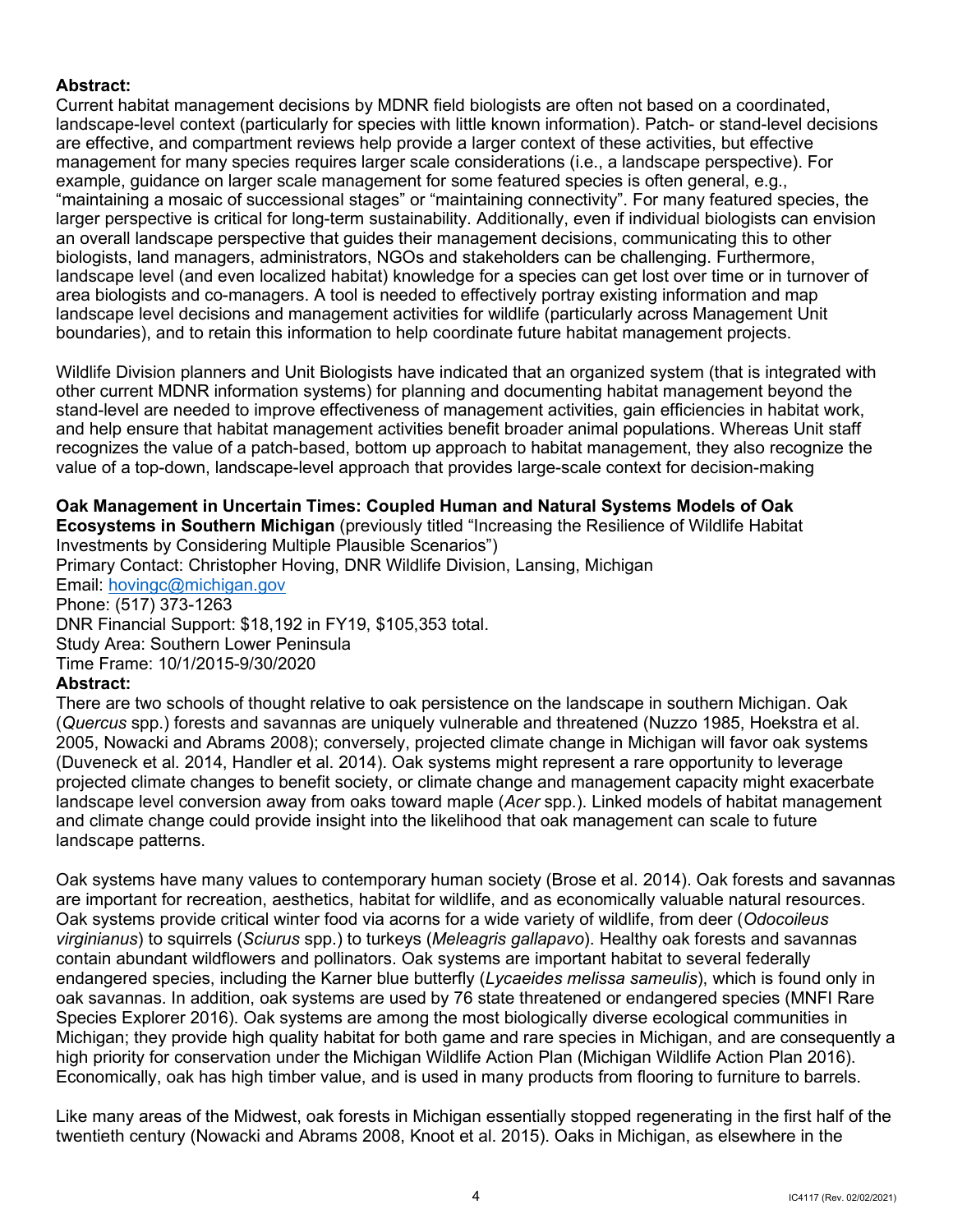## **Abstract:**

 are effective, and compartment reviews help provide a larger context of these activities, but effective management for many species requires larger scale considerations (i.e., a landscape perspective). For "maintaining a mosaic of successional stages" or "maintaining connectivity". For many featured species, the Current habitat management decisions by MDNR field biologists are often not based on a coordinated, landscape-level context (particularly for species with little known information). Patch- or stand-level decisions example, guidance on larger scale management for some featured species is often general, e.g., larger perspective is critical for long-term sustainability. Additionally, even if individual biologists can envision an overall landscape perspective that guides their management decisions, communicating this to other biologists, land managers, administrators, NGOs and stakeholders can be challenging. Furthermore, landscape level (and even localized habitat) knowledge for a species can get lost over time or in turnover of area biologists and co-managers. A tool is needed to effectively portray existing information and map landscape level decisions and management activities for wildlife (particularly across Management Unit boundaries), and to retain this information to help coordinate future habitat management projects.

 stand-level are needed to improve effectiveness of management activities, gain efficiencies in habitat work, and help ensure that habitat management activities benefit broader animal populations. Whereas Unit staff Wildlife Division planners and Unit Biologists have indicated that an organized system (that is integrated with other current MDNR information systems) for planning and documenting habitat management beyond the recognizes the value of a patch-based, bottom up approach to habitat management, they also recognize the value of a top-down, landscape-level approach that provides large-scale context for decision-making

 **Oak Management in Uncertain Times: Coupled Human and Natural Systems Models of Oak**  Email: <u>hovingc@michigan.gov</u><br>Phone: (517) 373-1263 **Ecosystems in Southern Michigan** (previously titled "Increasing the Resilience of Wildlife Habitat Investments by Considering Multiple Plausible Scenarios") Primary Contact: Christopher Hoving, DNR Wildlife Division, Lansing, Michigan DNR Financial Support: \$18,192 in FY19, \$105,353 total. Study Area: Southern Lower Peninsula Time Frame: 10/1/2015-9/30/2020

## **Abstract:**

 There are two schools of thought relative to oak persistence on the landscape in southern Michigan. Oak (Duveneck et al. 2014, Handler et al. 2014). Oak systems might represent a rare opportunity to leverage landscape level conversion away from oaks toward maple (*Acer* spp.). Linked models of habitat management (*Quercus* spp.) forests and savannas are uniquely vulnerable and threatened (Nuzzo 1985, Hoekstra et al. 2005, Nowacki and Abrams 2008); conversely, projected climate change in Michigan will favor oak systems projected climate changes to benefit society, or climate change and management capacity might exacerbate and climate change could provide insight into the likelihood that oak management can scale to future landscape patterns.

 Oak systems have many values to contemporary human society (Brose et al. 2014). Oak forests and savannas are important for recreation, aesthetics, habitat for wildlife, and as economically valuable natural resources. contain abundant wildflowers and pollinators. Oak systems are important habitat to several federally Species Explorer 2016). Oak systems are among the most biologically diverse ecological communities in Economically, oak has high timber value, and is used in many products from flooring to furniture to barrels. Oak systems provide critical winter food via acorns for a wide variety of wildlife, from deer (*Odocoileus virginianus*) to squirrels (*Sciurus* spp.) to turkeys (*Meleagris gallapavo*). Healthy oak forests and savannas endangered species, including the Karner blue butterfly (*Lycaeides melissa sameulis*), which is found only in oak savannas. In addition, oak systems are used by 76 state threatened or endangered species (MNFI Rare Michigan; they provide high quality habitat for both game and rare species in Michigan, and are consequently a high priority for conservation under the Michigan Wildlife Action Plan (Michigan Wildlife Action Plan 2016).

 Like many areas of the Midwest, oak forests in Michigan essentially stopped regenerating in the first half of the twentieth century (Nowacki and Abrams 2008, Knoot et al. 2015). Oaks in Michigan, as elsewhere in the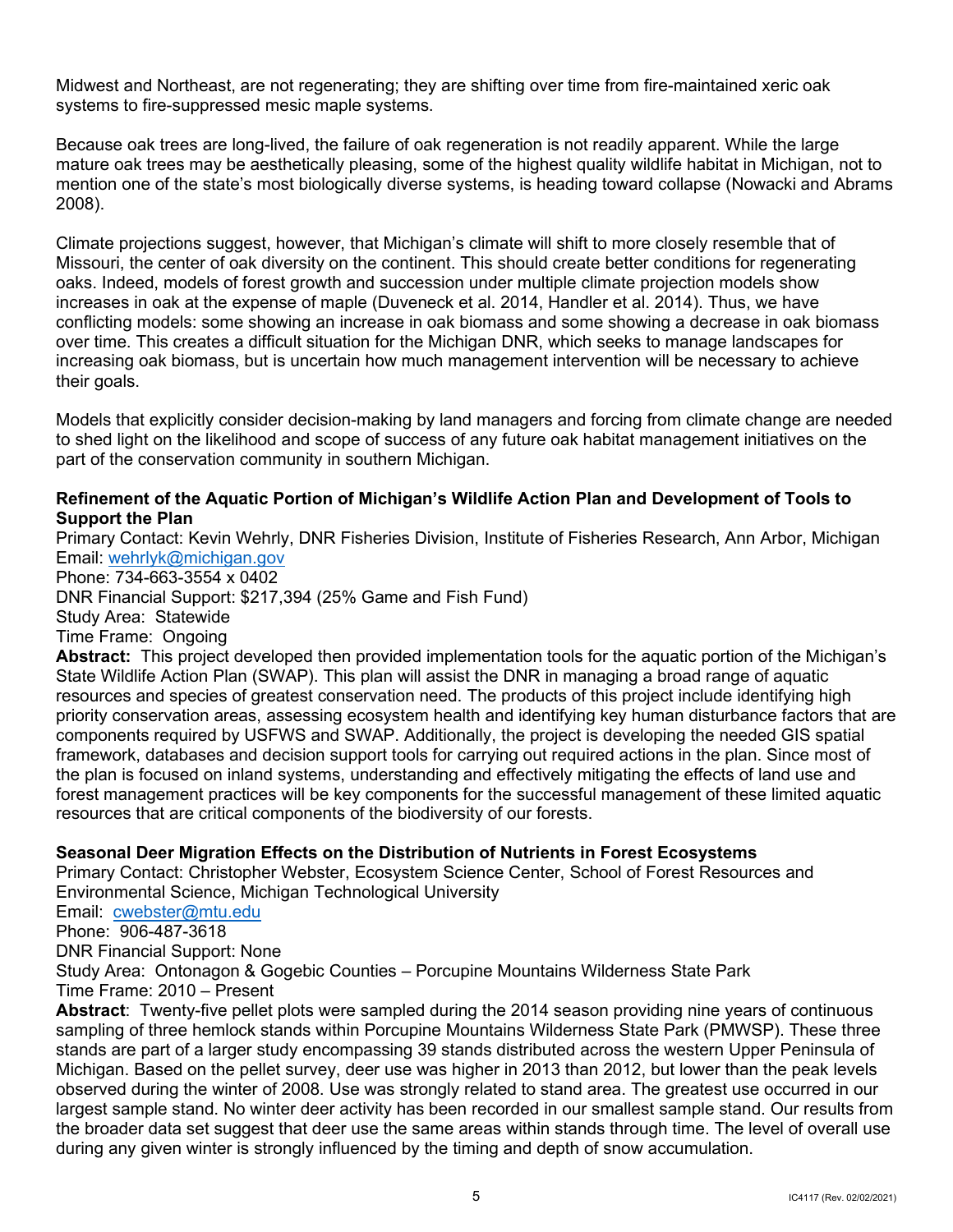Midwest and Northeast, are not regenerating; they are shifting over time from fire-maintained xeric oak systems to fire-suppressed mesic maple systems.

Because oak trees are long-lived, the failure of oak regeneration is not readily apparent. While the large mature oak trees may be aesthetically pleasing, some of the highest quality wildlife habitat in Michigan, not to mention one of the state's most biologically diverse systems, is heading toward collapse (Nowacki and Abrams 2008).

 oaks. Indeed, models of forest growth and succession under multiple climate projection models show over time. This creates a difficult situation for the Michigan DNR, which seeks to manage landscapes for Climate projections suggest, however, that Michigan's climate will shift to more closely resemble that of Missouri, the center of oak diversity on the continent. This should create better conditions for regenerating increases in oak at the expense of maple (Duveneck et al. 2014, Handler et al. 2014). Thus, we have conflicting models: some showing an increase in oak biomass and some showing a decrease in oak biomass increasing oak biomass, but is uncertain how much management intervention will be necessary to achieve their goals.

Models that explicitly consider decision-making by land managers and forcing from climate change are needed to shed light on the likelihood and scope of success of any future oak habitat management initiatives on the part of the conservation community in southern Michigan.

## **Refinement of the Aquatic Portion of Michigan's Wildlife Action Plan and Development of Tools to Support the Plan**

 Email: [wehrlyk@michigan.gov](mailto:wehrlyk@michigan.gov)  Primary Contact: Kevin Wehrly, DNR Fisheries Division, Institute of Fisheries Research, Ann Arbor, Michigan

Phone: 734-663-3554 x 0402

DNR Financial Support: \$217,394 (25% Game and Fish Fund)

Study Area: Statewide

Time Frame: Ongoing

 **Abstract:** This project developed then provided implementation tools for the aquatic portion of the Michigan's components required by USFWS and SWAP. Additionally, the project is developing the needed GIS spatial the plan is focused on inland systems, understanding and effectively mitigating the effects of land use and State Wildlife Action Plan (SWAP). This plan will assist the DNR in managing a broad range of aquatic resources and species of greatest conservation need. The products of this project include identifying high priority conservation areas, assessing ecosystem health and identifying key human disturbance factors that are framework, databases and decision support tools for carrying out required actions in the plan. Since most of forest management practices will be key components for the successful management of these limited aquatic resources that are critical components of the biodiversity of our forests.

## **Seasonal Deer Migration Effects on the Distribution of Nutrients in Forest Ecosystems**

Primary Contact: Christopher Webster, Ecosystem Science Center, School of Forest Resources and Environmental Science, Michigan Technological University

Email: **cwebster@mtu.edu** 

Phone: 906-487-3618

DNR Financial Support: None

 Study Area: Ontonagon & Gogebic Counties – Porcupine Mountains Wilderness State Park Time Frame: 2010 – Present

 **Abstract**: Twenty-five pellet plots were sampled during the 2014 season providing nine years of continuous sampling of three hemlock stands within Porcupine Mountains Wilderness State Park (PMWSP). These three largest sample stand. No winter deer activity has been recorded in our smallest sample stand. Our results from stands are part of a larger study encompassing 39 stands distributed across the western Upper Peninsula of Michigan. Based on the pellet survey, deer use was higher in 2013 than 2012, but lower than the peak levels observed during the winter of 2008. Use was strongly related to stand area. The greatest use occurred in our the broader data set suggest that deer use the same areas within stands through time. The level of overall use during any given winter is strongly influenced by the timing and depth of snow accumulation.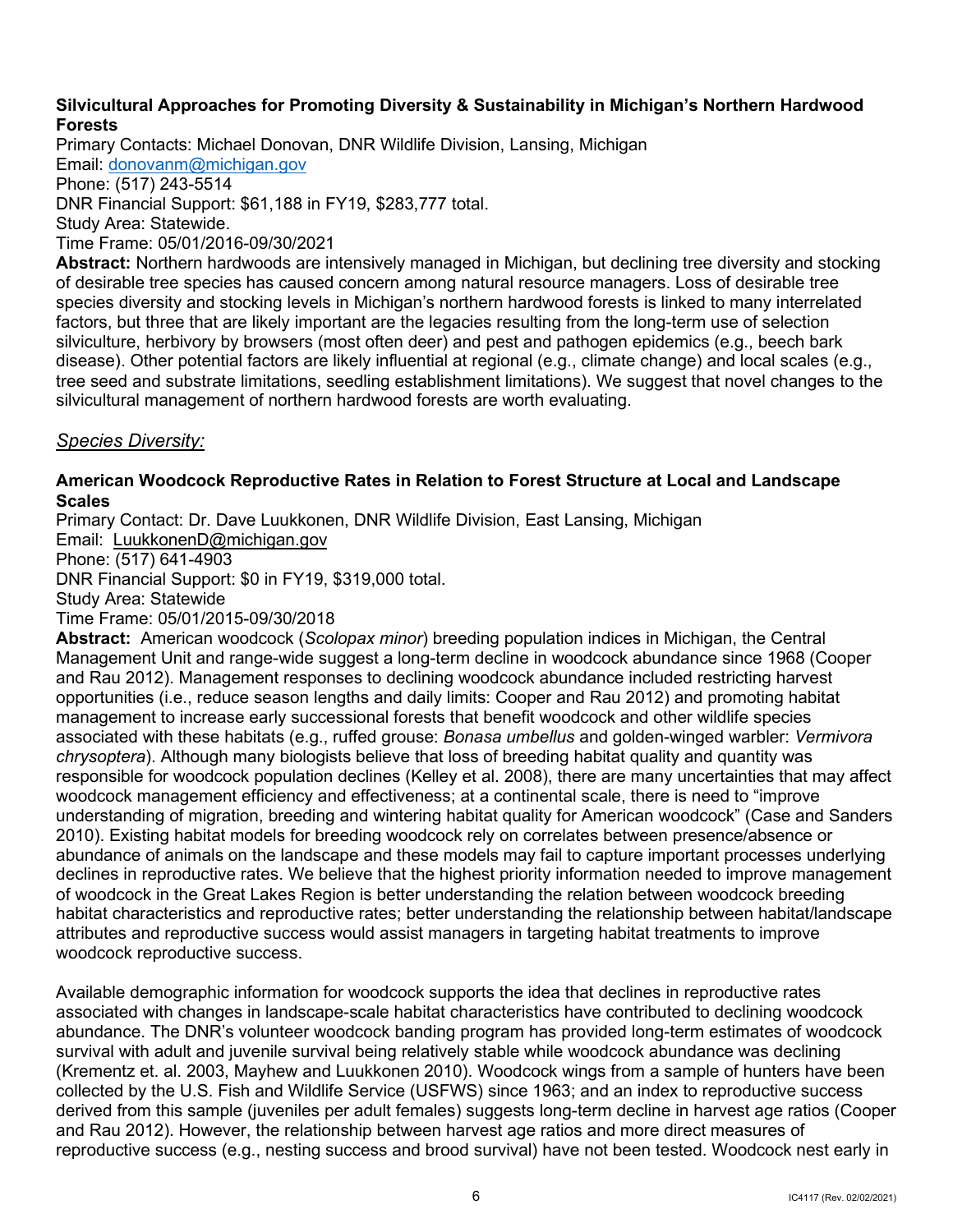## **Silvicultural Approaches for Promoting Diversity & Sustainability in Michigan's Northern Hardwood Forests**

Email: <u>donovanm@michigan.gov</u><br>Phone: (517) 243-5514 Primary Contacts: Michael Donovan, DNR Wildlife Division, Lansing, Michigan DNR Financial Support: \$61,188 in FY19, \$283,777 total. Study Area: Statewide. Time Frame: 05/01/2016-09/30/2021

**Abstract:** Northern hardwoods are intensively managed in Michigan, but declining tree diversity and stocking of desirable tree species has caused concern among natural resource managers. Loss of desirable tree species diversity and stocking levels in Michigan's northern hardwood forests is linked to many interrelated factors, but three that are likely important are the legacies resulting from the long-term use of selection silviculture, herbivory by browsers (most often deer) and pest and pathogen epidemics (e.g., beech bark disease). Other potential factors are likely influential at regional (e.g., climate change) and local scales (e.g., tree seed and substrate limitations, seedling establishment limitations). We suggest that novel changes to the silvicultural management of northern hardwood forests are worth evaluating.

## *Species Diversity:*

## **American Woodcock Reproductive Rates in Relation to Forest Structure at Local and Landscape Scales**

Primary Contact: Dr. Dave Luukkonen, DNR Wildlife Division, East Lansing, Michigan

Email: [LuukkonenD@michigan.gov](mailto:LuukkonenD@michigan.gov) 

Phone: (517) 641-4903

DNR Financial Support: \$0 in FY19, \$319,000 total.<br>Study Area: Statewide

Time Frame: 05/01/2015-09/30/2018

 **Abstract:** American woodcock (*Scolopax minor*) breeding population indices in Michigan, the Central Management Unit and range-wide suggest a long-term decline in woodcock abundance since 1968 (Cooper management to increase early successional forests that benefit woodcock and other wildlife species associated with these habitats (e.g., ruffed grouse: *Bonasa umbellus* and golden-winged warbler: *Vermivora*  responsible for woodcock population declines (Kelley et al. 2008), there are many uncertainties that may affect woodcock management efficiency and effectiveness; at a continental scale, there is need to "improve and Rau 2012). Management responses to declining woodcock abundance included restricting harvest opportunities (i.e., reduce season lengths and daily limits: Cooper and Rau 2012) and promoting habitat *chrysoptera*). Although many biologists believe that loss of breeding habitat quality and quantity was understanding of migration, breeding and wintering habitat quality for American woodcock" (Case and Sanders 2010). Existing habitat models for breeding woodcock rely on correlates between presence/absence or abundance of animals on the landscape and these models may fail to capture important processes underlying declines in reproductive rates. We believe that the highest priority information needed to improve management of woodcock in the Great Lakes Region is better understanding the relation between woodcock breeding habitat characteristics and reproductive rates; better understanding the relationship between habitat/landscape attributes and reproductive success would assist managers in targeting habitat treatments to improve woodcock reproductive success.

 and Rau 2012). However, the relationship between harvest age ratios and more direct measures of Available demographic information for woodcock supports the idea that declines in reproductive rates associated with changes in landscape-scale habitat characteristics have contributed to declining woodcock abundance. The DNR's volunteer woodcock banding program has provided long-term estimates of woodcock survival with adult and juvenile survival being relatively stable while woodcock abundance was declining (Krementz et. al. 2003, Mayhew and Luukkonen 2010). Woodcock wings from a sample of hunters have been collected by the U.S. Fish and Wildlife Service (USFWS) since 1963; and an index to reproductive success derived from this sample (juveniles per adult females) suggests long-term decline in harvest age ratios (Cooper reproductive success (e.g., nesting success and brood survival) have not been tested. Woodcock nest early in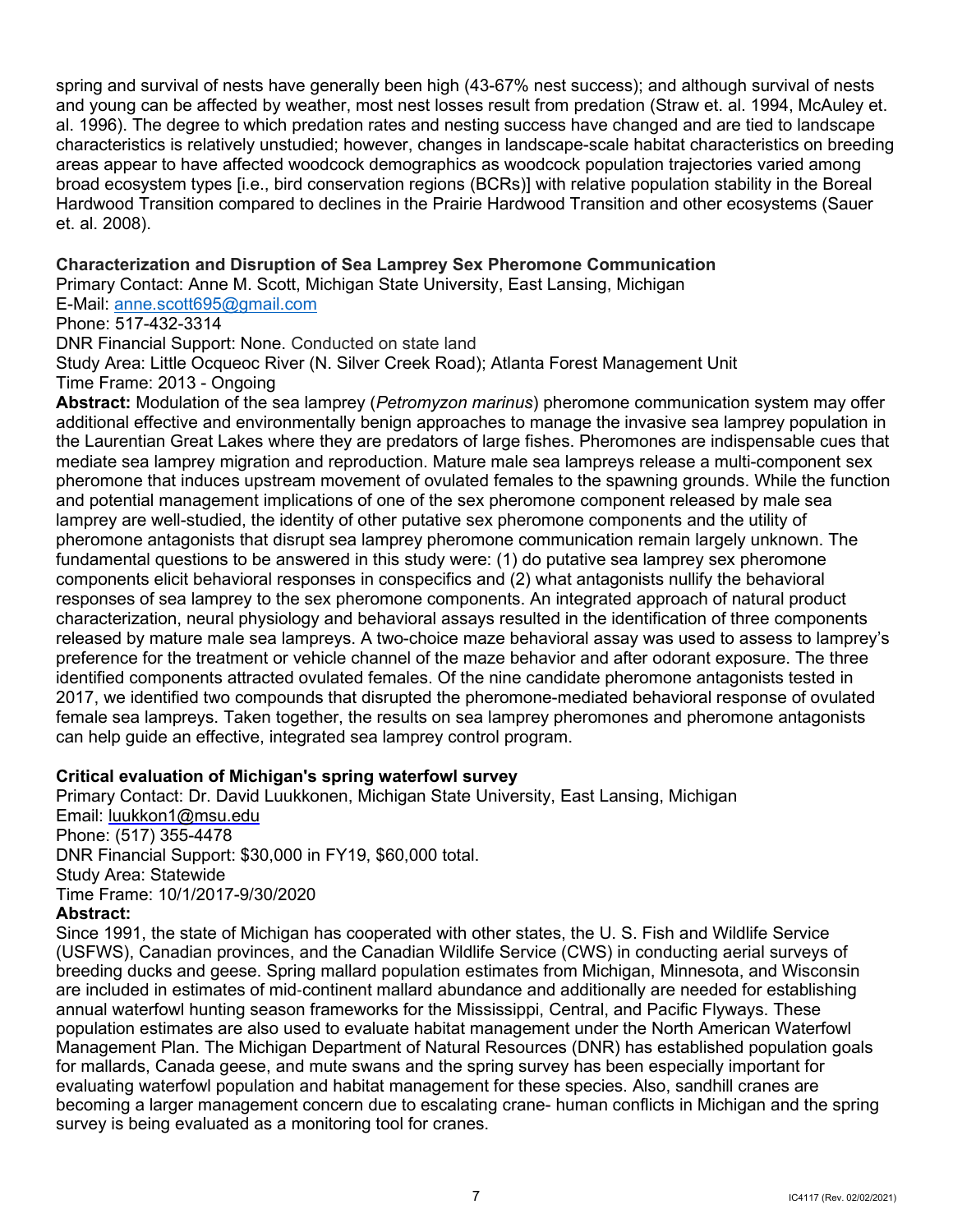and young can be affected by weather, most nest losses result from predation (Straw et. al. 1994, McAuley et. al. 1996). The degree to which predation rates and nesting success have changed and are tied to landscape Hardwood Transition compared to declines in the Prairie Hardwood Transition and other ecosystems (Sauer spring and survival of nests have generally been high (43-67% nest success); and although survival of nests characteristics is relatively unstudied; however, changes in landscape-scale habitat characteristics on breeding areas appear to have affected woodcock demographics as woodcock population trajectories varied among broad ecosystem types [i.e., bird conservation regions (BCRs)] with relative population stability in the Boreal et. al. 2008).

## **Characterization and Disruption of Sea Lamprey Sex Pheromone Communication**

Primary Contact: Anne M. Scott, Michigan State University, East Lansing, Michigan

E-Mail: [anne.scott695@gmail.com](mailto:anne.scott695@gmail.com) 

Phone: 517-432-3314

DNR Financial Support: None. Conducted on state land

 Time Frame: 2013 - Ongoing Study Area: Little Ocqueoc River (N. Silver Creek Road); Atlanta Forest Management Unit

 the Laurentian Great Lakes where they are predators of large fishes. Pheromones are indispensable cues that pheromone that induces upstream movement of ovulated females to the spawning grounds. While the function and potential management implications of one of the sex pheromone component released by male sea pheromone antagonists that disrupt sea lamprey pheromone communication remain largely unknown. The female sea lampreys. Taken together, the results on sea lamprey pheromones and pheromone antagonists **Abstract:** Modulation of the sea lamprey (*Petromyzon marinus*) pheromone communication system may offer additional effective and environmentally benign approaches to manage the invasive sea lamprey population in mediate sea lamprey migration and reproduction. Mature male sea lampreys release a multi-component sex lamprey are well-studied, the identity of other putative sex pheromone components and the utility of fundamental questions to be answered in this study were: (1) do putative sea lamprey sex pheromone components elicit behavioral responses in conspecifics and (2) what antagonists nullify the behavioral responses of sea lamprey to the sex pheromone components. An integrated approach of natural product characterization, neural physiology and behavioral assays resulted in the identification of three components released by mature male sea lampreys. A two-choice maze behavioral assay was used to assess to lamprey's preference for the treatment or vehicle channel of the maze behavior and after odorant exposure. The three identified components attracted ovulated females. Of the nine candidate pheromone antagonists tested in 2017, we identified two compounds that disrupted the pheromone-mediated behavioral response of ovulated can help guide an effective, integrated sea lamprey control program.

## **Critical evaluation of Michigan's spring waterfowl survey**

Primary Contact: Dr. David Luukkonen, Michigan State University, East Lansing, Michigan Email: [luukkon1@msu.edu](mailto:luukkon1@msu.edu)  Phone: (517) 355-4478 DNR Financial Support: \$30,000 in FY19, \$60,000 total. Study Area: Statewide Time Frame: 10/1/2017-9/30/2020 **Abstract:** 

 Since 1991, the state of Michigan has cooperated with other states, the U. S. Fish and Wildlife Service for mallards, Canada geese, and mute swans and the spring survey has been especially important for (USFWS), Canadian provinces, and the Canadian Wildlife Service (CWS) in conducting aerial surveys of breeding ducks and geese. Spring mallard population estimates from Michigan, Minnesota, and Wisconsin are included in estimates of mid-continent mallard abundance and additionally are needed for establishing annual waterfowl hunting season frameworks for the Mississippi, Central, and Pacific Flyways. These population estimates are also used to evaluate habitat management under the North American Waterfowl Management Plan. The Michigan Department of Natural Resources (DNR) has established population goals evaluating waterfowl population and habitat management for these species. Also, sandhill cranes are becoming a larger management concern due to escalating crane- human conflicts in Michigan and the spring survey is being evaluated as a monitoring tool for cranes.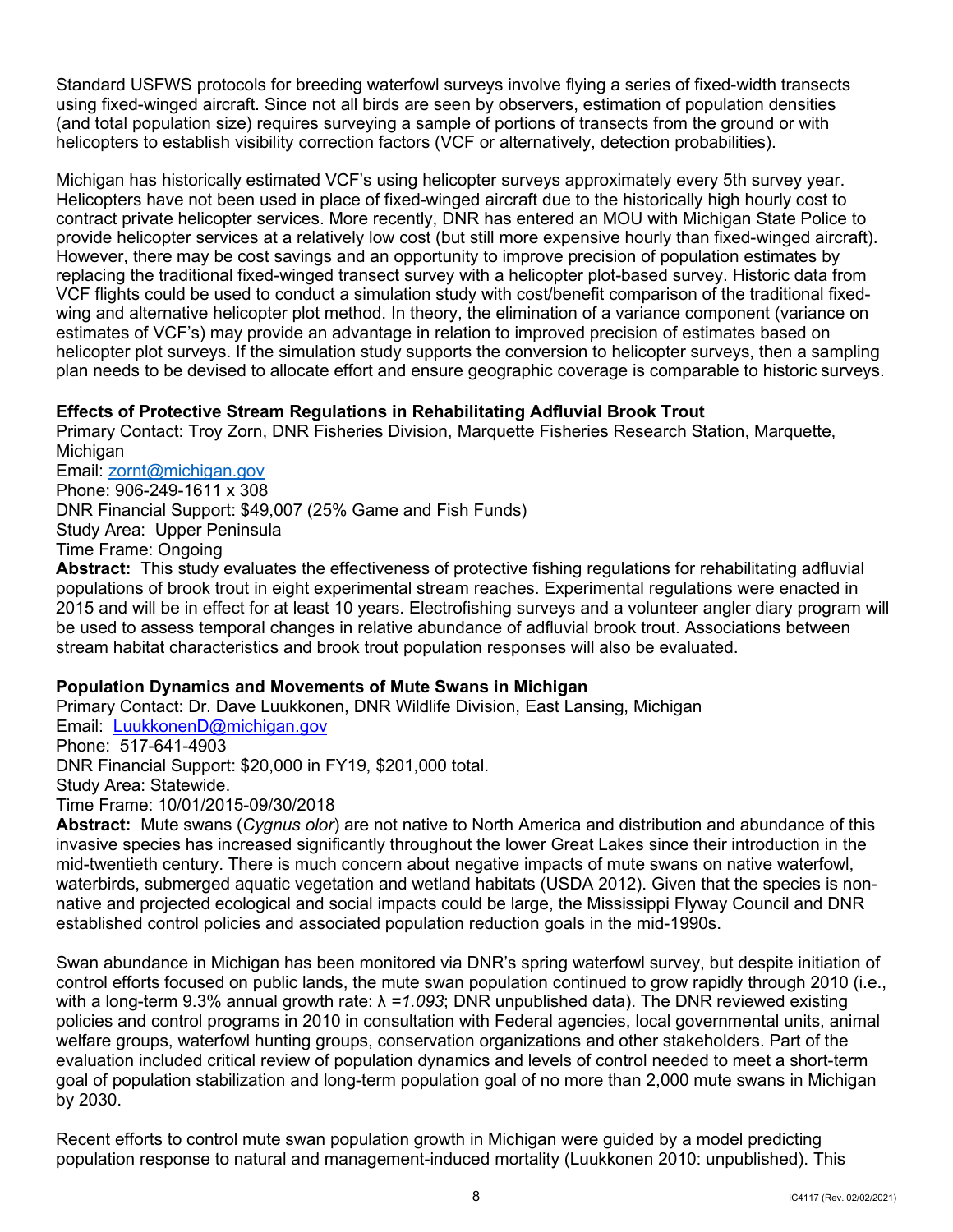(and total population size) requires surveying a sample of portions of transects from the ground or with Standard USFWS protocols for breeding waterfowl surveys involve flying a series of fixed-width transects using fixed-winged aircraft. Since not all birds are seen by observers, estimation of population densities helicopters to establish visibility correction factors (VCF or alternatively, detection probabilities).

 Michigan has historically estimated VCF's using helicopter surveys approximately every 5th survey year. However, there may be cost savings and an opportunity to improve precision of population estimates by replacing the traditional fixed-winged transect survey with a helicopter plot-based survey. Historic data from helicopter plot surveys. If the simulation study supports the conversion to helicopter surveys, then a sampling plan needs to be devised to allocate effort and ensure geographic coverage is comparable to historic surveys. Helicopters have not been used in place of fixed-winged aircraft due to the historically high hourly cost to contract private helicopter services. More recently, DNR has entered an MOU with Michigan State Police to provide helicopter services at a relatively low cost (but still more expensive hourly than fixed-winged aircraft). VCF flights could be used to conduct a simulation study with cost/benefit comparison of the traditional fixedwing and alternative helicopter plot method. In theory, the elimination of a variance component (variance on estimates of VCF's) may provide an advantage in relation to improved precision of estimates based on

## **Effects of Protective Stream Regulations in Rehabilitating Adfluvial Brook Trout**

Primary Contact: Troy Zorn, DNR Fisheries Division, Marquette Fisheries Research Station, Marquette, Michigan

Email: zornt@michigan.gov DNR Financial Support: \$49,007 (25% Game and Fish Funds) Phone: 906-249-1611 x 308 Study Area: Upper Peninsula Time Frame: Ongoing

 **Abstract:** This study evaluates the effectiveness of protective fishing regulations for rehabilitating adfluvial 2015 and will be in effect for at least 10 years. Electrofishing surveys and a volunteer angler diary program will stream habitat characteristics and brook trout population responses will also be evaluated. populations of brook trout in eight experimental stream reaches. Experimental regulations were enacted in be used to assess temporal changes in relative abundance of adfluvial brook trout. Associations between

## **Population Dynamics and Movements of Mute Swans in Michigan**

Email: <u>LuukkonenD@michigan.gov</u> Phone: 517-641-4903 Study Area: Statewide. Primary Contact: Dr. Dave Luukkonen, DNR Wildlife Division, East Lansing, Michigan DNR Financial Support: \$20,000 in FY19, \$201,000 total. Time Frame: 10/01/2015-09/30/2018

 **Abstract:** Mute swans (*Cygnus olor*) are not native to North America and distribution and abundance of this invasive species has increased significantly throughout the lower Great Lakes since their introduction in the mid-twentieth century. There is much concern about negative impacts of mute swans on native waterfowl, waterbirds, submerged aquatic vegetation and wetland habitats (USDA 2012). Given that the species is nonnative and projected ecological and social impacts could be large, the Mississippi Flyway Council and DNR established control policies and associated population reduction goals in the mid-1990s.

 with a long-term 9.3% annual growth rate: λ *=1.093*; DNR unpublished data). The DNR reviewed existing welfare groups, waterfowl hunting groups, conservation organizations and other stakeholders. Part of the evaluation included critical review of population dynamics and levels of control needed to meet a short-term Swan abundance in Michigan has been monitored via DNR's spring waterfowl survey, but despite initiation of control efforts focused on public lands, the mute swan population continued to grow rapidly through 2010 (i.e., policies and control programs in 2010 in consultation with Federal agencies, local governmental units, animal goal of population stabilization and long-term population goal of no more than 2,000 mute swans in Michigan by 2030.

Recent efforts to control mute swan population growth in Michigan were guided by a model predicting population response to natural and management-induced mortality (Luukkonen 2010: unpublished). This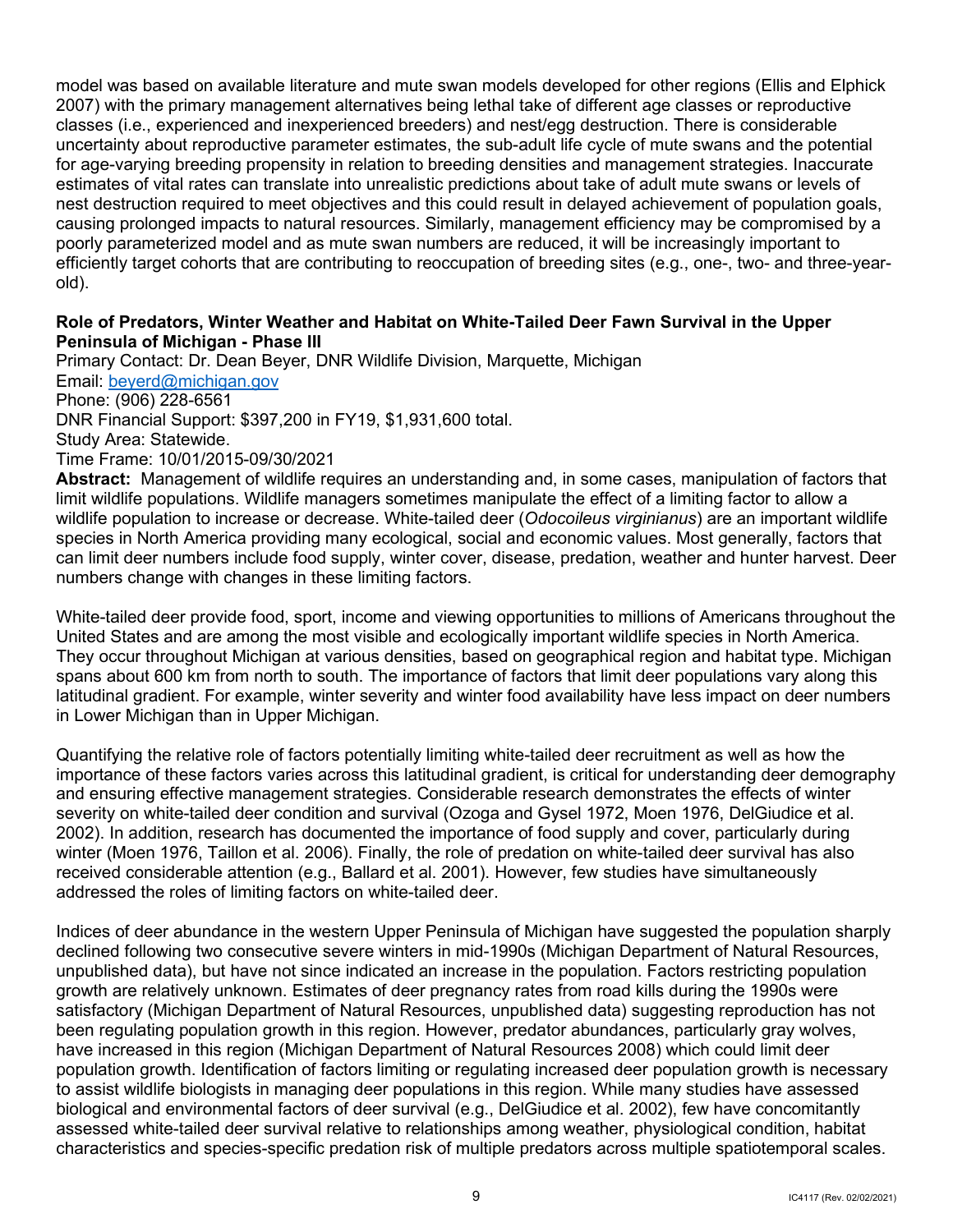model was based on available literature and mute swan models developed for other regions (Ellis and Elphick 2007) with the primary management alternatives being lethal take of different age classes or reproductive classes (i.e., experienced and inexperienced breeders) and nest/egg destruction. There is considerable uncertainty about reproductive parameter estimates, the sub-adult life cycle of mute swans and the potential for age-varying breeding propensity in relation to breeding densities and management strategies. Inaccurate estimates of vital rates can translate into unrealistic predictions about take of adult mute swans or levels of nest destruction required to meet objectives and this could result in delayed achievement of population goals, causing prolonged impacts to natural resources. Similarly, management efficiency may be compromised by a poorly parameterized model and as mute swan numbers are reduced, it will be increasingly important to efficiently target cohorts that are contributing to reoccupation of breeding sites (e.g., one-, two- and three-yearold).

## **Peninsula of Michigan - Phase III Role of Predators, Winter Weather and Habitat on White-Tailed Deer Fawn Survival in the Upper**

 Email: [beyerd@michigan.gov](mailto:beyerd@michigan.gov)  DNR Financial Support: \$397,200 in FY19, \$1,931,600 total.<br>Study Area: Statewide.<br>Time Frame: 10/01/2015-09/30/2021 Study Area: Statewide. Primary Contact: Dr. Dean Beyer, DNR Wildlife Division, Marquette, Michigan Phone: (906) 228-6561

 **Abstract:** Management of wildlife requires an understanding and, in some cases, manipulation of factors that limit wildlife populations. Wildlife managers sometimes manipulate the effect of a limiting factor to allow a species in North America providing many ecological, social and economic values. Most generally, factors that can limit deer numbers include food supply, winter cover, disease, predation, weather and hunter harvest. Deer wildlife population to increase or decrease. White-tailed deer (*Odocoileus virginianus*) are an important wildlife numbers change with changes in these limiting factors.

 White-tailed deer provide food, sport, income and viewing opportunities to millions of Americans throughout the United States and are among the most visible and ecologically important wildlife species in North America. They occur throughout Michigan at various densities, based on geographical region and habitat type. Michigan latitudinal gradient. For example, winter severity and winter food availability have less impact on deer numbers spans about 600 km from north to south. The importance of factors that limit deer populations vary along this in Lower Michigan than in Upper Michigan.

 severity on white-tailed deer condition and survival (Ozoga and Gysel 1972, Moen 1976, DelGiudice et al. 2002). In addition, research has documented the importance of food supply and cover, particularly during Quantifying the relative role of factors potentially limiting white-tailed deer recruitment as well as how the importance of these factors varies across this latitudinal gradient, is critical for understanding deer demography and ensuring effective management strategies. Considerable research demonstrates the effects of winter winter (Moen 1976, Taillon et al. 2006). Finally, the role of predation on white-tailed deer survival has also received considerable attention (e.g., Ballard et al. 2001). However, few studies have simultaneously addressed the roles of limiting factors on white-tailed deer.

 growth are relatively unknown. Estimates of deer pregnancy rates from road kills during the 1990s were been regulating population growth in this region. However, predator abundances, particularly gray wolves, have increased in this region (Michigan Department of Natural Resources 2008) which could limit deer biological and environmental factors of deer survival (e.g., DelGiudice et al. 2002), few have concomitantly characteristics and species-specific predation risk of multiple predators across multiple spatiotemporal scales. Indices of deer abundance in the western Upper Peninsula of Michigan have suggested the population sharply declined following two consecutive severe winters in mid-1990s (Michigan Department of Natural Resources, unpublished data), but have not since indicated an increase in the population. Factors restricting population satisfactory (Michigan Department of Natural Resources, unpublished data) suggesting reproduction has not population growth. Identification of factors limiting or regulating increased deer population growth is necessary to assist wildlife biologists in managing deer populations in this region. While many studies have assessed assessed white-tailed deer survival relative to relationships among weather, physiological condition, habitat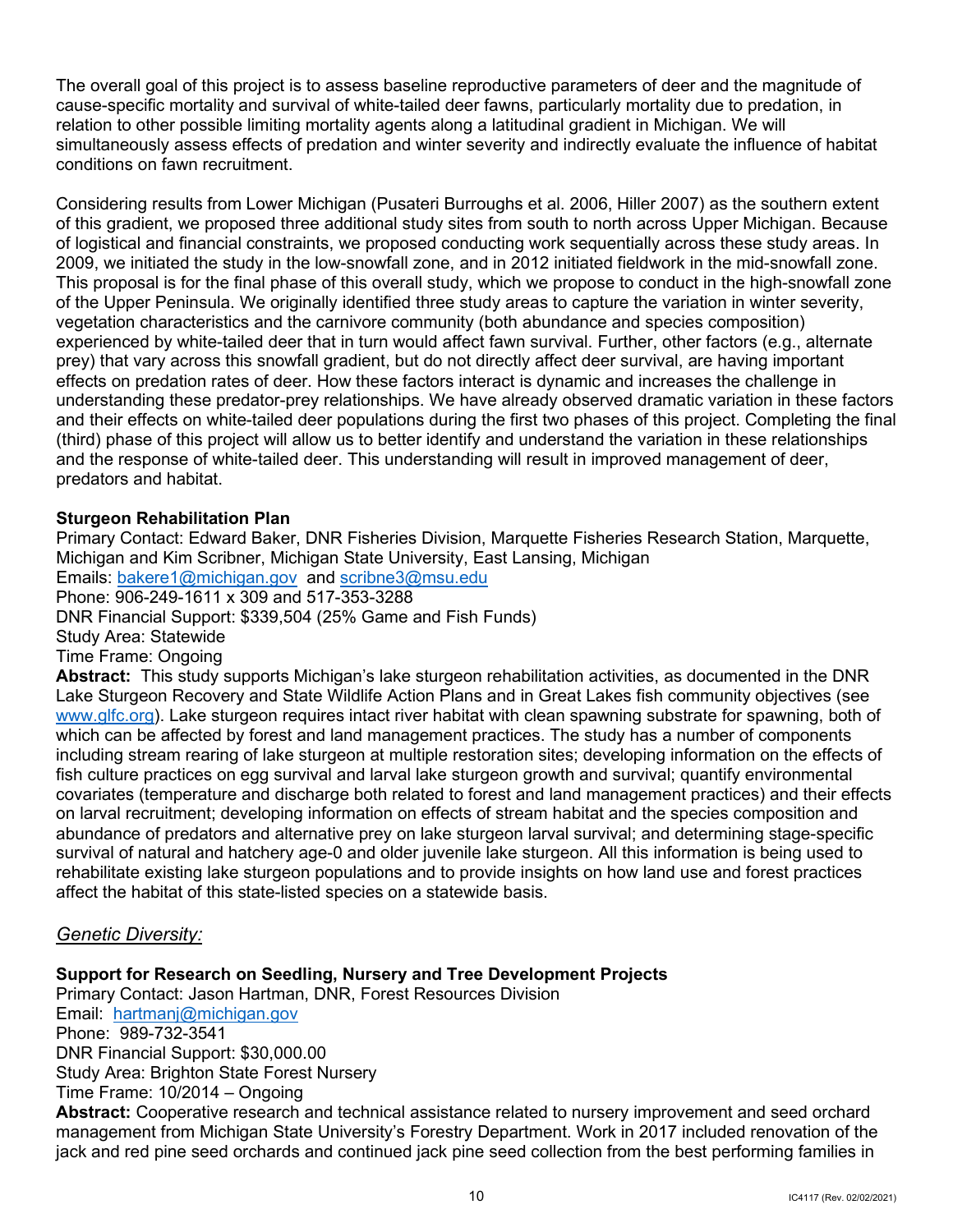The overall goal of this project is to assess baseline reproductive parameters of deer and the magnitude of cause-specific mortality and survival of white-tailed deer fawns, particularly mortality due to predation, in relation to other possible limiting mortality agents along a latitudinal gradient in Michigan. We will simultaneously assess effects of predation and winter severity and indirectly evaluate the influence of habitat conditions on fawn recruitment.

 of logistical and financial constraints, we proposed conducting work sequentially across these study areas. In 2009, we initiated the study in the low-snowfall zone, and in 2012 initiated fieldwork in the mid-snowfall zone. vegetation characteristics and the carnivore community (both abundance and species composition) experienced by white-tailed deer that in turn would affect fawn survival. Further, other factors (e.g., alternate effects on predation rates of deer. How these factors interact is dynamic and increases the challenge in (third) phase of this project will allow us to better identify and understand the variation in these relationships predators and habitat. Considering results from Lower Michigan (Pusateri Burroughs et al. 2006, Hiller 2007) as the southern extent of this gradient, we proposed three additional study sites from south to north across Upper Michigan. Because This proposal is for the final phase of this overall study, which we propose to conduct in the high-snowfall zone of the Upper Peninsula. We originally identified three study areas to capture the variation in winter severity, prey) that vary across this snowfall gradient, but do not directly affect deer survival, are having important understanding these predator-prey relationships. We have already observed dramatic variation in these factors and their effects on white-tailed deer populations during the first two phases of this project. Completing the final and the response of white-tailed deer. This understanding will result in improved management of deer,

## **Sturgeon Rehabilitation Plan**

 Emails: [bakere1@michigan.gov](mailto:bakere1@michigan.gov) and [scribne3@msu.edu](mailto:scribne3@msu.edu)  **Abstract:** This study supports Michigan's lake sturgeon rehabilitation activities, as documented in the DNR Primary Contact: Edward Baker, DNR Fisheries Division, Marquette Fisheries Research Station, Marquette, Michigan and Kim Scribner, Michigan State University, East Lansing, Michigan Phone: 906-249-1611 x 309 and 517-353-3288 DNR Financial Support: \$339,504 (25% Game and Fish Funds) Study Area: Statewide Time Frame: Ongoing

Lake Sturgeon Recovery and State Wildlife Action Plans and in Great Lakes fish community objectives (see [www.glfc.org\)](http://www.glfc.org/). Lake sturgeon requires intact river habitat with clean spawning substrate for spawning, both of which can be affected by forest and land management practices. The study has a number of components including stream rearing of lake sturgeon at multiple restoration sites; developing information on the effects of fish culture practices on egg survival and larval lake sturgeon growth and survival; quantify environmental covariates (temperature and discharge both related to forest and land management practices) and their effects on larval recruitment; developing information on effects of stream habitat and the species composition and abundance of predators and alternative prey on lake sturgeon larval survival; and determining stage-specific survival of natural and hatchery age-0 and older juvenile lake sturgeon. All this information is being used to rehabilitate existing lake sturgeon populations and to provide insights on how land use and forest practices affect the habitat of this state-listed species on a statewide basis.

## *Genetic Diversity:*

## **Support for Research on Seedling, Nursery and Tree Development Projects**

Email: <u>hartmanj@michigan.gov</u> Phone: 989-732-3541 Time Frame: 10/2014 – Ongoing Primary Contact: Jason Hartman, DNR, Forest Resources Division DNR Financial Support: \$[30,000.00](https://30,000.00)  Study Area: Brighton State Forest Nursery

 **Abstract:** Cooperative research and technical assistance related to nursery improvement and seed orchard jack and red pine seed orchards and continued jack pine seed collection from the best performing families in management from Michigan State University's Forestry Department. Work in 2017 included renovation of the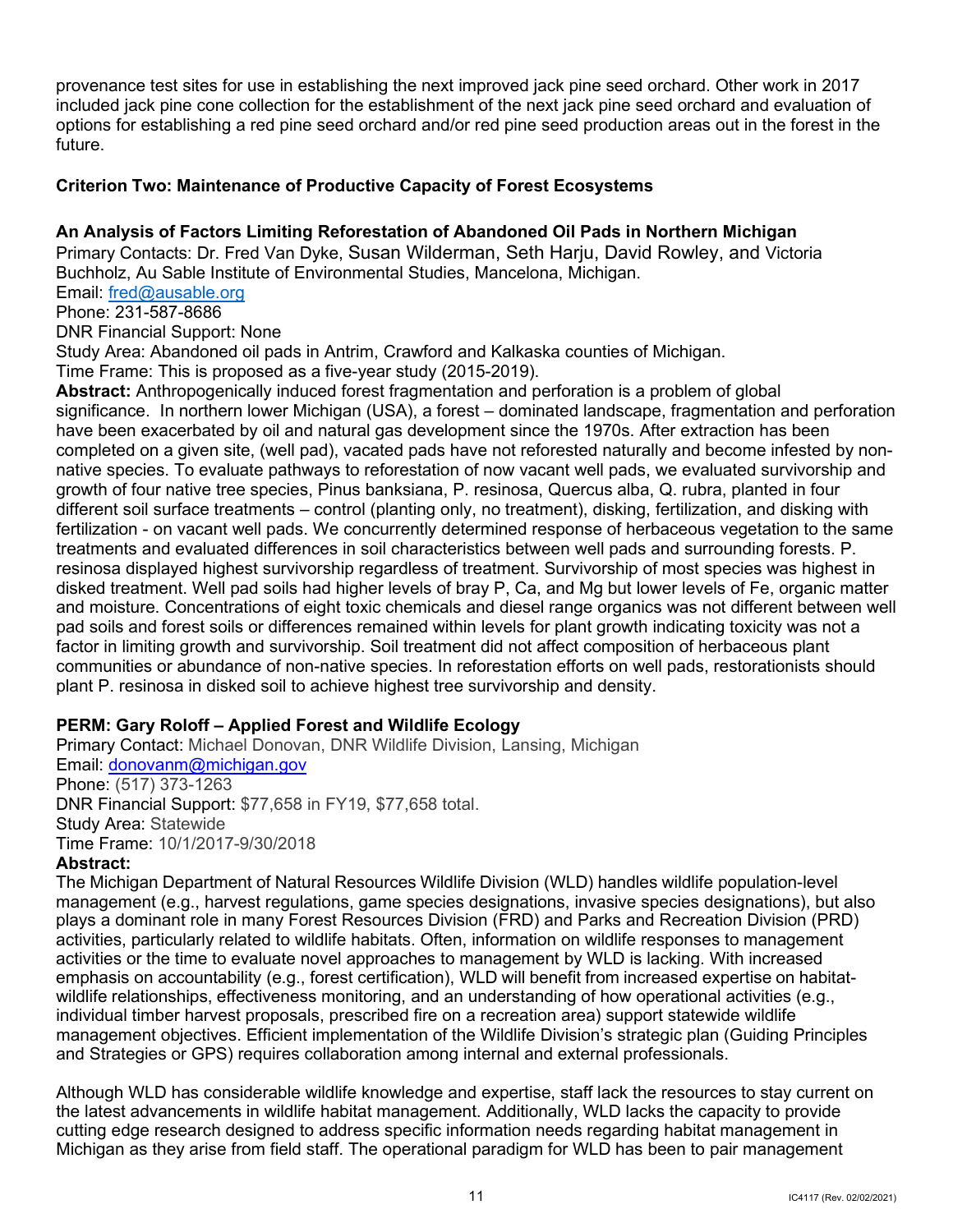included jack pine cone collection for the establishment of the next jack pine seed orchard and evaluation of provenance test sites for use in establishing the next improved jack pine seed orchard. Other work in 2017 options for establishing a red pine seed orchard and/or red pine seed production areas out in the forest in the future.

## <span id="page-13-0"></span> **Criterion Two: Maintenance of Productive Capacity of Forest Ecosystems**

## **An Analysis of Factors Limiting Reforestation of Abandoned Oil Pads in Northern Michigan**

 Primary Contacts: Dr. Fred Van Dyke, Susan Wilderman, Seth Harju, David Rowley, and Victoria Buchholz, Au Sable Institute of Environmental Studies, Mancelona, Michigan.

Email: <u>fred@ausable.org</u>

Phone: 231-587-8686

DNR Financial Support: None

Study Area: Abandoned oil pads in Antrim, Crawford and Kalkaska counties of Michigan.

Time Frame: This is proposed as a five-year study (2015-2019).

 significance. In northern lower Michigan (USA), a forest – dominated landscape, fragmentation and perforation growth of four native tree species, Pinus banksiana, P. resinosa, Quercus alba, Q. rubra, planted in four resinosa displayed highest survivorship regardless of treatment. Survivorship of most species was highest in plant P. resinosa in disked soil to achieve highest tree survivorship and density. **Abstract:** Anthropogenically induced forest fragmentation and perforation is a problem of global have been exacerbated by oil and natural gas development since the 1970s. After extraction has been completed on a given site, (well pad), vacated pads have not reforested naturally and become infested by nonnative species. To evaluate pathways to reforestation of now vacant well pads, we evaluated survivorship and different soil surface treatments – control (planting only, no treatment), disking, fertilization, and disking with fertilization - on vacant well pads. We concurrently determined response of herbaceous vegetation to the same treatments and evaluated differences in soil characteristics between well pads and surrounding forests. P. disked treatment. Well pad soils had higher levels of bray P, Ca, and Mg but lower levels of Fe, organic matter and moisture. Concentrations of eight toxic chemicals and diesel range organics was not different between well pad soils and forest soils or differences remained within levels for plant growth indicating toxicity was not a factor in limiting growth and survivorship. Soil treatment did not affect composition of herbaceous plant communities or abundance of non-native species. In reforestation efforts on well pads, restorationists should

## **PERM: Gary Roloff – Applied Forest and Wildlife Ecology**

Primary Contact: Michael Donovan, DNR Wildlife Division, Lansing, Michigan Email: [donovanm@michigan.gov](mailto:donovanm@michigan.gov)  Phone: (517) 373-1263 DNR Financial Support: \$77,658 in FY19, \$77,658 total. Study Area: Statewide Time Frame: 10/1/2017-9/30/2018

#### **Abstract:**

 The Michigan Department of Natural Resources Wildlife Division (WLD) handles wildlife population-level activities or the time to evaluate novel approaches to management by WLD is lacking. With increased emphasis on accountability (e.g., forest certification), WLD will benefit from increased expertise on habitat- wildlife relationships, effectiveness monitoring, and an understanding of how operational activities (e.g., management (e.g., harvest regulations, game species designations, invasive species designations), but also plays a dominant role in many Forest Resources Division (FRD) and Parks and Recreation Division (PRD) activities, particularly related to wildlife habitats. Often, information on wildlife responses to management individual timber harvest proposals, prescribed fire on a recreation area) support statewide wildlife management objectives. Efficient implementation of the Wildlife Division's strategic plan (Guiding Principles and Strategies or GPS) requires collaboration among internal and external professionals.

 the latest advancements in wildlife habitat management. Additionally, WLD lacks the capacity to provide Michigan as they arise from field staff. The operational paradigm for WLD has been to pair management Although WLD has considerable wildlife knowledge and expertise, staff lack the resources to stay current on cutting edge research designed to address specific information needs regarding habitat management in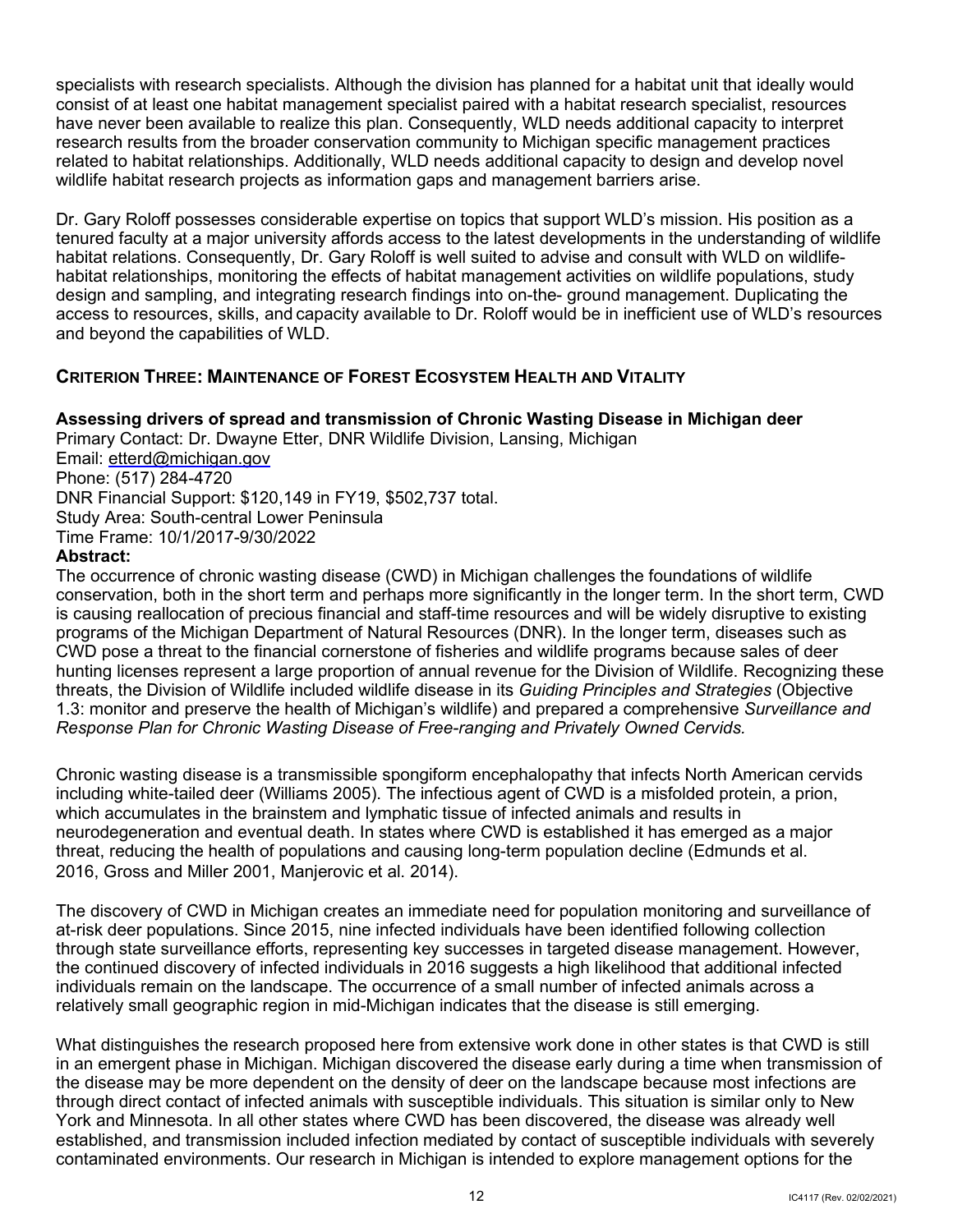consist of at least one habitat management specialist paired with a habitat research specialist, resources have never been available to realize this plan. Consequently, WLD needs additional capacity to interpret related to habitat relationships. Additionally, WLD needs additional capacity to design and develop novel wildlife habitat research projects as information gaps and management barriers arise. specialists with research specialists. Although the division has planned for a habitat unit that ideally would research results from the broader conservation community to Michigan specific management practices

 access to resources, skills, and capacity available to Dr. Roloff would be in inefficient use of WLD's resources Dr. Gary Roloff possesses considerable expertise on topics that support WLD's mission. His position as a tenured faculty at a major university affords access to the latest developments in the understanding of wildlife habitat relations. Consequently, Dr. Gary Roloff is well suited to advise and consult with WLD on wildlifehabitat relationships, monitoring the effects of habitat management activities on wildlife populations, study design and sampling, and integrating research findings into on-the- ground management. Duplicating the and beyond the capabilities of WLD.

## <span id="page-14-0"></span> **CRITERION THREE: MAINTENANCE OF FOREST ECOSYSTEM HEALTH AND VITALITY**

## **Assessing drivers of spread and transmission of Chronic Wasting Disease in Michigan deer**

Primary Contact: Dr. Dwayne Etter, DNR Wildlife Division, Lansing, Michigan Email: [etterd@michigan.gov](mailto:etterd@michigan.gov)  Phone: (517) 284-4720 DNR Financial Support: \$120,149 in FY19, \$502,737 total. Study Area: South-central Lower Peninsula Time Frame: 10/1/2017-9/30/2022

## **Abstract:**

 programs of the Michigan Department of Natural Resources (DNR). In the longer term, diseases such as The occurrence of chronic wasting disease (CWD) in Michigan challenges the foundations of wildlife conservation, both in the short term and perhaps more significantly in the longer term. In the short term, CWD is causing reallocation of precious financial and staff-time resources and will be widely disruptive to existing CWD pose a threat to the financial cornerstone of fisheries and wildlife programs because sales of deer hunting licenses represent a large proportion of annual revenue for the Division of Wildlife. Recognizing these threats, the Division of Wildlife included wildlife disease in its *Guiding Principles and Strategies* (Objective 1.3: monitor and preserve the health of Michigan's wildlife) and prepared a comprehensive *Surveillance and Response Plan for Chronic Wasting Disease of Free-ranging and Privately Owned Cervids.* 

 including white-tailed deer (Williams 2005). The infectious agent of CWD is a misfolded protein, a prion, neurodegeneration and eventual death. In states where CWD is established it has emerged as a major Chronic wasting disease is a transmissible spongiform encephalopathy that infects North American cervids which accumulates in the brainstem and lymphatic tissue of infected animals and results in threat, reducing the health of populations and causing long-term population decline (Edmunds et al. 2016, Gross and Miller 2001, Manjerovic et al. 2014).

 the continued discovery of infected individuals in 2016 suggests a high likelihood that additional infected The discovery of CWD in Michigan creates an immediate need for population monitoring and surveillance of at-risk deer populations. Since 2015, nine infected individuals have been identified following collection through state surveillance efforts, representing key successes in targeted disease management. However, individuals remain on the landscape. The occurrence of a small number of infected animals across a relatively small geographic region in mid-Michigan indicates that the disease is still emerging.

 through direct contact of infected animals with susceptible individuals. This situation is similar only to New What distinguishes the research proposed here from extensive work done in other states is that CWD is still in an emergent phase in Michigan. Michigan discovered the disease early during a time when transmission of the disease may be more dependent on the density of deer on the landscape because most infections are York and Minnesota. In all other states where CWD has been discovered, the disease was already well established, and transmission included infection mediated by contact of susceptible individuals with severely contaminated environments. Our research in Michigan is intended to explore management options for the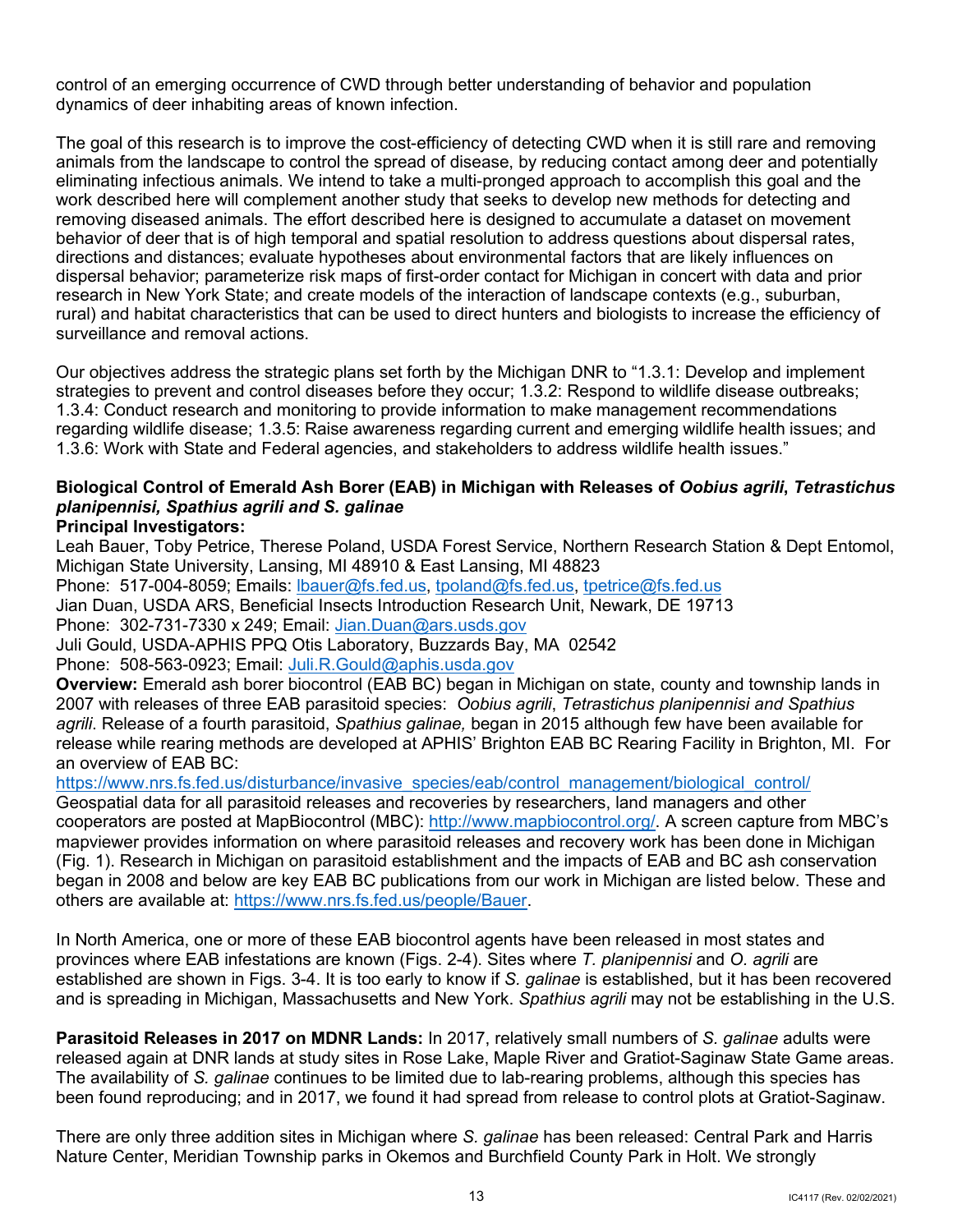control of an emerging occurrence of CWD through better understanding of behavior and population dynamics of deer inhabiting areas of known infection.

 animals from the landscape to control the spread of disease, by reducing contact among deer and potentially dispersal behavior; parameterize risk maps of first-order contact for Michigan in concert with data and prior research in New York State; and create models of the interaction of landscape contexts (e.g., suburban, The goal of this research is to improve the cost-efficiency of detecting CWD when it is still rare and removing eliminating infectious animals. We intend to take a multi-pronged approach to accomplish this goal and the work described here will complement another study that seeks to develop new methods for detecting and removing diseased animals. The effort described here is designed to accumulate a dataset on movement behavior of deer that is of high temporal and spatial resolution to address questions about dispersal rates, directions and distances; evaluate hypotheses about environmental factors that are likely influences on rural) and habitat characteristics that can be used to direct hunters and biologists to increase the efficiency of surveillance and removal actions.

 regarding wildlife disease; 1.3.5: Raise awareness regarding current and emerging wildlife health issues; and 1.3.6: Work with State and Federal agencies, and stakeholders to address wildlife health issues." Our objectives address the strategic plans set forth by the Michigan DNR to "1.3.1: Develop and implement strategies to prevent and control diseases before they occur; 1.3.2: Respond to wildlife disease outbreaks; 1.3.4: Conduct research and monitoring to provide information to make management recommendations

## **Biological Control of Emerald Ash Borer (EAB) in Michigan with Releases of** *Oobius agrili***,** *Tetrastichus planipennisi, Spathius agrili and S. galinae*

## **Principal Investigators:**

Phone: 517-004-8059; Emails: <u>lbauer@fs.fed.us, tpoland@fs.fed.us, tpetrice@fs.fed.us</u> Phone: 302-731-7330 x 249; Email: <u>Jian.Duan@ars.usds.gov</u> Phone: 508-563-0923; Email: <u>Juli.R.Gould@aphis.usda.gov</u> **Overview:** Emerald ash borer biocontrol (EAB BC) began in Michigan on state, county and township lands in 2007 with releases of three EAB parasitoid species: *Oobius agrili*, *Tetrastichus planipennisi and Spathius*  Leah Bauer, Toby Petrice, Therese Poland, USDA Forest Service, Northern Research Station & Dept Entomol, Michigan State University, Lansing, MI 48910 & East Lansing, MI 48823 Jian Duan, USDA ARS, Beneficial Insects Introduction Research Unit, Newark, DE 19713 Juli Gould, USDA-APHIS PPQ Otis Laboratory, Buzzards Bay, MA 02542

 release while rearing methods are developed at APHIS' Brighton EAB BC Rearing Facility in Brighton, MI. For an overview of EAB BC: *agrili*. Release of a fourth parasitoid, *Spathius galinae,* began in 2015 although few have been available for

 Geospatial data for all parasitoid releases and recoveries by researchers, land managers and other mapviewer provides information on where parasitoid releases and recovery work has been done in Michigan (Fig. 1). Research in Michigan on parasitoid establishment and the impacts of EAB and BC ash conservation began in 2008 and below are key EAB BC publications from our work in Michigan are listed below. These and https://www.nrs.fs.fed.us/disturbance/invasive\_species/eab/control\_management/biological\_control/ cooperators are posted at MapBiocontrol (MBC): [http://www.mapbiocontrol.org/.](http://www.mapbiocontrol.org/) A screen capture from MBC's others are available at: [https://www.nrs.fs.fed.us/people/Bauer.](https://www.nrs.fs.fed.us/people/Bauer)

 In North America, one or more of these EAB biocontrol agents have been released in most states and provinces where EAB infestations are known (Figs. 2-4). Sites where *T. planipennisi* and *O. agrili* are and is spreading in Michigan, Massachusetts and New York. *Spathius agrili* may not be establishing in the U.S. established are shown in Figs. 3-4. It is too early to know if *S. galinae* is established, but it has been recovered

 released again at DNR lands at study sites in Rose Lake, Maple River and Gratiot-Saginaw State Game areas. been found reproducing; and in 2017, we found it had spread from release to control plots at Gratiot-Saginaw. **Parasitoid Releases in 2017 on MDNR Lands:** In 2017, relatively small numbers of *S. galinae* adults were The availability of *S. galinae* continues to be limited due to lab-rearing problems, although this species has

 There are only three addition sites in Michigan where *S. galinae* has been released: Central Park and Harris Nature Center, Meridian Township parks in Okemos and Burchfield County Park in Holt. We strongly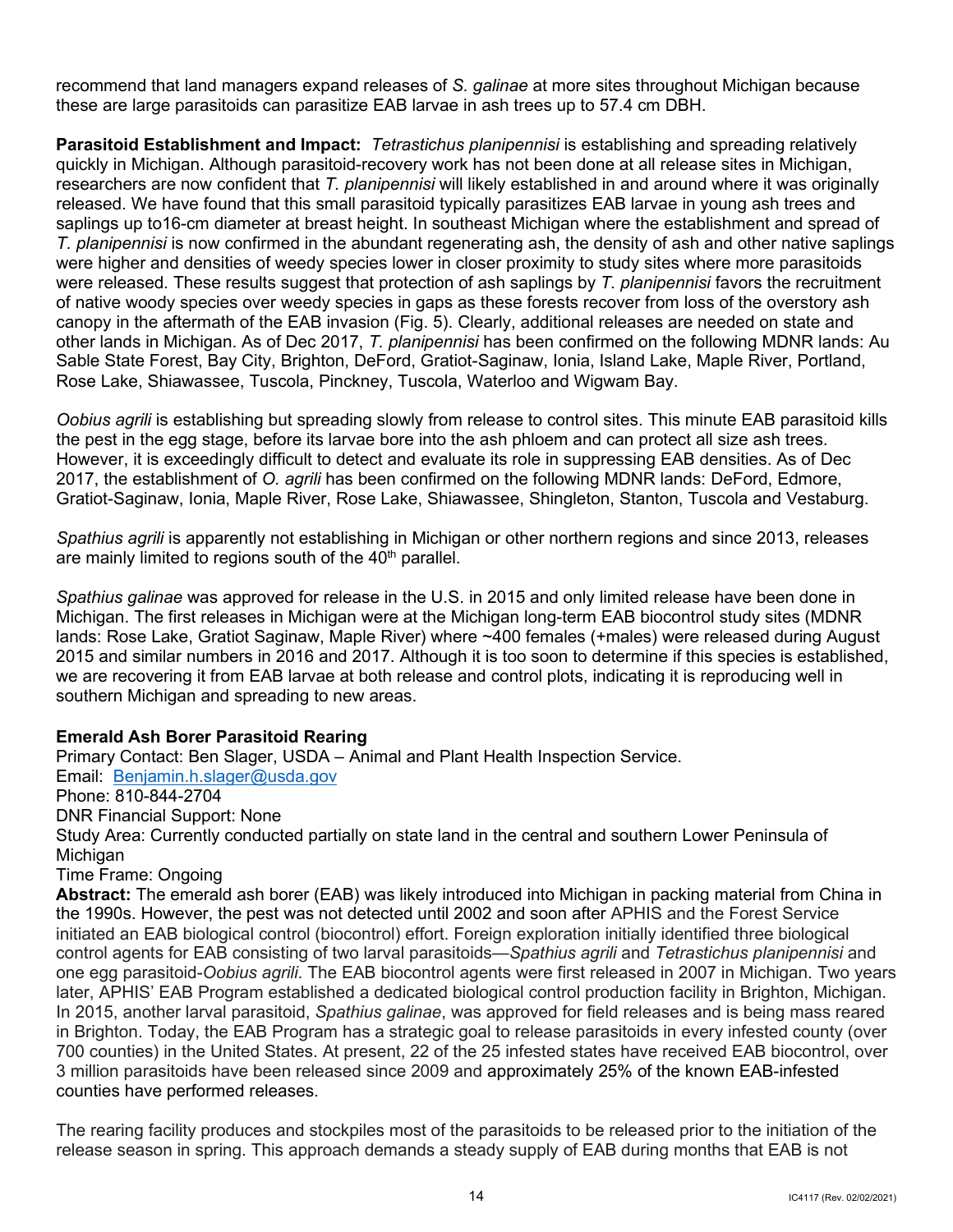recommend that land managers expand releases of *S. galinae* at more sites throughout Michigan because these are large parasitoids can parasitize EAB larvae in ash trees up to 57.4 cm DBH.

 **Parasitoid Establishment and Impact:** *Tetrastichus planipennisi* is establishing and spreading relatively researchers are now confident that *T. planipennisi* will likely established in and around where it was originally released. We have found that this small parasitoid typically parasitizes EAB larvae in young ash trees and saplings up to16-cm diameter at breast height. In southeast Michigan where the establishment and spread of *T. planipennisi* is now confirmed in the abundant regenerating ash, the density of ash and other native saplings were higher and densities of weedy species lower in closer proximity to study sites where more parasitoids of native woody species over weedy species in gaps as these forests recover from loss of the overstory ash canopy in the aftermath of the EAB invasion (Fig. 5). Clearly, additional releases are needed on state and Sable State Forest, Bay City, Brighton, DeFord, Gratiot-Saginaw, Ionia, Island Lake, Maple River, Portland, Rose Lake, Shiawassee, Tuscola, Pinckney, Tuscola, Waterloo and Wigwam Bay. quickly in Michigan. Although parasitoid-recovery work has not been done at all release sites in Michigan, were released. These results suggest that protection of ash saplings by *T. planipennisi* favors the recruitment other lands in Michigan. As of Dec 2017, *T. planipennisi* has been confirmed on the following MDNR lands: Au

 *Oobius agrili* is establishing but spreading slowly from release to control sites. This minute EAB parasitoid kills the pest in the egg stage, before its larvae bore into the ash phloem and can protect all size ash trees. However, it is exceedingly difficult to detect and evaluate its role in suppressing EAB densities. As of Dec Gratiot-Saginaw, Ionia, Maple River, Rose Lake, Shiawassee, Shingleton, Stanton, Tuscola and Vestaburg. 2017, the establishment of *O. agrili* has been confirmed on the following MDNR lands: DeFord, Edmore,

 *Spathius agrili* is apparently not establishing in Michigan or other northern regions and since 2013, releases are mainly limited to regions south of the 40<sup>th</sup> parallel.

 *Spathius galinae* was approved for release in the U.S. in 2015 and only limited release have been done in 2015 and similar numbers in 2016 and 2017. Although it is too soon to determine if this species is established, we are recovering it from EAB larvae at both release and control plots, indicating it is reproducing well in southern Michigan and spreading to new areas. Michigan. The first releases in Michigan were at the Michigan long-term EAB biocontrol study sites (MDNR lands: Rose Lake, Gratiot Saginaw, Maple River) where ~400 females (+males) were released during August

## **Emerald Ash Borer Parasitoid Rearing**

 Email: [Benjamin.h.slager@usda.gov](mailto:Benjamin.h.slager@usda.gov)  Study Area: Currently conducted partially on state land in the central and southern Lower Peninsula of Primary Contact: Ben Slager, USDA – Animal and Plant Health Inspection Service. Phone: 810-844-2704 DNR Financial Support: None Michigan

#### Time Frame: Ongoing

 the 1990s. However, the pest was not detected until 2002 and soon after APHIS and the Forest Service control agents for EAB consisting of two larval parasitoids—*Spathius agrili* and *Tetrastichus planipennisi* and later, APHIS' EAB Program established a dedicated biological control production facility in Brighton, Michigan. In 2015, another larval parasitoid, *Spathius galinae*, was approved for field releases and is being mass reared in Brighton. Today, the EAB Program has a strategic goal to release parasitoids in every infested county (over 3 million parasitoids have been released since 2009 and approximately 25% of the known EAB-infested **Abstract:** The emerald ash borer (EAB) was likely introduced into Michigan in packing material from China in initiated an EAB biological control (biocontrol) effort. Foreign exploration initially identified three biological one egg parasitoid-*Oobius agrili*. The EAB biocontrol agents were first released in 2007 in Michigan. Two years 700 counties) in the United States. At present, 22 of the 25 infested states have received EAB biocontrol, over counties have performed releases.

 The rearing facility produces and stockpiles most of the parasitoids to be released prior to the initiation of the release season in spring. This approach demands a steady supply of EAB during months that EAB is not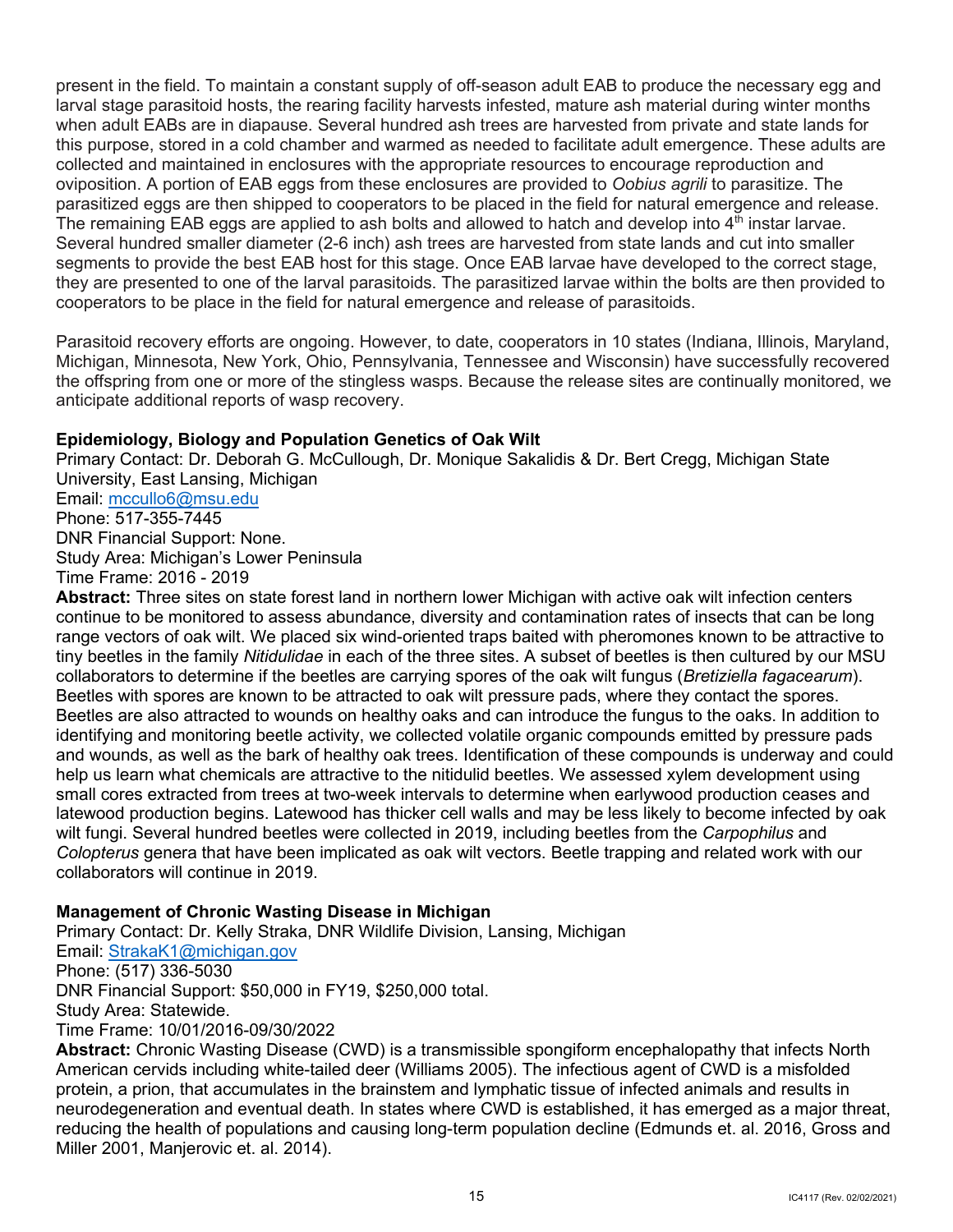present in the field. To maintain a constant supply of off-season adult EAB to produce the necessary egg and when adult EABs are in diapause. Several hundred ash trees are harvested from private and state lands for this purpose, stored in a cold chamber and warmed as needed to facilitate adult emergence. These adults are collected and maintained in enclosures with the appropriate resources to encourage reproduction and parasitized eggs are then shipped to cooperators to be placed in the field for natural emergence and release. The remaining EAB eggs are applied to ash bolts and allowed to hatch and develop into  $4<sup>th</sup>$  instar larvae. Several hundred smaller diameter (2-6 inch) ash trees are harvested from state lands and cut into smaller segments to provide the best EAB host for this stage. Once EAB larvae have developed to the correct stage, cooperators to be place in the field for natural emergence and release of parasitoids. larval stage parasitoid hosts, the rearing facility harvests infested, mature ash material during winter months oviposition. A portion of EAB eggs from these enclosures are provided to *Oobius agrili* to parasitize. The they are presented to one of the larval parasitoids. The parasitized larvae within the bolts are then provided to

 Parasitoid recovery efforts are ongoing. However, to date, cooperators in 10 states (Indiana, Illinois, Maryland, Michigan, Minnesota, New York, Ohio, Pennsylvania, Tennessee and Wisconsin) have successfully recovered the offspring from one or more of the stingless wasps. Because the release sites are continually monitored, we anticipate additional reports of wasp recovery.

## **Epidemiology, Biology and Population Genetics of Oak Wilt**

 DNR Financial Support: None. Time Frame: 2016 - 2019 Primary Contact: Dr. Deborah G. McCullough, Dr. Monique Sakalidis & Dr. Bert Cregg, Michigan State University, East Lansing, Michigan Email: [mccullo6@msu.edu](mailto:mccullo6@msu.edu)  Phone: 517-355-7445 Study Area: Michigan's Lower Peninsula

 continue to be monitored to assess abundance, diversity and contamination rates of insects that can be long tiny beetles in the family *Nitidulidae* in each of the three sites. A subset of beetles is then cultured by our MSU collaborators to determine if the beetles are carrying spores of the oak wilt fungus (*Bretiziella fagacearum*). Beetles with spores are known to be attracted to oak wilt pressure pads, where they contact the spores. Beetles are also attracted to wounds on healthy oaks and can introduce the fungus to the oaks. In addition to identifying and monitoring beetle activity, we collected volatile organic compounds emitted by pressure pads and wounds, as well as the bark of healthy oak trees. Identification of these compounds is underway and could small cores extracted from trees at two-week intervals to determine when earlywood production ceases and latewood production begins. Latewood has thicker cell walls and may be less likely to become infected by oak wilt fungi. Several hundred beetles were collected in 2019, including beetles from the *Carpophilus* and *Colopterus* genera that have been implicated as oak wilt vectors. Beetle trapping and related work with our **Abstract:** Three sites on state forest land in northern lower Michigan with active oak wilt infection centers range vectors of oak wilt. We placed six wind-oriented traps baited with pheromones known to be attractive to help us learn what chemicals are attractive to the nitidulid beetles. We assessed xylem development using collaborators will continue in 2019.

## **Management of Chronic Wasting Disease in Michigan**

Email: <u>StrakaK1@michigan.gov</u><br>Phone: (517) 336-5030 Primary Contact: Dr. Kelly Straka, DNR Wildlife Division, Lansing, Michigan DNR Financial Support: \$50,000 in FY19, \$250,000 total. Study Area: Statewide. Time Frame: 10/01/2016-09/30/2022

 neurodegeneration and eventual death. In states where CWD is established, it has emerged as a major threat, reducing the health of populations and causing long-term population decline (Edmunds et. al. 2016, Gross and **Abstract:** Chronic Wasting Disease (CWD) is a transmissible spongiform encephalopathy that infects North American cervids including white-tailed deer (Williams 2005). The infectious agent of CWD is a misfolded protein, a prion, that accumulates in the brainstem and lymphatic tissue of infected animals and results in Miller 2001, Manjerovic et. al. 2014).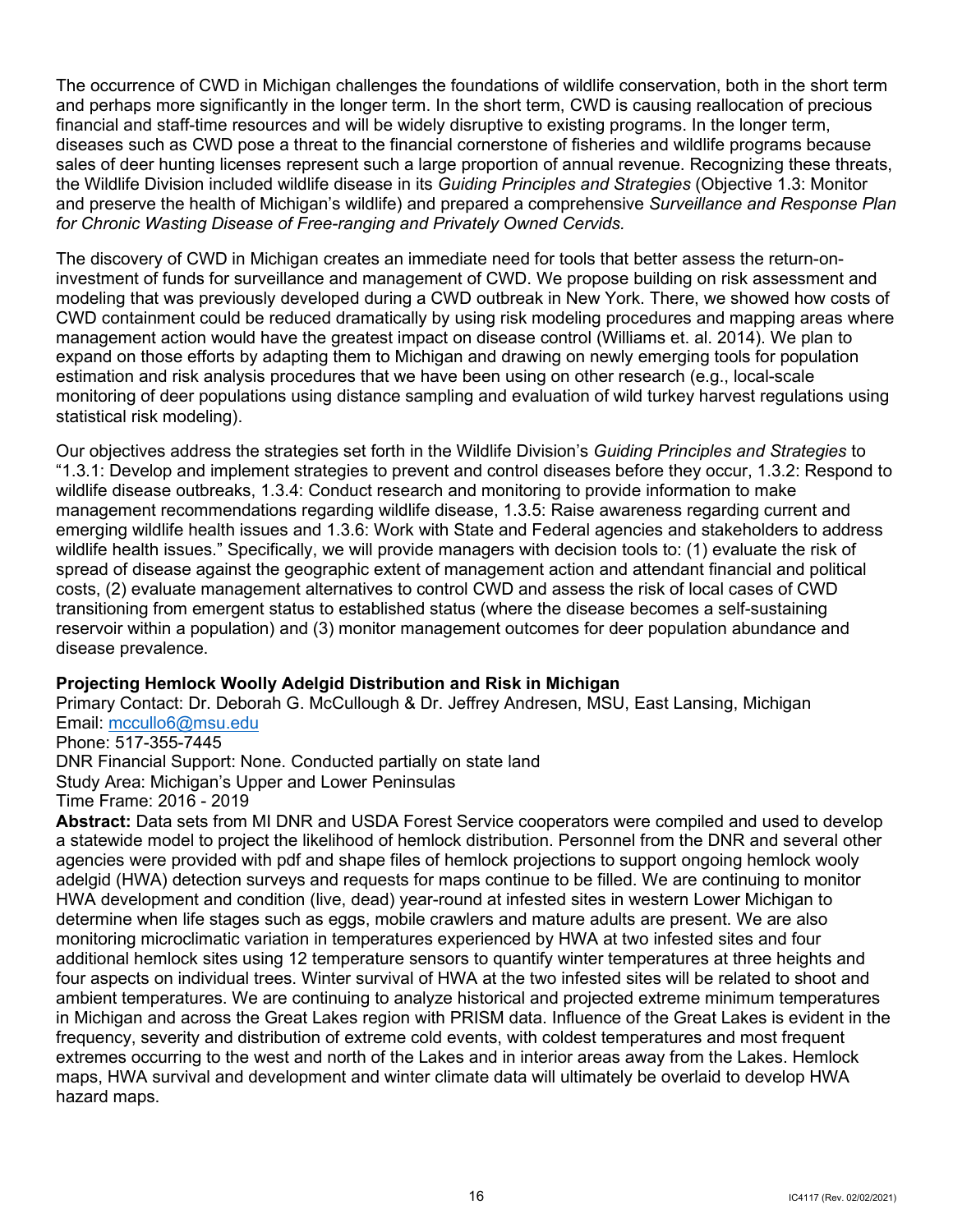The occurrence of CWD in Michigan challenges the foundations of wildlife conservation, both in the short term and perhaps more significantly in the longer term. In the short term, CWD is causing reallocation of precious sales of deer hunting licenses represent such a large proportion of annual revenue. Recognizing these threats,  the Wildlife Division included wildlife disease in its *Guiding Principles and Strategies* (Objective 1.3: Monitor financial and staff-time resources and will be widely disruptive to existing programs. In the longer term, diseases such as CWD pose a threat to the financial cornerstone of fisheries and wildlife programs because and preserve the health of Michigan's wildlife) and prepared a comprehensive *Surveillance and Response Plan for Chronic Wasting Disease of Free-ranging and Privately Owned Cervids.* 

 The discovery of CWD in Michigan creates an immediate need for tools that better assess the return-on- monitoring of deer populations using distance sampling and evaluation of wild turkey harvest regulations using investment of funds for surveillance and management of CWD. We propose building on risk assessment and modeling that was previously developed during a CWD outbreak in New York. There, we showed how costs of CWD containment could be reduced dramatically by using risk modeling procedures and mapping areas where management action would have the greatest impact on disease control (Williams et. al. 2014). We plan to expand on those efforts by adapting them to Michigan and drawing on newly emerging tools for population estimation and risk analysis procedures that we have been using on other research (e.g., local-scale statistical risk modeling).

 emerging wildlife health issues and 1.3.6: Work with State and Federal agencies and stakeholders to address wildlife health issues." Specifically, we will provide managers with decision tools to: (1) evaluate the risk of costs, (2) evaluate management alternatives to control CWD and assess the risk of local cases of CWD Our objectives address the strategies set forth in the Wildlife Division's *Guiding Principles and Strategies* to "1.3.1: Develop and implement strategies to prevent and control diseases before they occur, 1.3.2: Respond to wildlife disease outbreaks, 1.3.4: Conduct research and monitoring to provide information to make management recommendations regarding wildlife disease, 1.3.5: Raise awareness regarding current and spread of disease against the geographic extent of management action and attendant financial and political transitioning from emergent status to established status (where the disease becomes a self-sustaining reservoir within a population) and (3) monitor management outcomes for deer population abundance and disease prevalence.

## **Projecting Hemlock Woolly Adelgid Distribution and Risk in Michigan**

Primary Contact: Dr. Deborah G. McCullough & Dr. Jeffrey Andresen, MSU, East Lansing, Michigan Email: [mccullo6@msu.edu](mailto:mccullo6@msu.edu) 

Phone: 517-355-7445

DNR Financial Support: None. Conducted partially on state land Study Area: Michigan's Upper and Lower Peninsulas

Time Frame: 2016 - 2019

 **Abstract:** Data sets from MI DNR and USDA Forest Service cooperators were compiled and used to develop adelgid (HWA) detection surveys and requests for maps continue to be filled. We are continuing to monitor frequency, severity and distribution of extreme cold events, with coldest temperatures and most frequent extremes occurring to the west and north of the Lakes and in interior areas away from the Lakes. Hemlock a statewide model to project the likelihood of hemlock distribution. Personnel from the DNR and several other agencies were provided with pdf and shape files of hemlock projections to support ongoing hemlock wooly HWA development and condition (live, dead) year-round at infested sites in western Lower Michigan to determine when life stages such as eggs, mobile crawlers and mature adults are present. We are also monitoring microclimatic variation in temperatures experienced by HWA at two infested sites and four additional hemlock sites using 12 temperature sensors to quantify winter temperatures at three heights and four aspects on individual trees. Winter survival of HWA at the two infested sites will be related to shoot and ambient temperatures. We are continuing to analyze historical and projected extreme minimum temperatures in Michigan and across the Great Lakes region with PRISM data. Influence of the Great Lakes is evident in the maps, HWA survival and development and winter climate data will ultimately be overlaid to develop HWA hazard maps.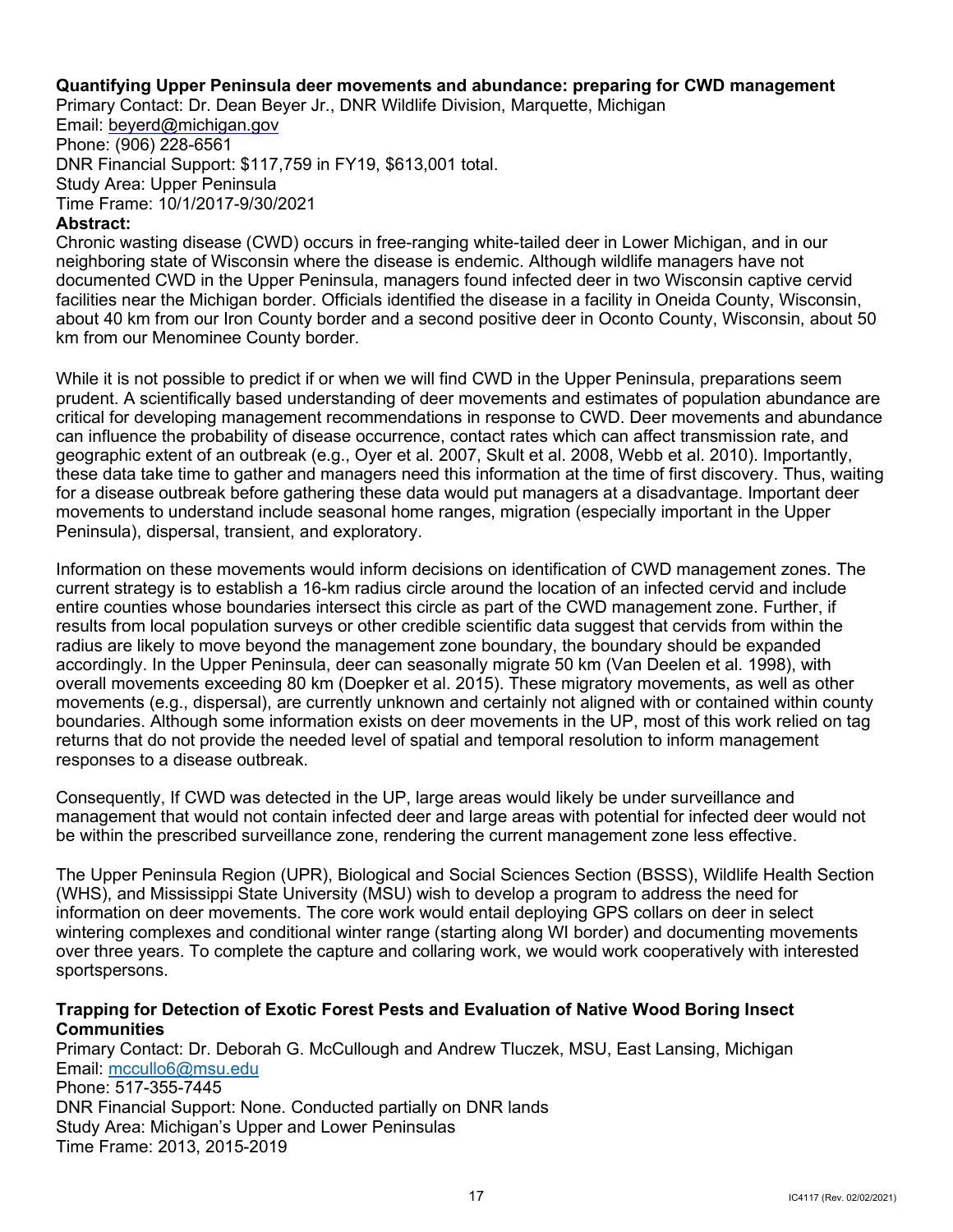## **Quantifying Upper Peninsula deer movements and abundance: preparing for CWD management**

Primary Contact: Dr. Dean Beyer Jr., DNR Wildlife Division, Marquette, Michigan

Email: [beyerd@michigan.gov](mailto:beyerd@michigan.gov)  Phone: (906) 228-6561 DNR Financial Support: \$117,759 in FY19, \$613,001 total. Study Area: Upper Peninsula Time Frame: 10/1/2017-9/30/2021

#### **Abstract:**

 neighboring state of Wisconsin where the disease is endemic. Although wildlife managers have not about 40 km from our Iron County border and a second positive deer in Oconto County, Wisconsin, about 50 Chronic wasting disease (CWD) occurs in free-ranging white-tailed deer in Lower Michigan, and in our documented CWD in the Upper Peninsula, managers found infected deer in two Wisconsin captive cervid facilities near the Michigan border. Officials identified the disease in a facility in Oneida County, Wisconsin, km from our Menominee County border.

While it is not possible to predict if or when we will find CWD in the Upper Peninsula, preparations seem prudent. A scientifically based understanding of deer movements and estimates of population abundance are critical for developing management recommendations in response to CWD. Deer movements and abundance can influence the probability of disease occurrence, contact rates which can affect transmission rate, and geographic extent of an outbreak (e.g., Oyer et al. 2007, Skult et al. 2008, Webb et al. 2010). Importantly, these data take time to gather and managers need this information at the time of first discovery. Thus, waiting for a disease outbreak before gathering these data would put managers at a disadvantage. Important deer movements to understand include seasonal home ranges, migration (especially important in the Upper Peninsula), dispersal, transient, and exploratory.

 boundaries. Although some information exists on deer movements in the UP, most of this work relied on tag returns that do not provide the needed level of spatial and temporal resolution to inform management Information on these movements would inform decisions on identification of CWD management zones. The current strategy is to establish a 16-km radius circle around the location of an infected cervid and include entire counties whose boundaries intersect this circle as part of the CWD management zone. Further, if results from local population surveys or other credible scientific data suggest that cervids from within the radius are likely to move beyond the management zone boundary, the boundary should be expanded accordingly. In the Upper Peninsula, deer can seasonally migrate 50 km (Van Deelen et al. 1998), with overall movements exceeding 80 km (Doepker et al. 2015). These migratory movements, as well as other movements (e.g., dispersal), are currently unknown and certainly not aligned with or contained within county responses to a disease outbreak.

Consequently, If CWD was detected in the UP, large areas would likely be under surveillance and management that would not contain infected deer and large areas with potential for infected deer would not be within the prescribed surveillance zone, rendering the current management zone less effective.

The Upper Peninsula Region (UPR), Biological and Social Sciences Section (BSSS), Wildlife Health Section (WHS), and Mississippi State University (MSU) wish to develop a program to address the need for information on deer movements. The core work would entail deploying GPS collars on deer in select wintering complexes and conditional winter range (starting along WI border) and documenting movements over three years. To complete the capture and collaring work, we would work cooperatively with interested sportspersons.

## **Trapping for Detection of Exotic Forest Pests and Evaluation of Native Wood Boring Insect Communities**

 Study Area: Michigan's Upper and Lower Peninsulas Primary Contact: Dr. Deborah G. McCullough and Andrew Tluczek, MSU, East Lansing, Michigan Email: [mccullo6@msu.edu](mailto:mccullo6@msu.edu)  Phone: 517-355-7445 DNR Financial Support: None. Conducted partially on DNR lands Time Frame: 2013, 2015-2019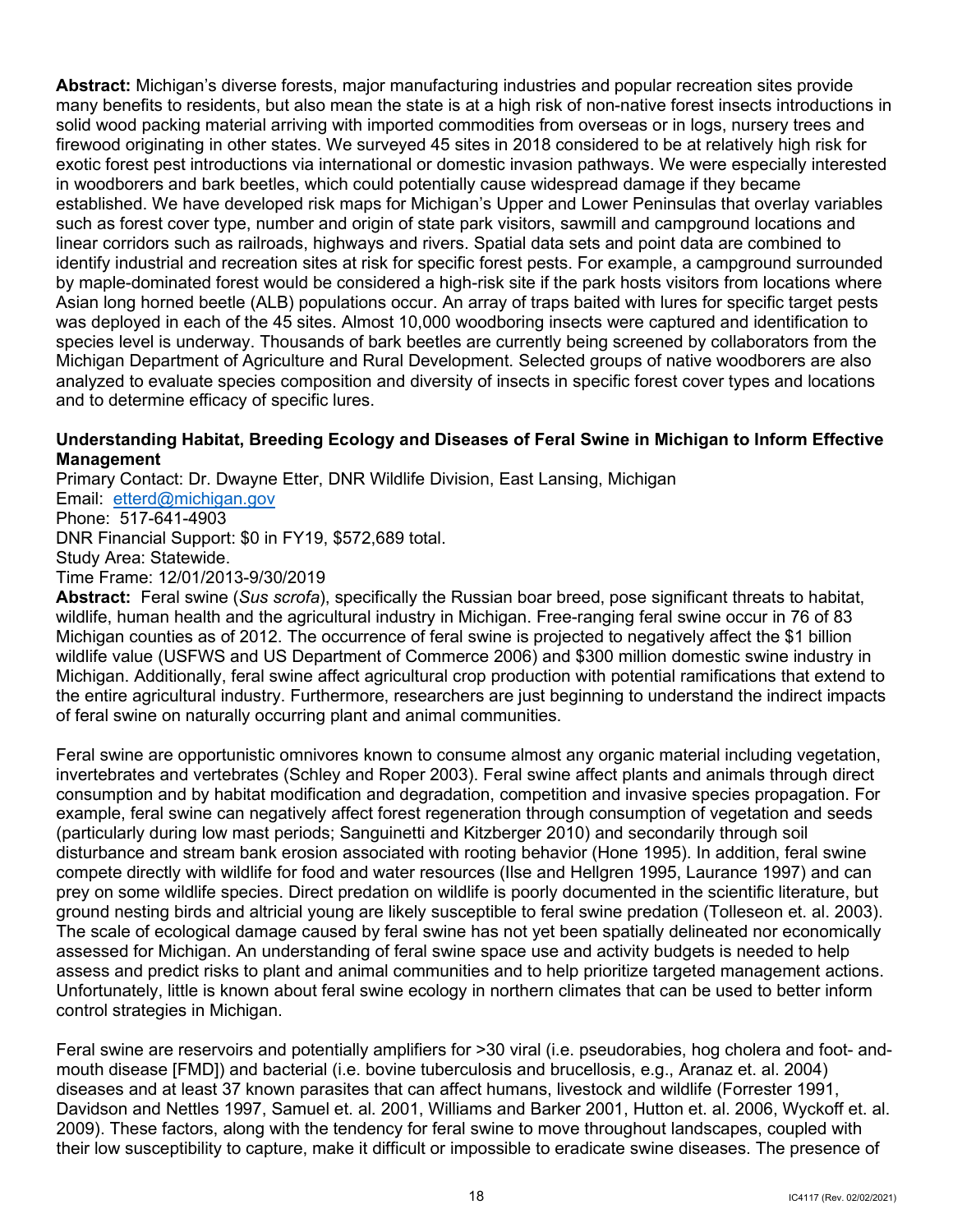**Abstract:** Michigan's diverse forests, major manufacturing industries and popular recreation sites provide firewood originating in other states. We surveyed 45 sites in 2018 considered to be at relatively high risk for established. We have developed risk maps for Michigan's Upper and Lower Peninsulas that overlay variables identify industrial and recreation sites at risk for specific forest pests. For example, a campground surrounded by maple-dominated forest would be considered a high-risk site if the park hosts visitors from locations where Asian long horned beetle (ALB) populations occur. An array of traps baited with lures for specific target pests many benefits to residents, but also mean the state is at a high risk of non-native forest insects introductions in solid wood packing material arriving with imported commodities from overseas or in logs, nursery trees and exotic forest pest introductions via international or domestic invasion pathways. We were especially interested in woodborers and bark beetles, which could potentially cause widespread damage if they became such as forest cover type, number and origin of state park visitors, sawmill and campground locations and linear corridors such as railroads, highways and rivers. Spatial data sets and point data are combined to was deployed in each of the 45 sites. Almost 10,000 woodboring insects were captured and identification to species level is underway. Thousands of bark beetles are currently being screened by collaborators from the Michigan Department of Agriculture and Rural Development. Selected groups of native woodborers are also analyzed to evaluate species composition and diversity of insects in specific forest cover types and locations and to determine efficacy of specific lures.

## **Understanding Habitat, Breeding Ecology and Diseases of Feral Swine in Michigan to Inform Effective Management**

 Email: [etterd@michigan.gov](mailto:etterd@michigan.gov)  Phone: 517-641-4903 DNR Financial Support: \$0 in FY19, \$572,689 total.<br>Study Area: Statewide. Primary Contact: Dr. Dwayne Etter, DNR Wildlife Division, East Lansing, Michigan Time Frame: 12/01/2013-9/30/2019

 **Abstract:** Feral swine (*Sus scrofa*), specifically the Russian boar breed, pose significant threats to habitat, wildlife, human health and the agricultural industry in Michigan. Free-ranging feral swine occur in 76 of 83 wildlife value (USFWS and US Department of Commerce 2006) and \$300 million domestic swine industry in of feral swine on naturally occurring plant and animal communities. Michigan counties as of 2012. The occurrence of feral swine is projected to negatively affect the \$1 billion Michigan. Additionally, feral swine affect agricultural crop production with potential ramifications that extend to the entire agricultural industry. Furthermore, researchers are just beginning to understand the indirect impacts

 invertebrates and vertebrates (Schley and Roper 2003). Feral swine affect plants and animals through direct consumption and by habitat modification and degradation, competition and invasive species propagation. For example, feral swine can negatively affect forest regeneration through consumption of vegetation and seeds (particularly during low mast periods; Sanguinetti and Kitzberger 2010) and secondarily through soil disturbance and stream bank erosion associated with rooting behavior (Hone 1995). In addition, feral swine compete directly with wildlife for food and water resources (Ilse and Hellgren 1995, Laurance 1997) and can ground nesting birds and altricial young are likely susceptible to feral swine predation (Tolleseon et. al. 2003). assessed for Michigan. An understanding of feral swine space use and activity budgets is needed to help assess and predict risks to plant and animal communities and to help prioritize targeted management actions. Feral swine are opportunistic omnivores known to consume almost any organic material including vegetation, prey on some wildlife species. Direct predation on wildlife is poorly documented in the scientific literature, but The scale of ecological damage caused by feral swine has not yet been spatially delineated nor economically Unfortunately, little is known about feral swine ecology in northern climates that can be used to better inform control strategies in Michigan.

 Feral swine are reservoirs and potentially amplifiers for >30 viral (i.e. pseudorabies, hog cholera and foot- and- mouth disease [FMD]) and bacterial (i.e. bovine tuberculosis and brucellosis, e.g., Aranaz et. al. 2004) diseases and at least 37 known parasites that can affect humans, livestock and wildlife (Forrester 1991, Davidson and Nettles 1997, Samuel et. al. 2001, Williams and Barker 2001, Hutton et. al. 2006, Wyckoff et. al. their low susceptibility to capture, make it difficult or impossible to eradicate swine diseases. The presence of 2009). These factors, along with the tendency for feral swine to move throughout landscapes, coupled with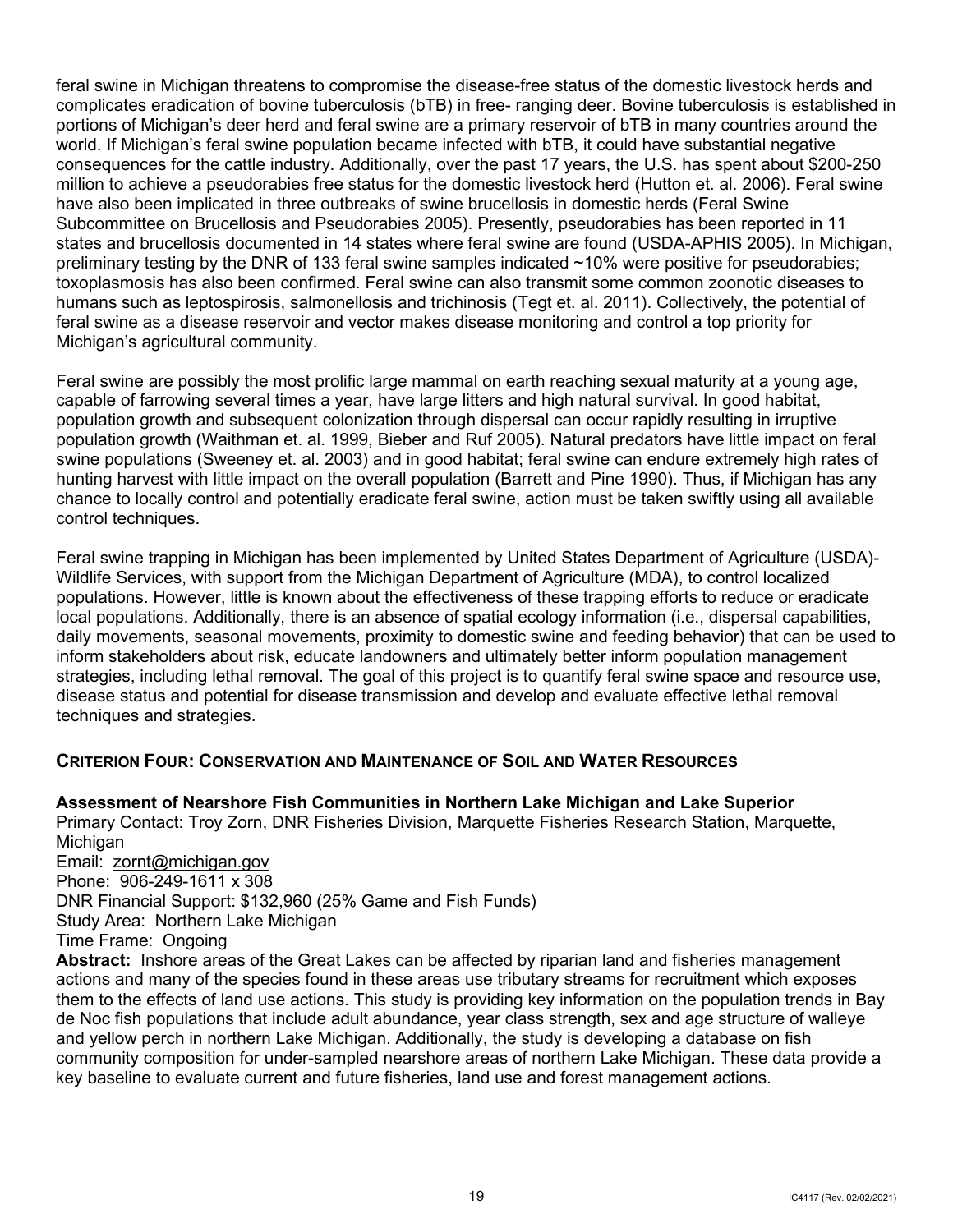feral swine in Michigan threatens to compromise the disease-free status of the domestic livestock herds and portions of Michigan's deer herd and feral swine are a primary reservoir of bTB in many countries around the world. If Michigan's feral swine population became infected with bTB, it could have substantial negative Subcommittee on Brucellosis and Pseudorabies 2005). Presently, pseudorabies has been reported in 11 states and brucellosis documented in 14 states where feral swine are found (USDA-APHIS 2005). In Michigan, preliminary testing by the DNR of 133 feral swine samples indicated ~10% were positive for pseudorabies; humans such as leptospirosis, salmonellosis and trichinosis (Tegt et. al. 2011). Collectively, the potential of feral swine as a disease reservoir and vector makes disease monitoring and control a top priority for complicates eradication of bovine tuberculosis (bTB) in free- ranging deer. Bovine tuberculosis is established in consequences for the cattle industry. Additionally, over the past 17 years, the U.S. has spent about \$200-250 million to achieve a pseudorabies free status for the domestic livestock herd (Hutton et. al. 2006). Feral swine have also been implicated in three outbreaks of swine brucellosis in domestic herds (Feral Swine toxoplasmosis has also been confirmed. Feral swine can also transmit some common zoonotic diseases to Michigan's agricultural community.

 capable of farrowing several times a year, have large litters and high natural survival. In good habitat, population growth and subsequent colonization through dispersal can occur rapidly resulting in irruptive population growth (Waithman et. al. 1999, Bieber and Ruf 2005). Natural predators have little impact on feral swine populations (Sweeney et. al. 2003) and in good habitat; feral swine can endure extremely high rates of hunting harvest with little impact on the overall population (Barrett and Pine 1990). Thus, if Michigan has any chance to locally control and potentially eradicate feral swine, action must be taken swiftly using all available Feral swine are possibly the most prolific large mammal on earth reaching sexual maturity at a young age, control techniques.

 daily movements, seasonal movements, proximity to domestic swine and feeding behavior) that can be used to inform stakeholders about risk, educate landowners and ultimately better inform population management strategies, including lethal removal. The goal of this project is to quantify feral swine space and resource use, disease status and potential for disease transmission and develop and evaluate effective lethal removal techniques and strategies. Feral swine trapping in Michigan has been implemented by United States Department of Agriculture (USDA)- Wildlife Services, with support from the Michigan Department of Agriculture (MDA), to control localized populations. However, little is known about the effectiveness of these trapping efforts to reduce or eradicate local populations. Additionally, there is an absence of spatial ecology information (i.e., dispersal capabilities,

## <span id="page-21-0"></span> **CRITERION FOUR: CONSERVATION AND MAINTENANCE OF SOIL AND WATER RESOURCES**

Email: <u>zornt@michigan.gov</u> Phone: 906-249-1611 x 308 **Assessment of Nearshore Fish Communities in Northern Lake Michigan and Lake Superior** Primary Contact: Troy Zorn, DNR Fisheries Division, Marquette Fisheries Research Station, Marquette, Michigan DNR Financial Support: \$132,960 (25% Game and Fish Funds) Study Area: Northern Lake Michigan Time Frame: Ongoing

 **Abstract:** Inshore areas of the Great Lakes can be affected by riparian land and fisheries management them to the effects of land use actions. This study is providing key information on the population trends in Bay key baseline to evaluate current and future fisheries, land use and forest management actions. actions and many of the species found in these areas use tributary streams for recruitment which exposes de Noc fish populations that include adult abundance, year class strength, sex and age structure of walleye and yellow perch in northern Lake Michigan. Additionally, the study is developing a database on fish community composition for under-sampled nearshore areas of northern Lake Michigan. These data provide a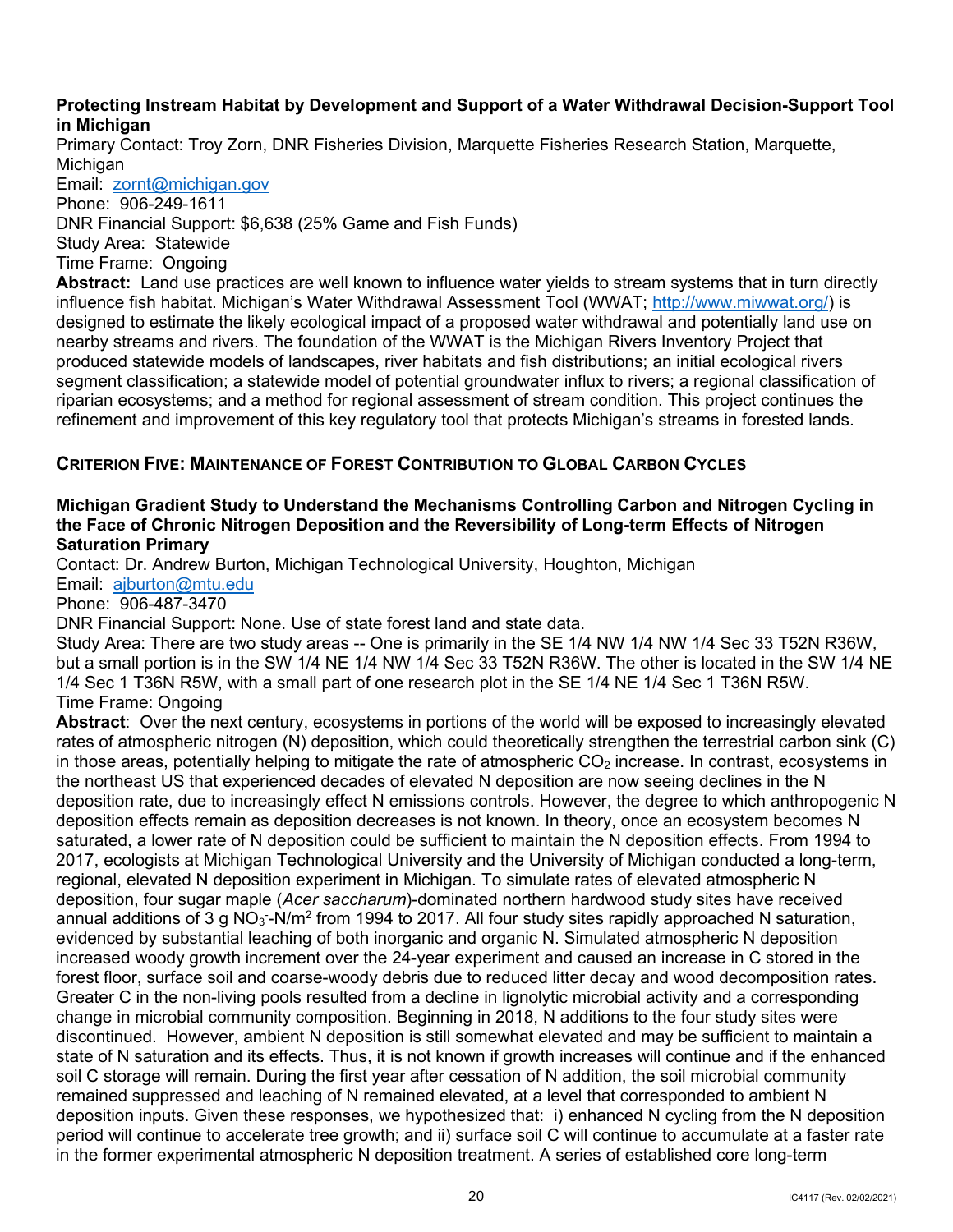#### **Protecting Instream Habitat by Development and Support of a Water Withdrawal Decision-Support Tool in Michigan**

Primary Contact: Troy Zorn, DNR Fisheries Division, Marquette Fisheries Research Station, Marquette, **Michigan** 

 Email: [zornt@michigan.gov](mailto:zornt@michigan.gov)  Phone: 906-249-1611 DNR Financial Support: \$6,638 (25% Game and Fish Funds) Study Area: Statewide Time Frame: Ongoing

 **Abstract:** Land use practices are well known to influence water yields to stream systems that in turn directly designed to estimate the likely ecological impact of a proposed water withdrawal and potentially land use on nearby streams and rivers. The foundation of the WWAT is the Michigan Rivers Inventory Project that produced statewide models of landscapes, river habitats and fish distributions; an initial ecological rivers riparian ecosystems; and a method for regional assessment of stream condition. This project continues the refinement and improvement of this key regulatory tool that protects Michigan's streams in forested lands. influence fish habitat. Michigan's Water Withdrawal Assessment Tool (WWAT; [http://www.miwwat.org/\)](http://www.miwwat.org/) is segment classification; a statewide model of potential groundwater influx to rivers; a regional classification of

## <span id="page-22-0"></span> **CRITERION FIVE: MAINTENANCE OF FOREST CONTRIBUTION TO GLOBAL CARBON CYCLES**

## **Saturation Primary Michigan Gradient Study to Understand the Mechanisms Controlling Carbon and Nitrogen Cycling in the Face of Chronic Nitrogen Deposition and the Reversibility of Long-term Effects of Nitrogen**

Contact: Dr. Andrew Burton, Michigan Technological University, Houghton, Michigan

Email: [ajburton@mtu.edu](mailto:ajburton@mtu.edu) 

Phone: 906-487-3470

DNR Financial Support: None. Use of state forest land and state data.

Study Area: There are two study areas -- One is primarily in the SE 1/4 NW 1/4 NW 1/4 Sec 33 T52N R36W, but a small portion is in the SW 1/4 NE 1/4 NW 1/4 Sec 33 T52N R36W. The other is located in the SW 1/4 NE 1/4 Sec 1 T36N R5W, with a small part of one research plot in the SE 1/4 NE 1/4 Sec 1 T36N R5W. Time Frame: Ongoing

 **Abstract**: Over the next century, ecosystems in portions of the world will be exposed to increasingly elevated deposition effects remain as deposition decreases is not known. In theory, once an ecosystem becomes N regional, elevated N deposition experiment in Michigan. To simulate rates of elevated atmospheric N evidenced by substantial leaching of both inorganic and organic N. Simulated atmospheric N deposition change in microbial community composition. Beginning in 2018, N additions to the four study sites were discontinued. However, ambient N deposition is still somewhat elevated and may be sufficient to maintain a soil C storage will remain. During the first year after cessation of N addition, the soil microbial community deposition inputs. Given these responses, we hypothesized that: i) enhanced N cycling from the N deposition period will continue to accelerate tree growth; and ii) surface soil C will continue to accumulate at a faster rate rates of atmospheric nitrogen (N) deposition, which could theoretically strengthen the terrestrial carbon sink (C) in those areas, potentially helping to mitigate the rate of atmospheric  $CO<sub>2</sub>$  increase. In contrast, ecosystems in the northeast US that experienced decades of elevated N deposition are now seeing declines in the N deposition rate, due to increasingly effect N emissions controls. However, the degree to which anthropogenic N saturated, a lower rate of N deposition could be sufficient to maintain the N deposition effects. From 1994 to 2017, ecologists at Michigan Technological University and the University of Michigan conducted a long-term, deposition, four sugar maple (*Acer saccharum*)-dominated northern hardwood study sites have received annual additions of 3 g NO $_3$ -N/m $^2$  from 1994 to 2017. All four study sites rapidly approached N saturation, increased woody growth increment over the 24-year experiment and caused an increase in C stored in the forest floor, surface soil and coarse-woody debris due to reduced litter decay and wood decomposition rates. Greater C in the non-living pools resulted from a decline in lignolytic microbial activity and a corresponding state of N saturation and its effects. Thus, it is not known if growth increases will continue and if the enhanced remained suppressed and leaching of N remained elevated, at a level that corresponded to ambient N in the former experimental atmospheric N deposition treatment. A series of established core long-term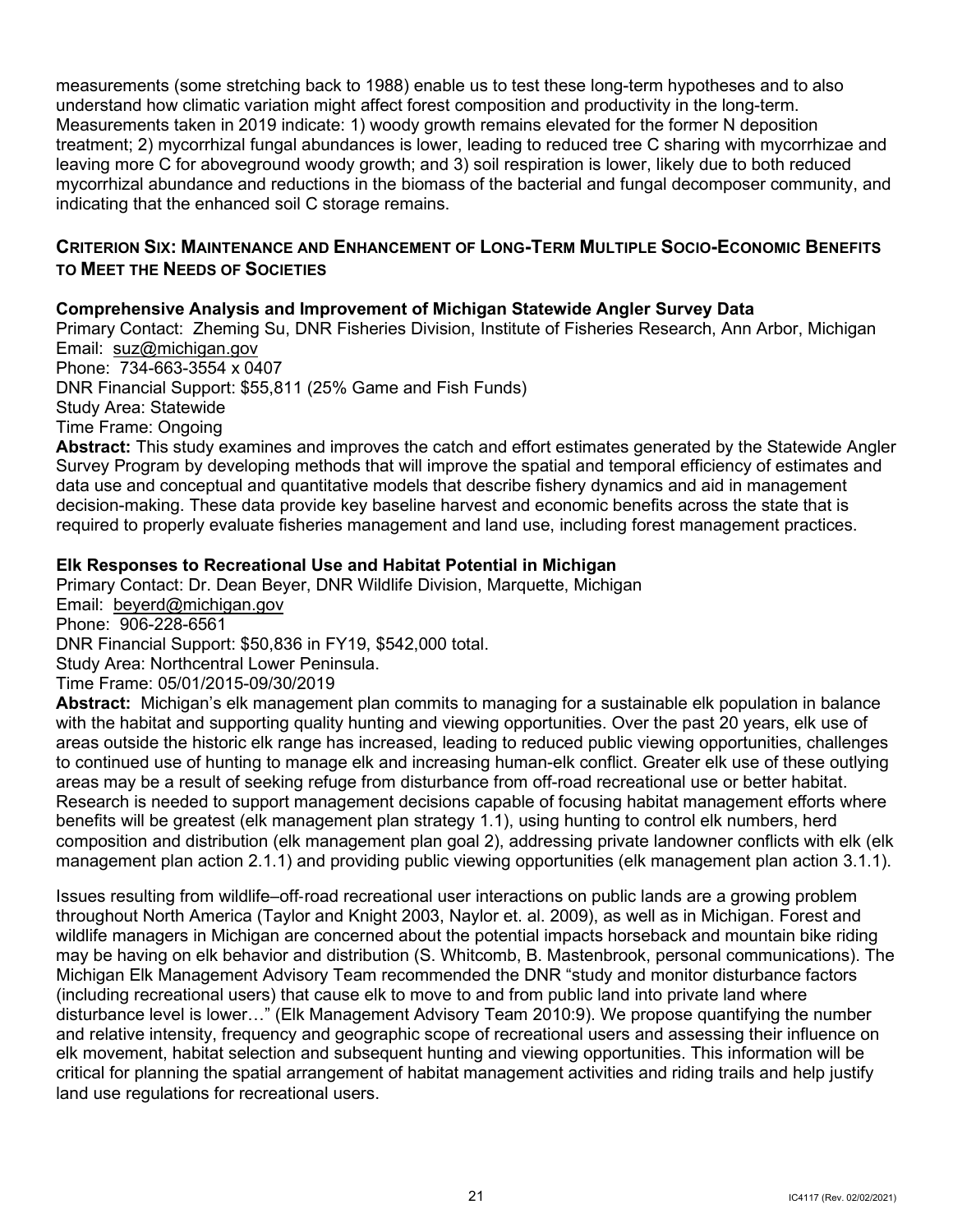Measurements taken in 2019 indicate: 1) woody growth remains elevated for the former N deposition measurements (some stretching back to 1988) enable us to test these long-term hypotheses and to also understand how climatic variation might affect forest composition and productivity in the long-term. treatment; 2) mycorrhizal fungal abundances is lower, leading to reduced tree C sharing with mycorrhizae and leaving more C for aboveground woody growth; and 3) soil respiration is lower, likely due to both reduced mycorrhizal abundance and reductions in the biomass of the bacterial and fungal decomposer community, and indicating that the enhanced soil C storage remains.

## <span id="page-23-0"></span> **CRITERION SIX: MAINTENANCE AND ENHANCEMENT OF LONG-TERM MULTIPLE SOCIO-ECONOMIC BENEFITS TO MEET THE NEEDS OF SOCIETIES**

## **Comprehensive Analysis and Improvement of Michigan Statewide Angler Survey Data**

Email: <u>suz@michigan.gov</u> Phone: 734-663-3554 x 0407 Primary Contact: Zheming Su, DNR Fisheries Division, Institute of Fisheries Research, Ann Arbor, Michigan

 DNR Financial Support: \$55,811 (25% Game and Fish Funds) Study Area: Statewide

Time Frame: Ongoing

 **Abstract:** This study examines and improves the catch and effort estimates generated by the Statewide Angler Survey Program by developing methods that will improve the spatial and temporal efficiency of estimates and data use and conceptual and quantitative models that describe fishery dynamics and aid in management decision-making. These data provide key baseline harvest and economic benefits across the state that is required to properly evaluate fisheries management and land use, including forest management practices.

## **Elk Responses to Recreational Use and Habitat Potential in Michigan**

 Email: [beyerd@michigan.gov](mailto:beyerd@michigan.gov)  Phone: 906-228-6561 Primary Contact: Dr. Dean Beyer, DNR Wildlife Division, Marquette, Michigan DNR Financial Support: \$50,836 in FY19, \$542,000 total. Study Area: Northcentral Lower Peninsula. Time Frame: 05/01/2015-09/30/2019

 **Abstract:** Michigan's elk management plan commits to managing for a sustainable elk population in balance with the habitat and supporting quality hunting and viewing opportunities. Over the past 20 years, elk use of areas outside the historic elk range has increased, leading to reduced public viewing opportunities, challenges to continued use of hunting to manage elk and increasing human-elk conflict. Greater elk use of these outlying composition and distribution (elk management plan goal 2), addressing private landowner conflicts with elk (elk management plan action 2.1.1) and providing public viewing opportunities (elk management plan action 3.1.1). areas may be a result of seeking refuge from disturbance from off-road recreational use or better habitat. Research is needed to support management decisions capable of focusing habitat management efforts where benefits will be greatest (elk management plan strategy 1.1), using hunting to control elk numbers, herd

 throughout North America (Taylor and Knight 2003, Naylor et. al. 2009), as well as in Michigan. Forest and wildlife managers in Michigan are concerned about the potential impacts horseback and mountain bike riding may be having on elk behavior and distribution (S. Whitcomb, B. Mastenbrook, personal communications). The Michigan Elk Management Advisory Team recommended the DNR "study and monitor disturbance factors (including recreational users) that cause elk to move to and from public land into private land where disturbance level is lower…" (Elk Management Advisory Team 2010:9). We propose quantifying the number and relative intensity, frequency and geographic scope of recreational users and assessing their influence on elk movement, habitat selection and subsequent hunting and viewing opportunities. This information will be critical for planning the spatial arrangement of habitat management activities and riding trails and help justify Issues resulting from wildlife–off-road recreational user interactions on public lands are a growing problem land use regulations for recreational users.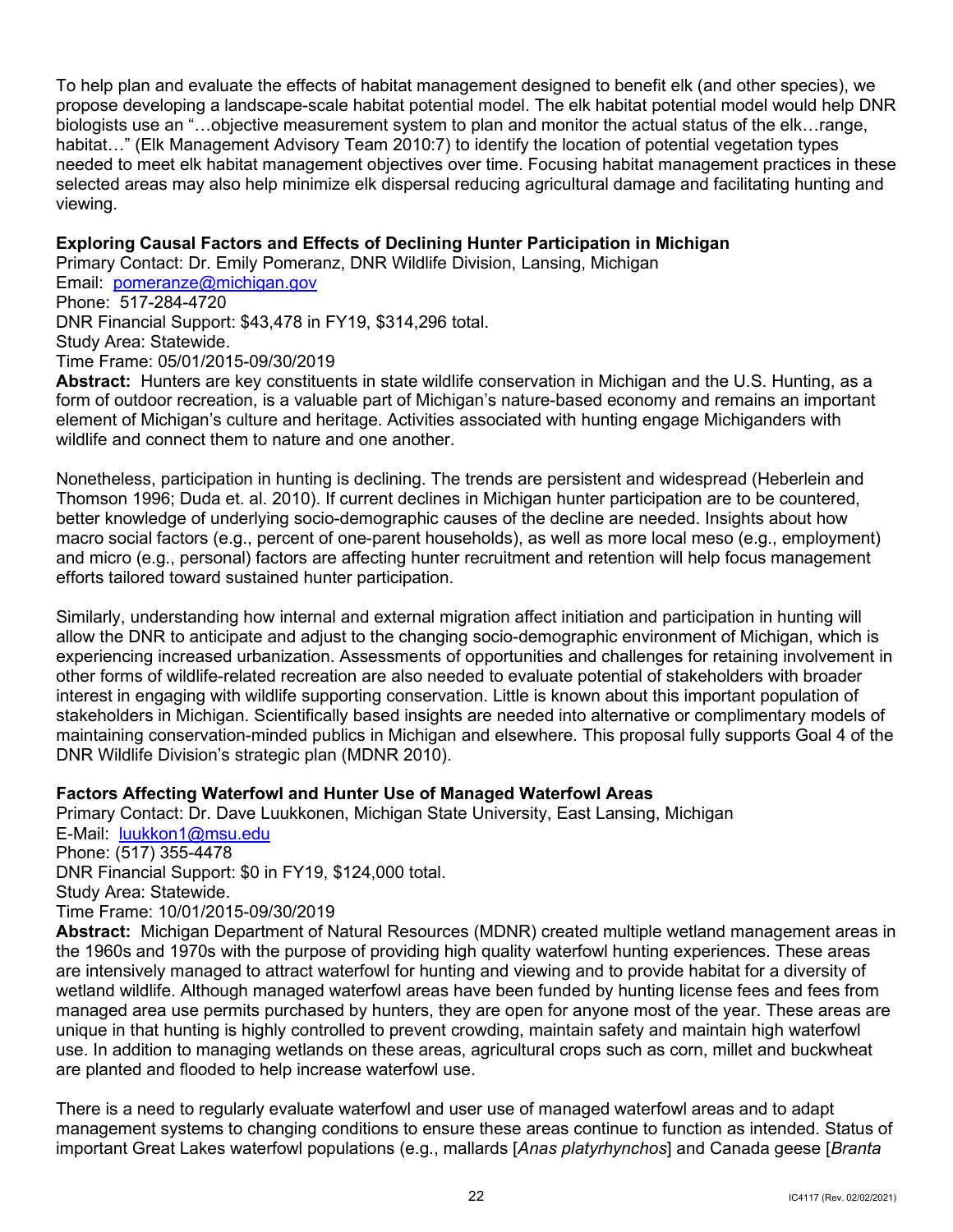To help plan and evaluate the effects of habitat management designed to benefit elk (and other species), we biologists use an "…objective measurement system to plan and monitor the actual status of the elk…range, habitat…" (Elk Management Advisory Team 2010:7) to identify the location of potential vegetation types selected areas may also help minimize elk dispersal reducing agricultural damage and facilitating hunting and propose developing a landscape-scale habitat potential model. The elk habitat potential model would help DNR needed to meet elk habitat management objectives over time. Focusing habitat management practices in these viewing.

## **Exploring Causal Factors and Effects of Declining Hunter Participation in Michigan**

 Primary Contact: Dr. Emily Pomeranz, DNR Wildlife Division, Lansing, Michigan Email: <u>pomeranze@michigan.gov</u> Phone: 517-284-4720 DNR Financial Support: \$43,478 in FY19, \$314,296 total. Study Area: Statewide. Time Frame: 05/01/2015-09/30/2019

 **Abstract:** Hunters are key constituents in state wildlife conservation in Michigan and the U.S. Hunting, as a form of outdoor recreation, is a valuable part of Michigan's nature-based economy and remains an important element of Michigan's culture and heritage. Activities associated with hunting engage Michiganders with wildlife and connect them to nature and one another.

 Nonetheless, participation in hunting is declining. The trends are persistent and widespread (Heberlein and macro social factors (e.g., percent of one-parent households), as well as more local meso (e.g., employment) and micro (e.g., personal) factors are affecting hunter recruitment and retention will help focus management Thomson 1996; Duda et. al. 2010). If current declines in Michigan hunter participation are to be countered, better knowledge of underlying socio-demographic causes of the decline are needed. Insights about how efforts tailored toward sustained hunter participation.

 Similarly, understanding how internal and external migration affect initiation and participation in hunting will allow the DNR to anticipate and adjust to the changing socio-demographic environment of Michigan, which is experiencing increased urbanization. Assessments of opportunities and challenges for retaining involvement in maintaining conservation-minded publics in Michigan and elsewhere. This proposal fully supports Goal 4 of the other forms of wildlife-related recreation are also needed to evaluate potential of stakeholders with broader interest in engaging with wildlife supporting conservation. Little is known about this important population of stakeholders in Michigan. Scientifically based insights are needed into alternative or complimentary models of DNR Wildlife Division's strategic plan (MDNR 2010).

## **Factors Affecting Waterfowl and Hunter Use of Managed Waterfowl Areas**

E-Mail: <u>luukkon1@msu.edu</u> DNR Financial Support: \$0 in FY19, \$124,000 total. Study Area: Statewide. Primary Contact: Dr. Dave Luukkonen, Michigan State University, East Lansing, Michigan Phone: (517) 355-4478 Time Frame: 10/01/2015-09/30/2019

 **Abstract:** Michigan Department of Natural Resources (MDNR) created multiple wetland management areas in are intensively managed to attract waterfowl for hunting and viewing and to provide habitat for a diversity of use. In addition to managing wetlands on these areas, agricultural crops such as corn, millet and buckwheat the 1960s and 1970s with the purpose of providing high quality waterfowl hunting experiences. These areas wetland wildlife. Although managed waterfowl areas have been funded by hunting license fees and fees from managed area use permits purchased by hunters, they are open for anyone most of the year. These areas are unique in that hunting is highly controlled to prevent crowding, maintain safety and maintain high waterfowl are planted and flooded to help increase waterfowl use.

 management systems to changing conditions to ensure these areas continue to function as intended. Status of There is a need to regularly evaluate waterfowl and user use of managed waterfowl areas and to adapt important Great Lakes waterfowl populations (e.g., mallards [*Anas platyrhynchos*] and Canada geese [*Branta*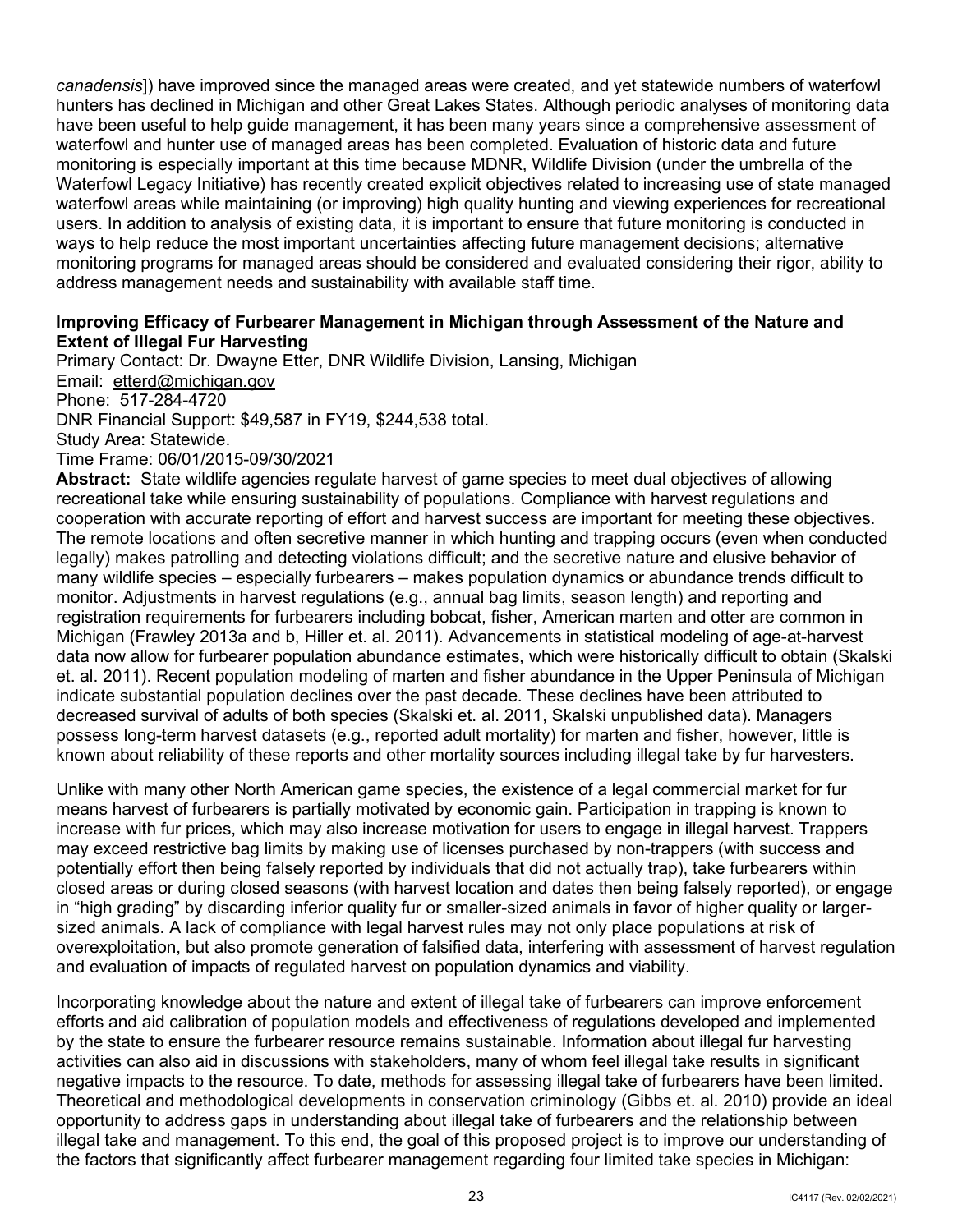users. In addition to analysis of existing data, it is important to ensure that future monitoring is conducted in *canadensis*]) have improved since the managed areas were created, and yet statewide numbers of waterfowl hunters has declined in Michigan and other Great Lakes States. Although periodic analyses of monitoring data have been useful to help guide management, it has been many years since a comprehensive assessment of waterfowl and hunter use of managed areas has been completed. Evaluation of historic data and future monitoring is especially important at this time because MDNR, Wildlife Division (under the umbrella of the Waterfowl Legacy Initiative) has recently created explicit objectives related to increasing use of state managed waterfowl areas while maintaining (or improving) high quality hunting and viewing experiences for recreational ways to help reduce the most important uncertainties affecting future management decisions; alternative monitoring programs for managed areas should be considered and evaluated considering their rigor, ability to address management needs and sustainability with available staff time.

## **Improving Efficacy of Furbearer Management in Michigan through Assessment of the Nature and Extent of Illegal Fur Harvesting**

 Email: [etterd@michigan.gov](mailto:etterd@michigan.gov)  Phone: 517-284-4720 DNR Financial Support: \$49,587 in FY19, \$244,538 total. Primary Contact: Dr. Dwayne Etter, DNR Wildlife Division, Lansing, Michigan Study Area: Statewide. Time Frame: 06/01/2015-09/30/2021

 **Abstract:** State wildlife agencies regulate harvest of game species to meet dual objectives of allowing recreational take while ensuring sustainability of populations. Compliance with harvest regulations and cooperation with accurate reporting of effort and harvest success are important for meeting these objectives. The remote locations and often secretive manner in which hunting and trapping occurs (even when conducted legally) makes patrolling and detecting violations difficult; and the secretive nature and elusive behavior of monitor. Adjustments in harvest regulations (e.g., annual bag limits, season length) and reporting and registration requirements for furbearers including bobcat, fisher, American marten and otter are common in Michigan (Frawley 2013a and b, Hiller et. al. 2011). Advancements in statistical modeling of age-at-harvest et. al. 2011). Recent population modeling of marten and fisher abundance in the Upper Peninsula of Michigan decreased survival of adults of both species (Skalski et. al. 2011, Skalski unpublished data). Managers possess long-term harvest datasets (e.g., reported adult mortality) for marten and fisher, however, little is known about reliability of these reports and other mortality sources including illegal take by fur harvesters. many wildlife species – especially furbearers – makes population dynamics or abundance trends difficult to data now allow for furbearer population abundance estimates, which were historically difficult to obtain (Skalski indicate substantial population declines over the past decade. These declines have been attributed to

 Unlike with many other North American game species, the existence of a legal commercial market for fur means harvest of furbearers is partially motivated by economic gain. Participation in trapping is known to increase with fur prices, which may also increase motivation for users to engage in illegal harvest. Trappers may exceed restrictive bag limits by making use of licenses purchased by non-trappers (with success and closed areas or during closed seasons (with harvest location and dates then being falsely reported), or engage sized animals. A lack of compliance with legal harvest rules may not only place populations at risk of and evaluation of impacts of regulated harvest on population dynamics and viability. potentially effort then being falsely reported by individuals that did not actually trap), take furbearers within in "high grading" by discarding inferior quality fur or smaller-sized animals in favor of higher quality or largeroverexploitation, but also promote generation of falsified data, interfering with assessment of harvest regulation

 Incorporating knowledge about the nature and extent of illegal take of furbearers can improve enforcement efforts and aid calibration of population models and effectiveness of regulations developed and implemented Theoretical and methodological developments in conservation criminology (Gibbs et. al. 2010) provide an ideal opportunity to address gaps in understanding about illegal take of furbearers and the relationship between illegal take and management. To this end, the goal of this proposed project is to improve our understanding of by the state to ensure the furbearer resource remains sustainable. Information about illegal fur harvesting activities can also aid in discussions with stakeholders, many of whom feel illegal take results in significant negative impacts to the resource. To date, methods for assessing illegal take of furbearers have been limited. the factors that significantly affect furbearer management regarding four limited take species in Michigan: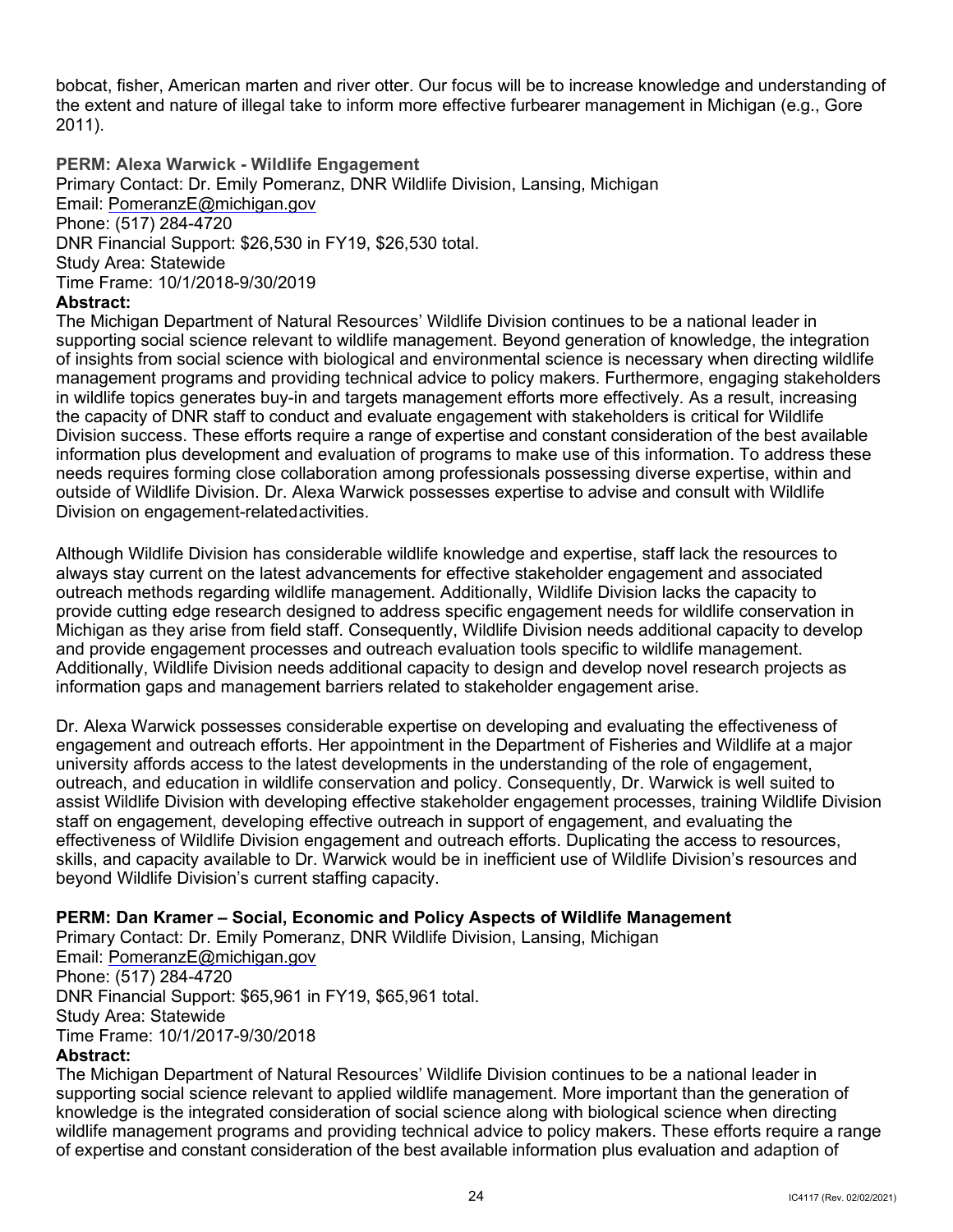bobcat, fisher, American marten and river otter. Our focus will be to increase knowledge and understanding of the extent and nature of illegal take to inform more effective furbearer management in Michigan (e.g., Gore 2011).

**PERM: Alexa Warwick - Wildlife Engagement**  Primary Contact: Dr. Emily Pomeranz, DNR Wildlife Division, Lansing, Michigan Email: [PomeranzE@michigan.gov](mailto:PomeranzE@michigan.gov)  Phone: (517) 284-4720 DNR Financial Support: \$26,530 in FY19, \$26,530 total. Study Area: Statewide Time Frame: 10/1/2018-9/30/2019

## **Abstract:**

 Division success. These efforts require a range of expertise and constant consideration of the best available Division on engagement-relatedactivities. The Michigan Department of Natural Resources' Wildlife Division continues to be a national leader in supporting social science relevant to wildlife management. Beyond generation of knowledge, the integration of insights from social science with biological and environmental science is necessary when directing wildlife management programs and providing technical advice to policy makers. Furthermore, engaging stakeholders in wildlife topics generates buy-in and targets management efforts more effectively. As a result, increasing the capacity of DNR staff to conduct and evaluate engagement with stakeholders is critical for Wildlife information plus development and evaluation of programs to make use of this information. To address these needs requires forming close collaboration among professionals possessing diverse expertise, within and outside of Wildlife Division. Dr. Alexa Warwick possesses expertise to advise and consult with Wildlife

 always stay current on the latest advancements for effective stakeholder engagement and associated Michigan as they arise from field staff. Consequently, Wildlife Division needs additional capacity to develop and provide engagement processes and outreach evaluation tools specific to wildlife management. Although Wildlife Division has considerable wildlife knowledge and expertise, staff lack the resources to outreach methods regarding wildlife management. Additionally, Wildlife Division lacks the capacity to provide cutting edge research designed to address specific engagement needs for wildlife conservation in Additionally, Wildlife Division needs additional capacity to design and develop novel research projects as information gaps and management barriers related to stakeholder engagement arise.

 engagement and outreach efforts. Her appointment in the Department of Fisheries and Wildlife at a major Dr. Alexa Warwick possesses considerable expertise on developing and evaluating the effectiveness of university affords access to the latest developments in the understanding of the role of engagement, outreach, and education in wildlife conservation and policy. Consequently, Dr. Warwick is well suited to assist Wildlife Division with developing effective stakeholder engagement processes, training Wildlife Division staff on engagement, developing effective outreach in support of engagement, and evaluating the effectiveness of Wildlife Division engagement and outreach efforts. Duplicating the access to resources, skills, and capacity available to Dr. Warwick would be in inefficient use of Wildlife Division's resources and beyond Wildlife Division's current staffing capacity.

## **PERM: Dan Kramer – Social, Economic and Policy Aspects of Wildlife Management**

Primary Contact: Dr. Emily Pomeranz, DNR Wildlife Division, Lansing, Michigan Email: [PomeranzE@michigan.gov](mailto:PomeranzE@michigan.gov)  Phone: (517) 284-4720 DNR Financial Support: \$65,961 in FY19, \$65,961 total. Study Area: Statewide Time Frame: 10/1/2017-9/30/2018 **Abstract:** 

 wildlife management programs and providing technical advice to policy makers. These efforts require a range of expertise and constant consideration of the best available information plus evaluation and adaption of The Michigan Department of Natural Resources' Wildlife Division continues to be a national leader in supporting social science relevant to applied wildlife management. More important than the generation of knowledge is the integrated consideration of social science along with biological science when directing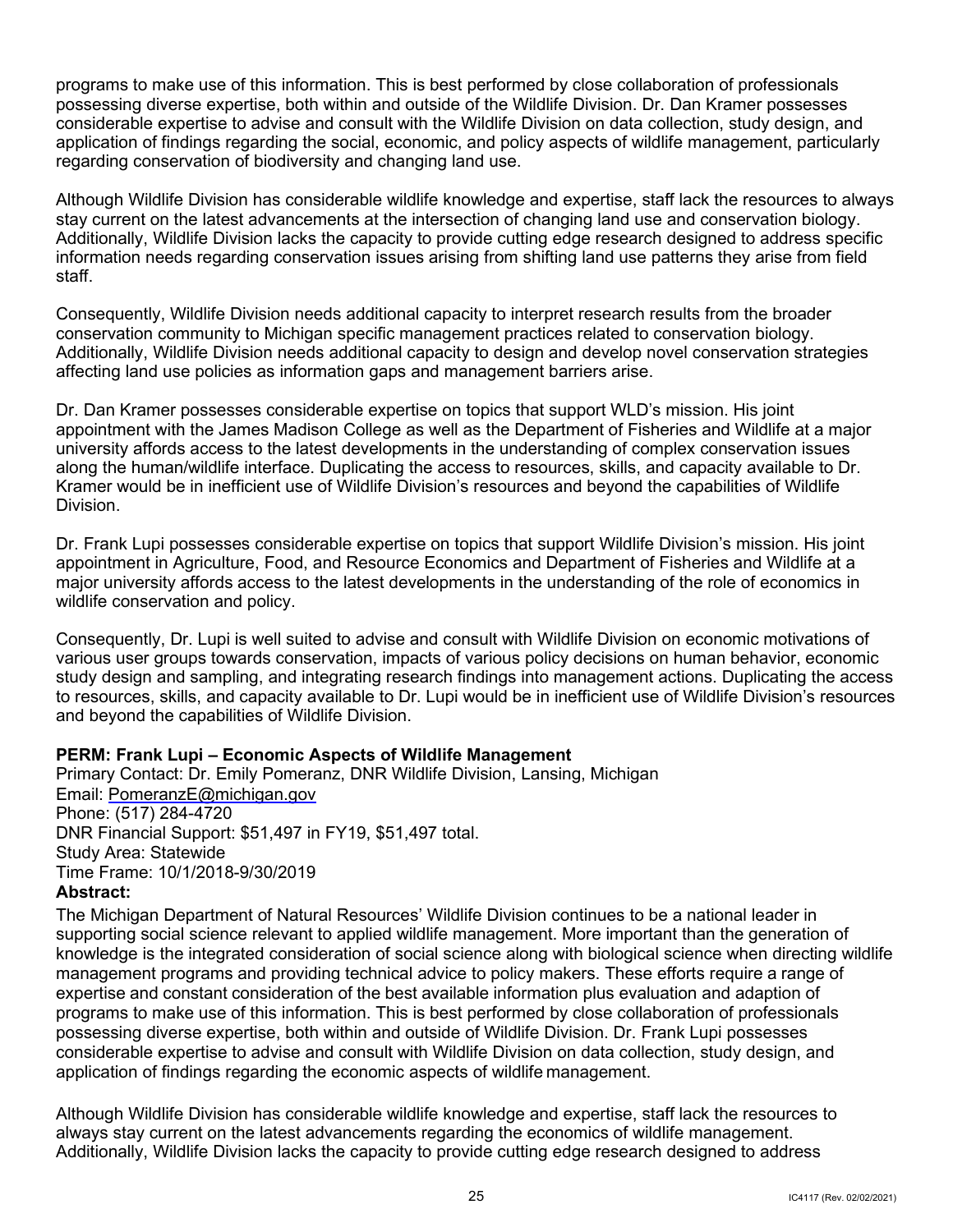application of findings regarding the social, economic, and policy aspects of wildlife management, particularly regarding conservation of biodiversity and changing land use. programs to make use of this information. This is best performed by close collaboration of professionals possessing diverse expertise, both within and outside of the Wildlife Division. Dr. Dan Kramer possesses considerable expertise to advise and consult with the Wildlife Division on data collection, study design, and

 stay current on the latest advancements at the intersection of changing land use and conservation biology. Although Wildlife Division has considerable wildlife knowledge and expertise, staff lack the resources to always Additionally, Wildlife Division lacks the capacity to provide cutting edge research designed to address specific information needs regarding conservation issues arising from shifting land use patterns they arise from field staff.

 Consequently, Wildlife Division needs additional capacity to interpret research results from the broader conservation community to Michigan specific management practices related to conservation biology. Additionally, Wildlife Division needs additional capacity to design and develop novel conservation strategies affecting land use policies as information gaps and management barriers arise.

 Dr. Dan Kramer possesses considerable expertise on topics that support WLD's mission. His joint appointment with the James Madison College as well as the Department of Fisheries and Wildlife at a major university affords access to the latest developments in the understanding of complex conservation issues along the human/wildlife interface. Duplicating the access to resources, skills, and capacity available to Dr. Kramer would be in inefficient use of Wildlife Division's resources and beyond the capabilities of Wildlife Division.

 Dr. Frank Lupi possesses considerable expertise on topics that support Wildlife Division's mission. His joint major university affords access to the latest developments in the understanding of the role of economics in appointment in Agriculture, Food, and Resource Economics and Department of Fisheries and Wildlife at a wildlife conservation and policy.

 various user groups towards conservation, impacts of various policy decisions on human behavior, economic and beyond the capabilities of Wildlife Division. Consequently, Dr. Lupi is well suited to advise and consult with Wildlife Division on economic motivations of study design and sampling, and integrating research findings into management actions. Duplicating the access to resources, skills, and capacity available to Dr. Lupi would be in inefficient use of Wildlife Division's resources

## **PERM: Frank Lupi – Economic Aspects of Wildlife Management**

Primary Contact: Dr. Emily Pomeranz, DNR Wildlife Division, Lansing, Michigan Email: [PomeranzE@michigan.gov](mailto:PomeranzE@michigan.gov)  Phone: (517) 284-4720 DNR Financial Support: \$51,497 in FY19, \$51,497 total. Study Area: Statewide Time Frame: 10/1/2018-9/30/2019

## **Abstract:**

 management programs and providing technical advice to policy makers. These efforts require a range of expertise and constant consideration of the best available information plus evaluation and adaption of programs to make use of this information. This is best performed by close collaboration of professionals The Michigan Department of Natural Resources' Wildlife Division continues to be a national leader in supporting social science relevant to applied wildlife management. More important than the generation of knowledge is the integrated consideration of social science along with biological science when directing wildlife possessing diverse expertise, both within and outside of Wildlife Division. Dr. Frank Lupi possesses considerable expertise to advise and consult with Wildlife Division on data collection, study design, and application of findings regarding the economic aspects of wildlife management.

Although Wildlife Division has considerable wildlife knowledge and expertise, staff lack the resources to always stay current on the latest advancements regarding the economics of wildlife management. Additionally, Wildlife Division lacks the capacity to provide cutting edge research designed to address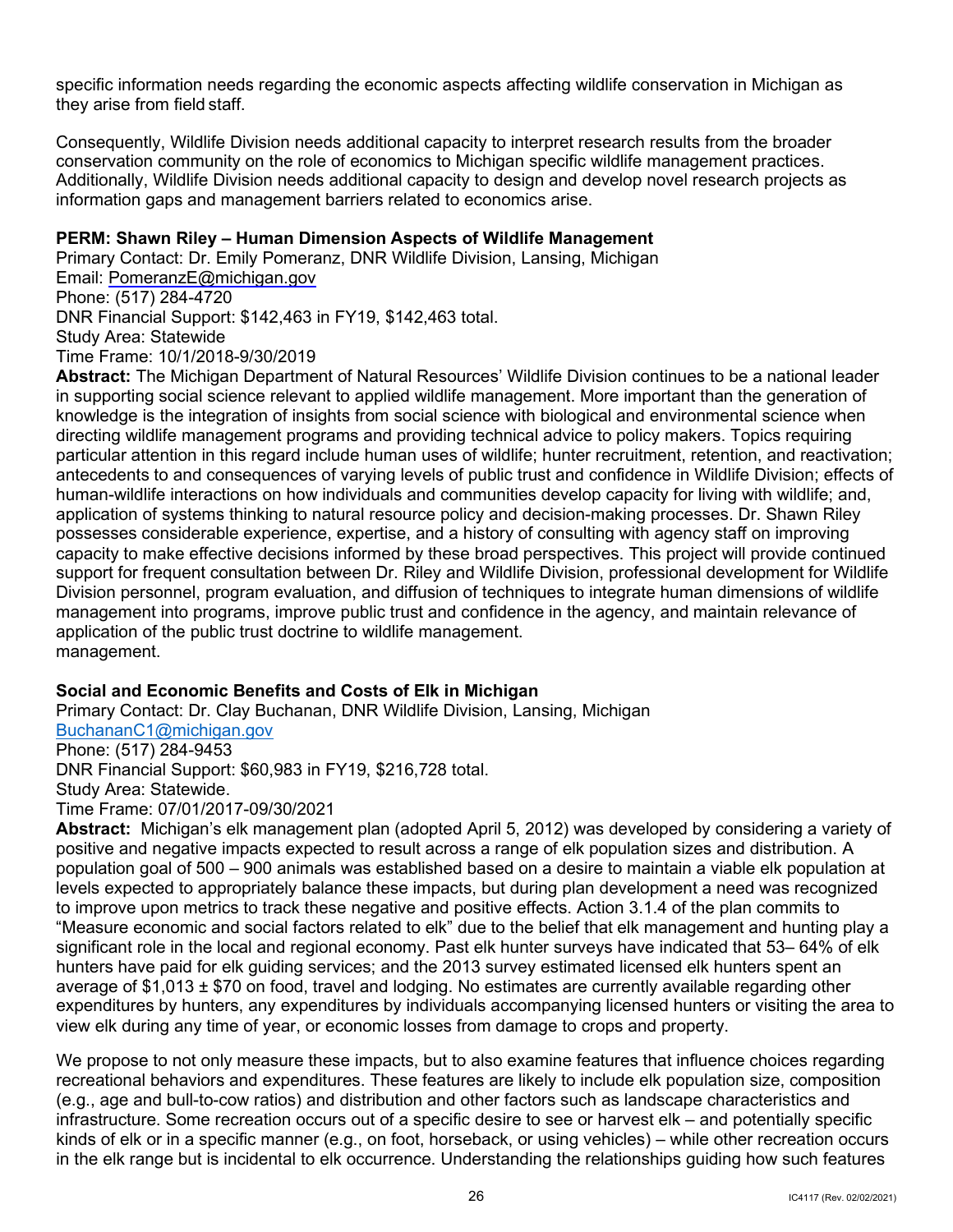they arise from field staff. specific information needs regarding the economic aspects affecting wildlife conservation in Michigan as

 Consequently, Wildlife Division needs additional capacity to interpret research results from the broader conservation community on the role of economics to Michigan specific wildlife management practices. Additionally, Wildlife Division needs additional capacity to design and develop novel research projects as information gaps and management barriers related to economics arise.

## **PERM: Shawn Riley – Human Dimension Aspects of Wildlife Management**

Primary Contact: Dr. Emily Pomeranz, DNR Wildlife Division, Lansing, Michigan Email: [PomeranzE@michigan.gov](mailto:PomeranzE@michigan.gov)  Phone: (517) 284-4720 DNR Financial Support: \$142,463 in FY19, \$142,463 total. Study Area: Statewide Time Frame: 10/1/2018-9/30/2019

 support for frequent consultation between Dr. Riley and Wildlife Division, professional development for Wildlife management into programs, improve public trust and confidence in the agency, and maintain relevance of application of the public trust doctrine to wildlife management. **Abstract:** The Michigan Department of Natural Resources' Wildlife Division continues to be a national leader in supporting social science relevant to applied wildlife management. More important than the generation of knowledge is the integration of insights from social science with biological and environmental science when directing wildlife management programs and providing technical advice to policy makers. Topics requiring particular attention in this regard include human uses of wildlife; hunter recruitment, retention, and reactivation; antecedents to and consequences of varying levels of public trust and confidence in Wildlife Division; effects of human-wildlife interactions on how individuals and communities develop capacity for living with wildlife; and, application of systems thinking to natural resource policy and decision-making processes. Dr. Shawn Riley possesses considerable experience, expertise, and a history of consulting with agency staff on improving capacity to make effective decisions informed by these broad perspectives. This project will provide continued Division personnel, program evaluation, and diffusion of techniques to integrate human dimensions of wildlife management.

## **Social and Economic Benefits and Costs of Elk in Michigan**

BuchananC1@michigan.gov DNR Financial Support: \$60,983 in FY19, \$216,728 total. Primary Contact: Dr. Clay Buchanan, DNR Wildlife Division, Lansing, Michigan Phone: (517) 284-9453

Study Area: Statewide.

Time Frame: 07/01/2017-09/30/2021

 **Abstract:** Michigan's elk management plan (adopted April 5, 2012) was developed by considering a variety of positive and negative impacts expected to result across a range of elk population sizes and distribution. A to improve upon metrics to track these negative and positive effects. Action 3.1.4 of the plan commits to "Measure economic and social factors related to elk" due to the belief that elk management and hunting play a significant role in the local and regional economy. Past elk hunter surveys have indicated that 53– 64% of elk hunters have paid for elk guiding services; and the 2013 survey estimated licensed elk hunters spent an average of \$1,013 ± \$70 on food, travel and lodging. No estimates are currently available regarding other view elk during any time of year, or economic losses from damage to crops and property. population goal of 500 – 900 animals was established based on a desire to maintain a viable elk population at levels expected to appropriately balance these impacts, but during plan development a need was recognized expenditures by hunters, any expenditures by individuals accompanying licensed hunters or visiting the area to

 We propose to not only measure these impacts, but to also examine features that influence choices regarding recreational behaviors and expenditures. These features are likely to include elk population size, composition (e.g., age and bull-to-cow ratios) and distribution and other factors such as landscape characteristics and infrastructure. Some recreation occurs out of a specific desire to see or harvest elk – and potentially specific kinds of elk or in a specific manner (e.g., on foot, horseback, or using vehicles) – while other recreation occurs in the elk range but is incidental to elk occurrence. Understanding the relationships guiding how such features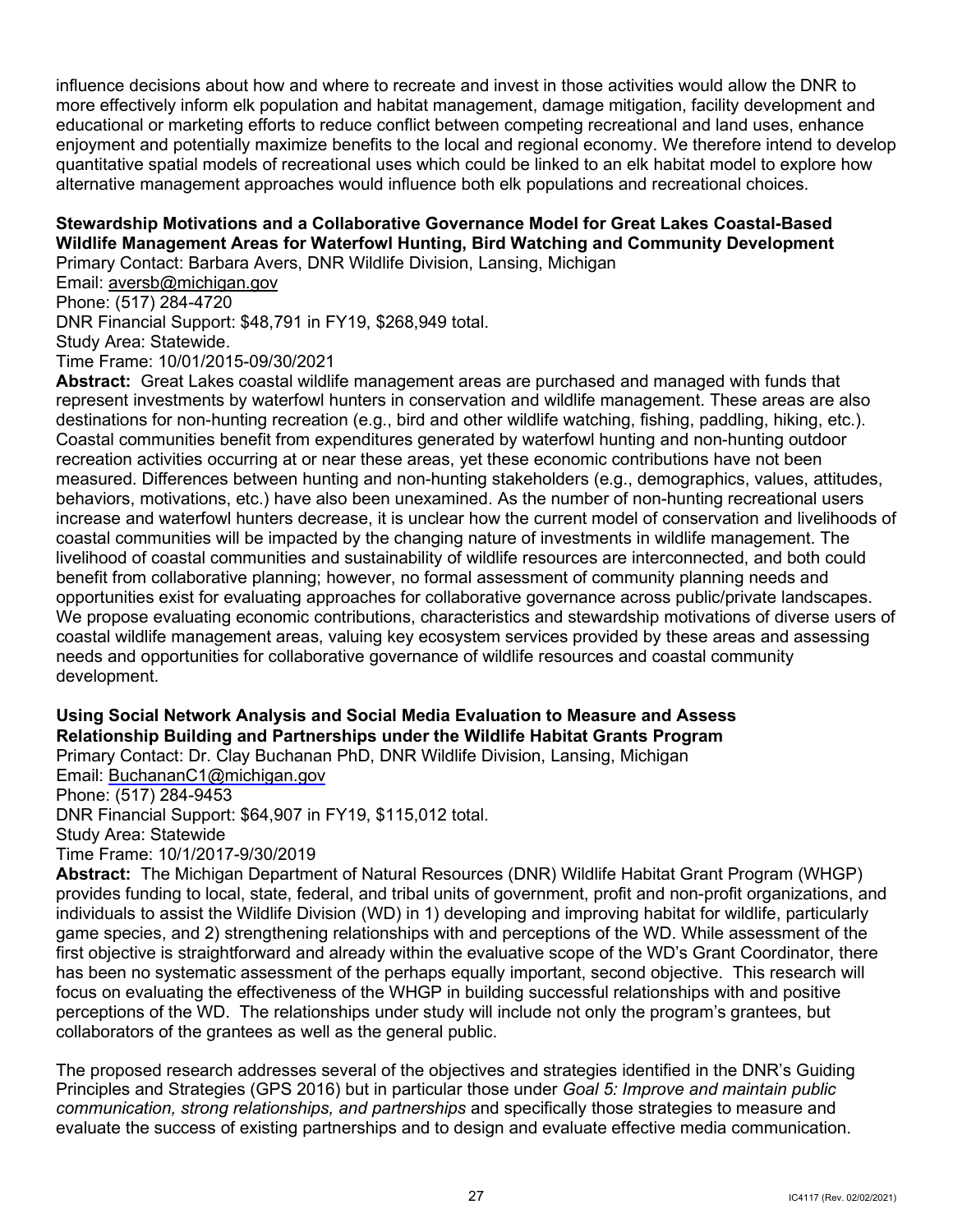influence decisions about how and where to recreate and invest in those activities would allow the DNR to more effectively inform elk population and habitat management, damage mitigation, facility development and educational or marketing efforts to reduce conflict between competing recreational and land uses, enhance enjoyment and potentially maximize benefits to the local and regional economy. We therefore intend to develop quantitative spatial models of recreational uses which could be linked to an elk habitat model to explore how alternative management approaches would influence both elk populations and recreational choices.

# **Stewardship Motivations and a Collaborative Governance Model for Great Lakes Coastal-Based Wildlife Management Areas for Waterfowl Hunting, Bird Watching and Community Development**

Primary Contact: Barbara Avers, DNR Wildlife Division, Lansing, Michigan

Email: <u>aversb@michigan.gov</u><br>Phone: (517) 284-4720

DNR Financial Support: \$48,791 in FY19, \$268,949 total.

Study Area: Statewide.

Time Frame: 10/01/2015-09/30/2021

 **Abstract:** Great Lakes coastal wildlife management areas are purchased and managed with funds that represent investments by waterfowl hunters in conservation and wildlife management. These areas are also destinations for non-hunting recreation (e.g., bird and other wildlife watching, fishing, paddling, hiking, etc.). Coastal communities benefit from expenditures generated by waterfowl hunting and non-hunting outdoor measured. Differences between hunting and non-hunting stakeholders (e.g., demographics, values, attitudes, behaviors, motivations, etc.) have also been unexamined. As the number of non-hunting recreational users increase and waterfowl hunters decrease, it is unclear how the current model of conservation and livelihoods of livelihood of coastal communities and sustainability of wildlife resources are interconnected, and both could benefit from collaborative planning; however, no formal assessment of community planning needs and We propose evaluating economic contributions, characteristics and stewardship motivations of diverse users of coastal wildlife management areas, valuing key ecosystem services provided by these areas and assessing needs and opportunities for collaborative governance of wildlife resources and coastal community recreation activities occurring at or near these areas, yet these economic contributions have not been coastal communities will be impacted by the changing nature of investments in wildlife management. The opportunities exist for evaluating approaches for collaborative governance across public/private landscapes. development.

#### **Using Social Network Analysis and Social Media Evaluation to Measure and Assess Relationship Building and Partnerships under the Wildlife Habitat Grants Program**  Primary Contact: Dr. Clay Buchanan PhD, DNR Wildlife Division, Lansing, Michigan

Email: [BuchananC1@michigan.gov](mailto:BuchananC1@michigan.gov) 

## Phone: (517) 284-9453

DNR Financial Support: \$64,907 in FY19, \$115,012 total.

Study Area: Statewide

Time Frame: 10/1/2017-9/30/2019

 **Abstract:** The Michigan Department of Natural Resources (DNR) Wildlife Habitat Grant Program (WHGP) first objective is straightforward and already within the evaluative scope of the WD's Grant Coordinator, there perceptions of the WD. The relationships under study will include not only the program's grantees, but provides funding to local, state, federal, and tribal units of government, profit and non-profit organizations, and individuals to assist the Wildlife Division (WD) in 1) developing and improving habitat for wildlife, particularly game species, and 2) strengthening relationships with and perceptions of the WD. While assessment of the has been no systematic assessment of the perhaps equally important, second objective. This research will focus on evaluating the effectiveness of the WHGP in building successful relationships with and positive collaborators of the grantees as well as the general public.

The proposed research addresses several of the objectives and strategies identified in the DNR's Guiding Principles and Strategies (GPS 2016) but in particular those under *Goal 5: Improve and maintain public communication, strong relationships, and partnerships* and specifically those strategies to measure and evaluate the success of existing partnerships and to design and evaluate effective media communication.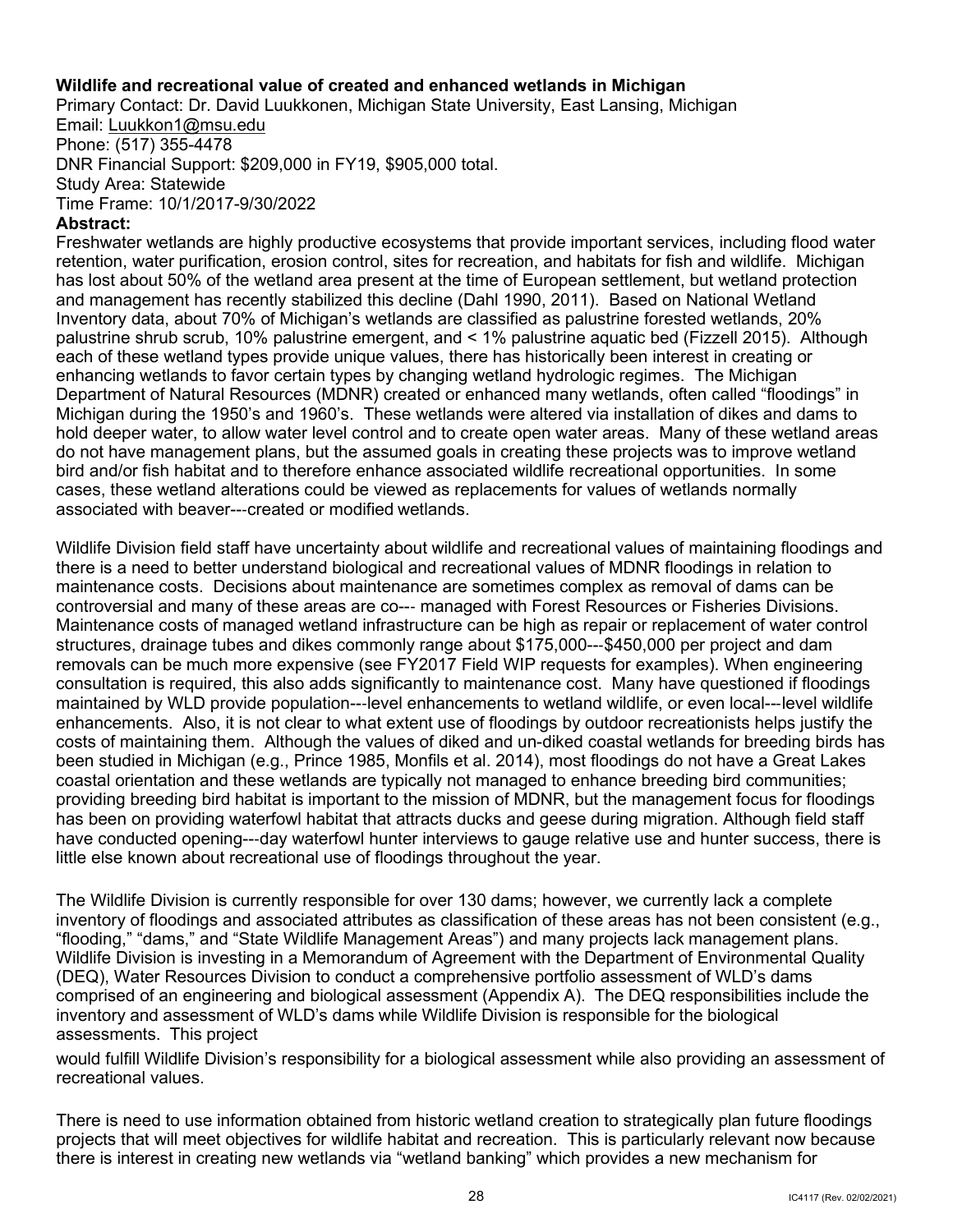## **Wildlife and recreational value of created and enhanced wetlands in Michigan**

Primary Contact: Dr. David Luukkonen, Michigan State University, East Lansing, Michigan Email: [Luukkon1@msu.edu](mailto:Luukkon1@msu.edu)  Phone: (517) 355-4478 DNR Financial Support: \$209,000 in FY19, \$905,000 total.

Study Area: Statewide

Time Frame: 10/1/2017-9/30/2022

## **Abstract:**

 palustrine shrub scrub, 10% palustrine emergent, and < 1% palustrine aquatic bed (Fizzell 2015). Although hold deeper water, to allow water level control and to create open water areas. Many of these wetland areas bird and/or fish habitat and to therefore enhance associated wildlife recreational opportunities. In some associated with beaver---created or modified wetlands. Freshwater wetlands are highly productive ecosystems that provide important services, including flood water retention, water purification, erosion control, sites for recreation, and habitats for fish and wildlife. Michigan has lost about 50% of the wetland area present at the time of European settlement, but wetland protection and management has recently stabilized this decline (Dahl 1990, 2011). Based on National Wetland Inventory data, about 70% of Michigan's wetlands are classified as palustrine forested wetlands, 20% each of these wetland types provide unique values, there has historically been interest in creating or enhancing wetlands to favor certain types by changing wetland hydrologic regimes. The Michigan Department of Natural Resources (MDNR) created or enhanced many wetlands, often called "floodings" in Michigan during the 1950's and 1960's. These wetlands were altered via installation of dikes and dams to do not have management plans, but the assumed goals in creating these projects was to improve wetland cases, these wetland alterations could be viewed as replacements for values of wetlands normally

 controversial and many of these areas are co--- managed with Forest Resources or Fisheries Divisions. consultation is required, this also adds significantly to maintenance cost. Many have questioned if floodings been studied in Michigan (e.g., Prince 1985, Monfils et al. 2014), most floodings do not have a Great Lakes providing breeding bird habitat is important to the mission of MDNR, but the management focus for floodings have conducted opening---day waterfowl hunter interviews to gauge relative use and hunter success, there is little else known about recreational use of floodings throughout the year. Wildlife Division field staff have uncertainty about wildlife and recreational values of maintaining floodings and there is a need to better understand biological and recreational values of MDNR floodings in relation to maintenance costs. Decisions about maintenance are sometimes complex as removal of dams can be Maintenance costs of managed wetland infrastructure can be high as repair or replacement of water control structures, drainage tubes and dikes commonly range about \$175,000---\$450,000 per project and dam removals can be much more expensive (see FY2017 Field WIP requests for examples). When engineering maintained by WLD provide population---level enhancements to wetland wildlife, or even local---level wildlife enhancements. Also, it is not clear to what extent use of floodings by outdoor recreationists helps justify the costs of maintaining them. Although the values of diked and un-diked coastal wetlands for breeding birds has coastal orientation and these wetlands are typically not managed to enhance breeding bird communities; has been on providing waterfowl habitat that attracts ducks and geese during migration. Although field staff

 (DEQ), Water Resources Division to conduct a comprehensive portfolio assessment of WLD's dams comprised of an engineering and biological assessment (Appendix A). The DEQ responsibilities include the inventory and assessment of WLD's dams while Wildlife Division is responsible for the biological assessments. This project The Wildlife Division is currently responsible for over 130 dams; however, we currently lack a complete inventory of floodings and associated attributes as classification of these areas has not been consistent (e.g., "flooding," "dams," and "State Wildlife Management Areas") and many projects lack management plans. Wildlife Division is investing in a Memorandum of Agreement with the Department of Environmental Quality

would fulfill Wildlife Division's responsibility for a biological assessment while also providing an assessment of recreational values.

 projects that will meet objectives for wildlife habitat and recreation. This is particularly relevant now because there is interest in creating new wetlands via "wetland banking" which provides a new mechanism for There is need to use information obtained from historic wetland creation to strategically plan future floodings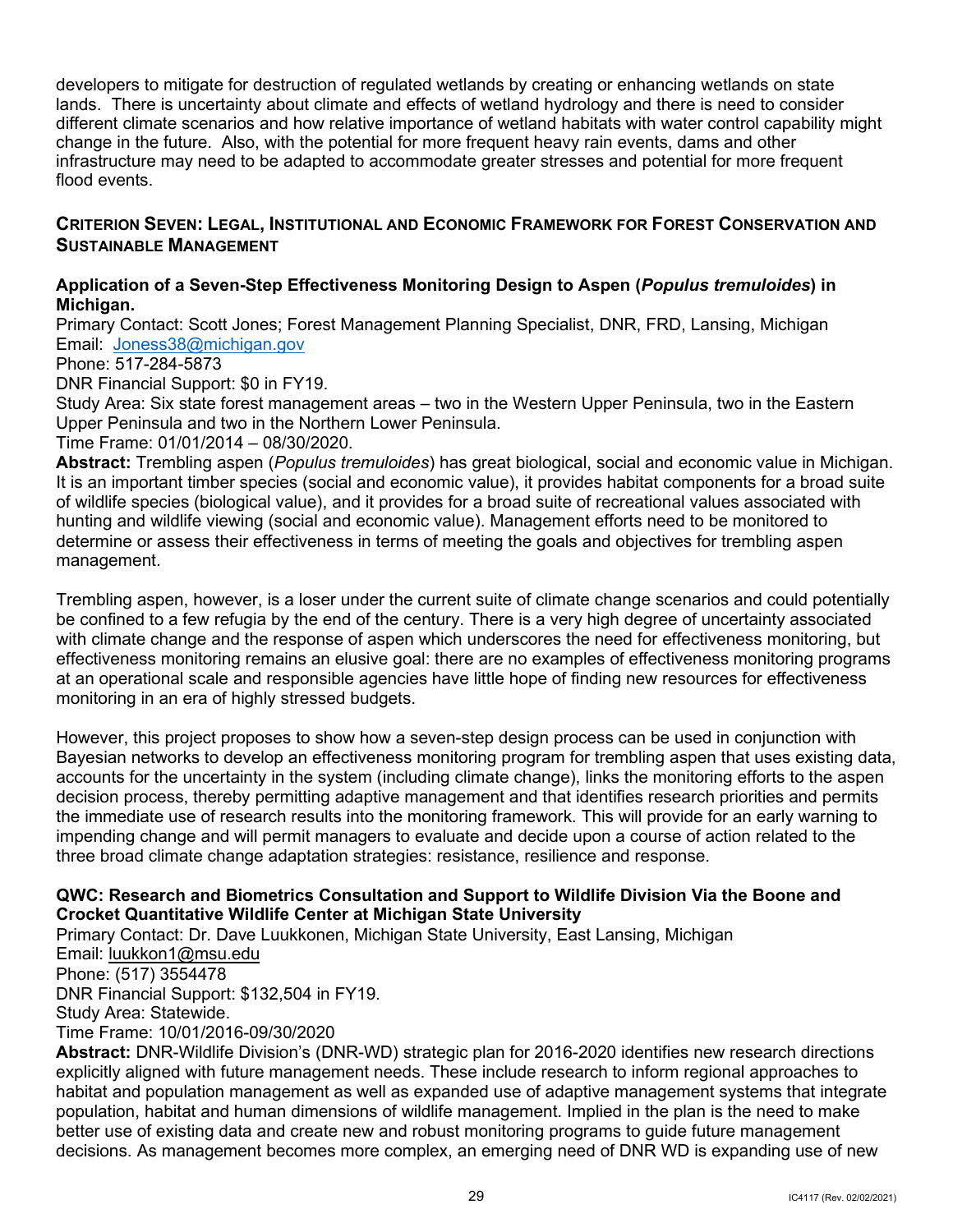lands. There is uncertainty about climate and effects of wetland hydrology and there is need to consider developers to mitigate for destruction of regulated wetlands by creating or enhancing wetlands on state different climate scenarios and how relative importance of wetland habitats with water control capability might change in the future. Also, with the potential for more frequent heavy rain events, dams and other infrastructure may need to be adapted to accommodate greater stresses and potential for more frequent flood events.

## <span id="page-31-0"></span> **CRITERION SEVEN: LEGAL, INSTITUTIONAL AND ECONOMIC FRAMEWORK FOR FOREST CONSERVATION AND SUSTAINABLE MANAGEMENT**

## **Application of a Seven-Step Effectiveness Monitoring Design to Aspen (***Populus tremuloides***) in Michigan.**

 Email: [Joness38@michigan.gov](mailto:Joness38@michigan.gov)  Primary Contact: Scott Jones; Forest Management Planning Specialist, DNR, FRD, Lansing, Michigan

Phone: 517-284-5873

DNR Financial Support: \$0 in FY19.

 Study Area: Six state forest management areas – two in the Western Upper Peninsula, two in the Eastern Upper Peninsula and two in the Northern Lower Peninsula.

Time Frame: 01/01/2014 – 08/30/2020.

 **Abstract:** Trembling aspen (*Populus tremuloides*) has great biological, social and economic value in Michigan. It is an important timber species (social and economic value), it provides habitat components for a broad suite hunting and wildlife viewing (social and economic value). Management efforts need to be monitored to determine or assess their effectiveness in terms of meeting the goals and objectives for trembling aspen of wildlife species (biological value), and it provides for a broad suite of recreational values associated with management.

 Trembling aspen, however, is a loser under the current suite of climate change scenarios and could potentially with climate change and the response of aspen which underscores the need for effectiveness monitoring, but at an operational scale and responsible agencies have little hope of finding new resources for effectiveness be confined to a few refugia by the end of the century. There is a very high degree of uncertainty associated effectiveness monitoring remains an elusive goal: there are no examples of effectiveness monitoring programs monitoring in an era of highly stressed budgets.

 accounts for the uncertainty in the system (including climate change), links the monitoring efforts to the aspen decision process, thereby permitting adaptive management and that identifies research priorities and permits the immediate use of research results into the monitoring framework. This will provide for an early warning to impending change and will permit managers to evaluate and decide upon a course of action related to the three broad climate change adaptation strategies: resistance, resilience and response. However, this project proposes to show how a seven-step design process can be used in conjunction with Bayesian networks to develop an effectiveness monitoring program for trembling aspen that uses existing data,

## **QWC: Research and Biometrics Consultation and Support to Wildlife Division Via the Boone and Crocket Quantitative Wildlife Center at Michigan State University**

Primary Contact: Dr. Dave Luukkonen, Michigan State University, East Lansing, Michigan Email: [luukkon1@msu.edu](mailto:LuukkonenD@michigan.gov)  Phone: (517) 3554478 DNR Financial Support: \$132,504 in FY19. Study Area: Statewide. Time Frame: 10/01/2016-09/30/2020

**Abstract:** DNR-Wildlife Division's (DNR-WD) strategic plan for 2016-2020 identifies new research directions explicitly aligned with future management needs. These include research to inform regional approaches to habitat and population management as well as expanded use of adaptive management systems that integrate population, habitat and human dimensions of wildlife management. Implied in the plan is the need to make better use of existing data and create new and robust monitoring programs to guide future management decisions. As management becomes more complex, an emerging need of DNR WD is expanding use of new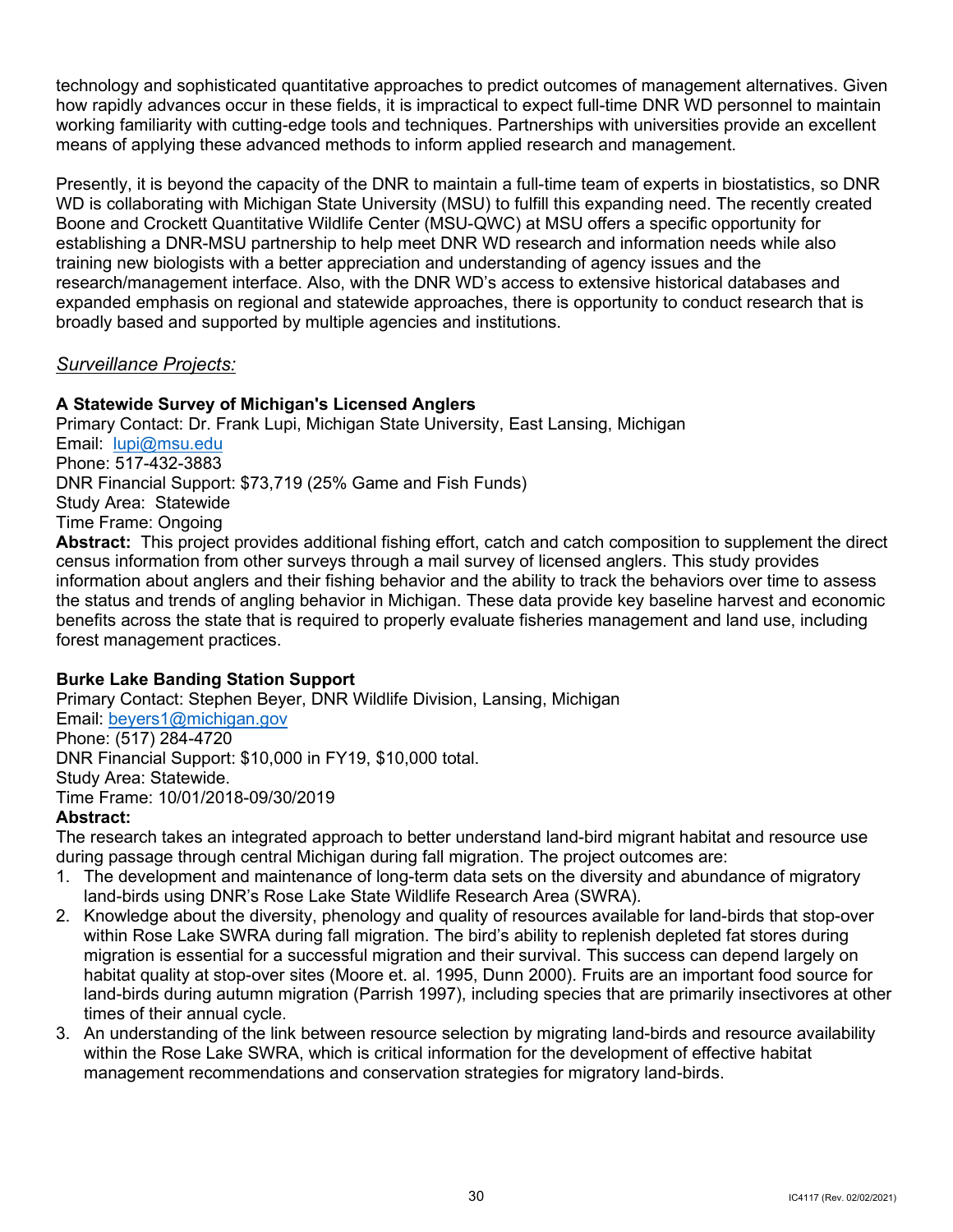technology and sophisticated quantitative approaches to predict outcomes of management alternatives. Given how rapidly advances occur in these fields, it is impractical to expect full-time DNR WD personnel to maintain working familiarity with cutting-edge tools and techniques. Partnerships with universities provide an excellent means of applying these advanced methods to inform applied research and management.

 Presently, it is beyond the capacity of the DNR to maintain a full-time team of experts in biostatistics, so DNR WD is collaborating with Michigan State University (MSU) to fulfill this expanding need. The recently created expanded emphasis on regional and statewide approaches, there is opportunity to conduct research that is Boone and Crockett Quantitative Wildlife Center (MSU-QWC) at MSU offers a specific opportunity for establishing a DNR-MSU partnership to help meet DNR WD research and information needs while also training new biologists with a better appreciation and understanding of agency issues and the research/management interface. Also, with the DNR WD's access to extensive historical databases and broadly based and supported by multiple agencies and institutions.

## *Surveillance Projects:*

## **A Statewide Survey of Michigan's Licensed Anglers**

Email: <u>lupi@msu.edu</u> DNR Financial Support: \$73,719 (25% Game and Fish Funds) **Abstract:** This project provides additional fishing effort, catch and catch composition to supplement the direct Primary Contact: Dr. Frank Lupi, Michigan State University, East Lansing, Michigan Phone: 517-432-3883 Study Area: Statewide Time Frame: Ongoing

 information about anglers and their fishing behavior and the ability to track the behaviors over time to assess the status and trends of angling behavior in Michigan. These data provide key baseline harvest and economic benefits across the state that is required to properly evaluate fisheries management and land use, including forest management practices. census information from other surveys through a mail survey of licensed anglers. This study provides

## **Burke Lake Banding Station Support**

Email: <u>beyers1@michigan.gov</u><br>Phone: (517) 284-4720 DNR Financial Support: \$10,000 in FY19, \$10,000 total.<br>Study Area: Statewide.<br>Time Frame: 10/01/2018-09/30/2019 Study Area: Statewide. Primary Contact: Stephen Beyer, DNR Wildlife Division, Lansing, Michigan

## **Abstract:**

The research takes an integrated approach to better understand land-bird migrant habitat and resource use during passage through central Michigan during fall migration. The project outcomes are:

- 1. The development and maintenance of long-term data sets on the diversity and abundance of migratory land-birds using DNR's Rose Lake State Wildlife Research Area (SWRA).
- land-birds during autumn migration (Parrish 1997), including species that are primarily insectivores at other 2. Knowledge about the diversity, phenology and quality of resources available for land-birds that stop-over within Rose Lake SWRA during fall migration. The bird's ability to replenish depleted fat stores during migration is essential for a successful migration and their survival. This success can depend largely on habitat quality at stop-over sites (Moore et. al. 1995, Dunn 2000). Fruits are an important food source for times of their annual cycle.
- management recommendations and conservation strategies for migratory land-birds. 3. An understanding of the link between resource selection by migrating land-birds and resource availability within the Rose Lake SWRA, which is critical information for the development of effective habitat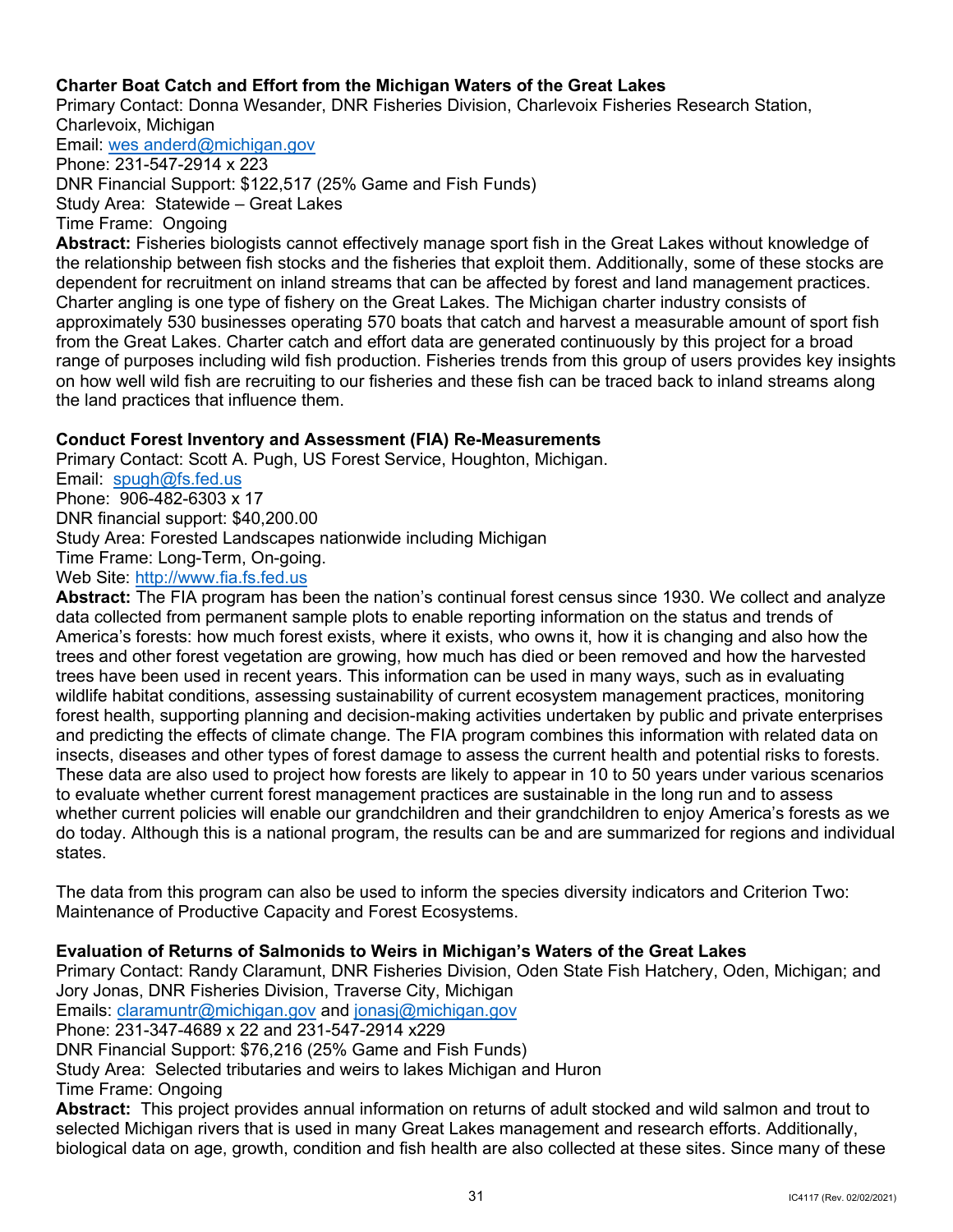## **Charter Boat Catch and Effort from the Michigan Waters of the Great Lakes**

Primary Contact: Donna Wesander, DNR Fisheries Division, Charlevoix Fisheries Research Station, Charlevoix, Michigan

Email: [wes anderd@michigan.gov](mailto:wesanderd@michigan.gov) 

 DNR Financial Support: \$122,517 (25% Game and Fish Funds) Phone: 231-547-2914 x 223 Study Area: Statewide – Great Lakes Time Frame: Ongoing

 the relationship between fish stocks and the fisheries that exploit them. Additionally, some of these stocks are dependent for recruitment on inland streams that can be affected by forest and land management practices. approximately 530 businesses operating 570 boats that catch and harvest a measurable amount of sport fish from the Great Lakes. Charter catch and effort data are generated continuously by this project for a broad on how well wild fish are recruiting to our fisheries and these fish can be traced back to inland streams along **Abstract:** Fisheries biologists cannot effectively manage sport fish in the Great Lakes without knowledge of Charter angling is one type of fishery on the Great Lakes. The Michigan charter industry consists of range of purposes including wild fish production. Fisheries trends from this group of users provides key insights the land practices that influence them.

## **Conduct Forest Inventory and Assessment (FIA) Re-Measurements**

Email: spugh@fs.fed.us Phone: 906-482-6303 x 17 Primary Contact: Scott A. Pugh, US Forest Service, Houghton, Michigan. DNR financial support: [\\$40,200.00](https://40,200.00) Study Area: Forested Landscapes nationwide including Michigan Time Frame: Long-Term, On-going. Web Site: [http://www.fia.fs.fed.us](http://www.fia.fs.fed.us/) 

 insects, diseases and other types of forest damage to assess the current health and potential risks to forests. These data are also used to project how forests are likely to appear in 10 to 50 years under various scenarios to evaluate whether current forest management practices are sustainable in the long run and to assess **Abstract:** The FIA program has been the nation's continual forest census since 1930. We collect and analyze data collected from permanent sample plots to enable reporting information on the status and trends of America's forests: how much forest exists, where it exists, who owns it, how it is changing and also how the trees and other forest vegetation are growing, how much has died or been removed and how the harvested trees have been used in recent years. This information can be used in many ways, such as in evaluating wildlife habitat conditions, assessing sustainability of current ecosystem management practices, monitoring forest health, supporting planning and decision-making activities undertaken by public and private enterprises and predicting the effects of climate change. The FIA program combines this information with related data on whether current policies will enable our grandchildren and their grandchildren to enjoy America's forests as we do today. Although this is a national program, the results can be and are summarized for regions and individual states.

The data from this program can also be used to inform the species diversity indicators and Criterion Two: Maintenance of Productive Capacity and Forest Ecosystems.

## **Evaluation of Returns of Salmonids to Weirs in Michigan's Waters of the Great Lakes**

 Emails: [claramuntr@michigan.gov](mailto:claramuntr@michigan.gov) and [jonasj@michigan.gov](mailto:jonasj@michigan.gov)  **Abstract:** This project provides annual information on returns of adult stocked and wild salmon and trout to biological data on age, growth, condition and fish health are also collected at these sites. Since many of these Primary Contact: Randy Claramunt, DNR Fisheries Division, Oden State Fish Hatchery, Oden, Michigan; and Jory Jonas, DNR Fisheries Division, Traverse City, Michigan Phone: 231-347-4689 x 22 and 231-547-2914 x229 DNR Financial Support: \$76,216 (25% Game and Fish Funds) Study Area: Selected tributaries and weirs to lakes Michigan and Huron Time Frame: Ongoing selected Michigan rivers that is used in many Great Lakes management and research efforts. Additionally,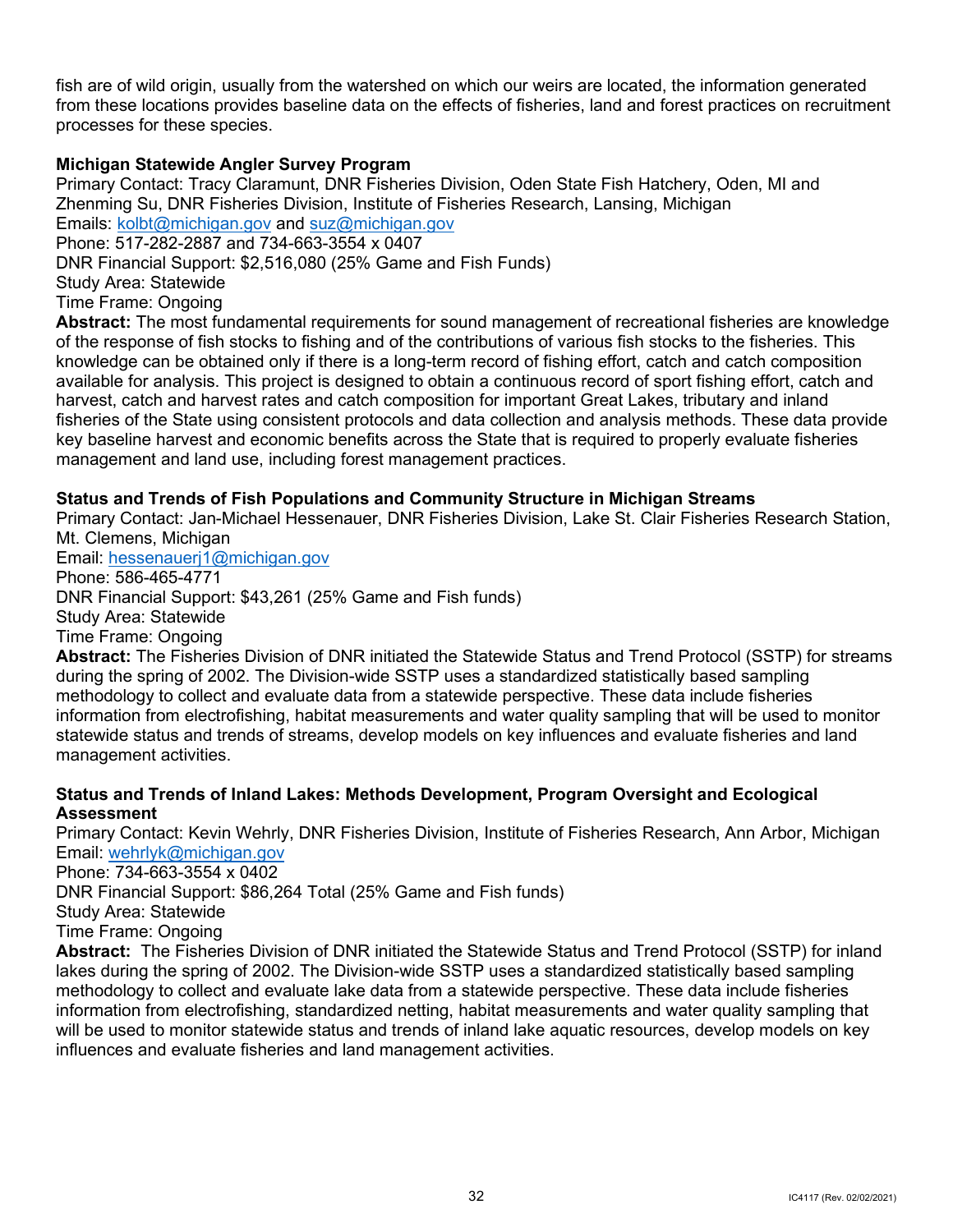fish are of wild origin, usually from the watershed on which our weirs are located, the information generated from these locations provides baseline data on the effects of fisheries, land and forest practices on recruitment processes for these species.

## **Michigan Statewide Angler Survey Program**

 Primary Contact: Tracy Claramunt, DNR Fisheries Division, Oden State Fish Hatchery, Oden, MI and Emails: <u>kolbt@michigan.gov</u> and <u>suz@michigan.gov</u> Zhenming Su, DNR Fisheries Division, Institute of Fisheries Research, Lansing, Michigan

 Phone: 517-282-2887 and 734-663-3554 x 0407 DNR Financial Support: \$2,516,080 (25% Game and Fish Funds) Study Area: Statewide Time Frame: Ongoing

 of the response of fish stocks to fishing and of the contributions of various fish stocks to the fisheries. This knowledge can be obtained only if there is a long-term record of fishing effort, catch and catch composition available for analysis. This project is designed to obtain a continuous record of sport fishing effort, catch and harvest, catch and harvest rates and catch composition for important Great Lakes, tributary and inland fisheries of the State using consistent protocols and data collection and analysis methods. These data provide key baseline harvest and economic benefits across the State that is required to properly evaluate fisheries management and land use, including forest management practices. **Abstract:** The most fundamental requirements for sound management of recreational fisheries are knowledge

## **Status and Trends of Fish Populations and Community Structure in Michigan Streams**

Primary Contact: Jan-Michael Hessenauer, DNR Fisheries Division, Lake St. Clair Fisheries Research Station, Mt. Clemens, Michigan

 Email: [hessenauerj1@michigan.gov](mailto:hessenauerj1@michigan.gov)  Phone: 586-465-4771 DNR Financial Support: \$43,261 (25% Game and Fish funds) Study Area: Statewide Time Frame: Ongoing

**Abstract:** The Fisheries Division of DNR initiated the Statewide Status and Trend Protocol (SSTP) for streams during the spring of 2002. The Division-wide SSTP uses a standardized statistically based sampling methodology to collect and evaluate data from a statewide perspective. These data include fisheries information from electrofishing, habitat measurements and water quality sampling that will be used to monitor statewide status and trends of streams, develop models on key influences and evaluate fisheries and land management activities.

## **Status and Trends of Inland Lakes: Methods Development, Program Oversight and Ecological Assessment**

Primary Contact: Kevin Wehrly, DNR Fisheries Division, Institute of Fisheries Research, Ann Arbor, Michigan Email: [wehrlyk@michigan.gov](mailto:wehrlyk@michigan.gov) 

Phone: 734-663-3554 x 0402

DNR Financial Support: \$86,264 Total (25% Game and Fish funds)

Study Area: Statewide

Time Frame: Ongoing

 **Abstract:** The Fisheries Division of DNR initiated the Statewide Status and Trend Protocol (SSTP) for inland lakes during the spring of 2002. The Division-wide SSTP uses a standardized statistically based sampling methodology to collect and evaluate lake data from a statewide perspective. These data include fisheries information from electrofishing, standardized netting, habitat measurements and water quality sampling that will be used to monitor statewide status and trends of inland lake aquatic resources, develop models on key influences and evaluate fisheries and land management activities.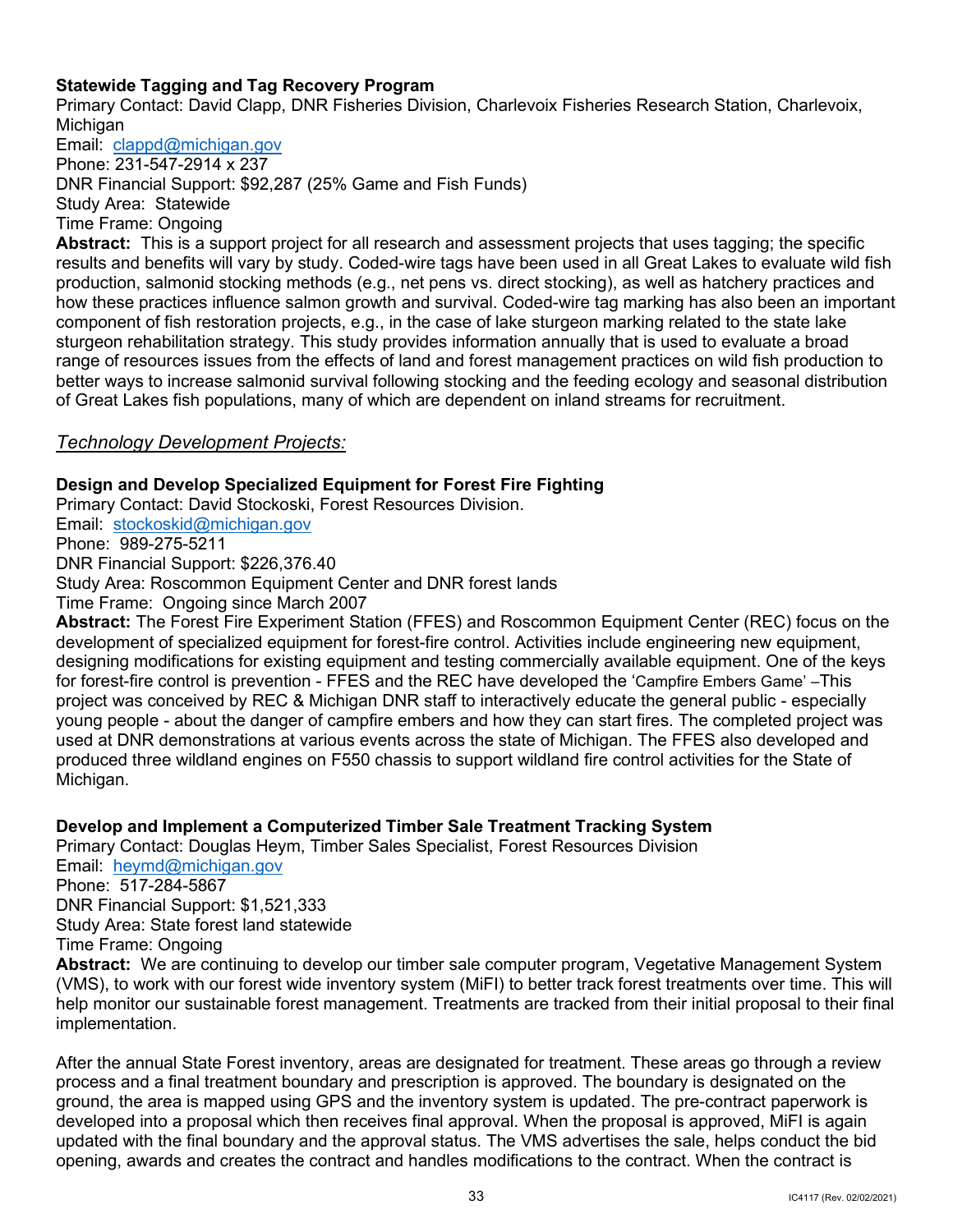## <span id="page-35-0"></span>**Statewide Tagging and Tag Recovery Program**

Primary Contact: David Clapp, DNR Fisheries Division, Charlevoix Fisheries Research Station, Charlevoix, **Michigan** 

Email: <u>clappd@michigan.gov</u>

Phone: 231-547-2914 x 237 DNR Financial Support: \$92,287 (25% Game and Fish Funds) Study Area: Statewide

Time Frame: Ongoing

 **Abstract:** This is a support project for all research and assessment projects that uses tagging; the specific production, salmonid stocking methods (e.g., net pens vs. direct stocking), as well as hatchery practices and results and benefits will vary by study. Coded-wire tags have been used in all Great Lakes to evaluate wild fish how these practices influence salmon growth and survival. Coded-wire tag marking has also been an important component of fish restoration projects, e.g., in the case of lake sturgeon marking related to the state lake sturgeon rehabilitation strategy. This study provides information annually that is used to evaluate a broad range of resources issues from the effects of land and forest management practices on wild fish production to better ways to increase salmonid survival following stocking and the feeding ecology and seasonal distribution of Great Lakes fish populations, many of which are dependent on inland streams for recruitment.

## *Technology Development Projects:*

## **Design and Develop Specialized Equipment for Forest Fire Fighting**

 Email: [stockoskid@michigan.gov](mailto:stockoskid@michigan.gov)  Phone: 989-275-5211 DNR Financial Support: \$226,376.40 DNR Financial Support: \$226,376.40<br>Study Area: Roscommon Equipment Center and DNR forest lands Time Frame: Ongoing since March 2007 Primary Contact: David Stockoski, Forest Resources Division.

 designing modifications for existing equipment and testing commercially available equipment. One of the keys project was conceived by REC & Michigan DNR staff to interactively educate the general public - especially young people - about the danger of campfire embers and how they can start fires. The completed project was used at DNR demonstrations at various events across the state of Michigan. The FFES also developed and Michigan. **Abstract:** The Forest Fire Experiment Station (FFES) and Roscommon Equipment Center (REC) focus on the development of specialized equipment for forest-fire control. Activities include engineering new equipment, for forest-fire control is prevention - FFES and the REC have developed the 'Campfire Embers Game' –This produced three wildland engines on F550 chassis to support wildland fire control activities for the State of

## **Develop and Implement a Computerized Timber Sale Treatment Tracking System**

 Email: [heymd@michigan.gov](mailto:heymd@michigan.gov)  Primary Contact: Douglas Heym, Timber Sales Specialist, Forest Resources Division

 Phone: 517-284-5867 Study Area: State forest land statewide DNR Financial Support: \$1,521,333 Time Frame: Ongoing

 **Abstract:** We are continuing to develop our timber sale computer program, Vegetative Management System (VMS), to work with our forest wide inventory system (MiFI) to better track forest treatments over time. This will help monitor our sustainable forest management. Treatments are tracked from their initial proposal to their final implementation.

 process and a final treatment boundary and prescription is approved. The boundary is designated on the ground, the area is mapped using GPS and the inventory system is updated. The pre-contract paperwork is updated with the final boundary and the approval status. The VMS advertises the sale, helps conduct the bid opening, awards and creates the contract and handles modifications to the contract. When the contract is After the annual State Forest inventory, areas are designated for treatment. These areas go through a review developed into a proposal which then receives final approval. When the proposal is approved, MiFI is again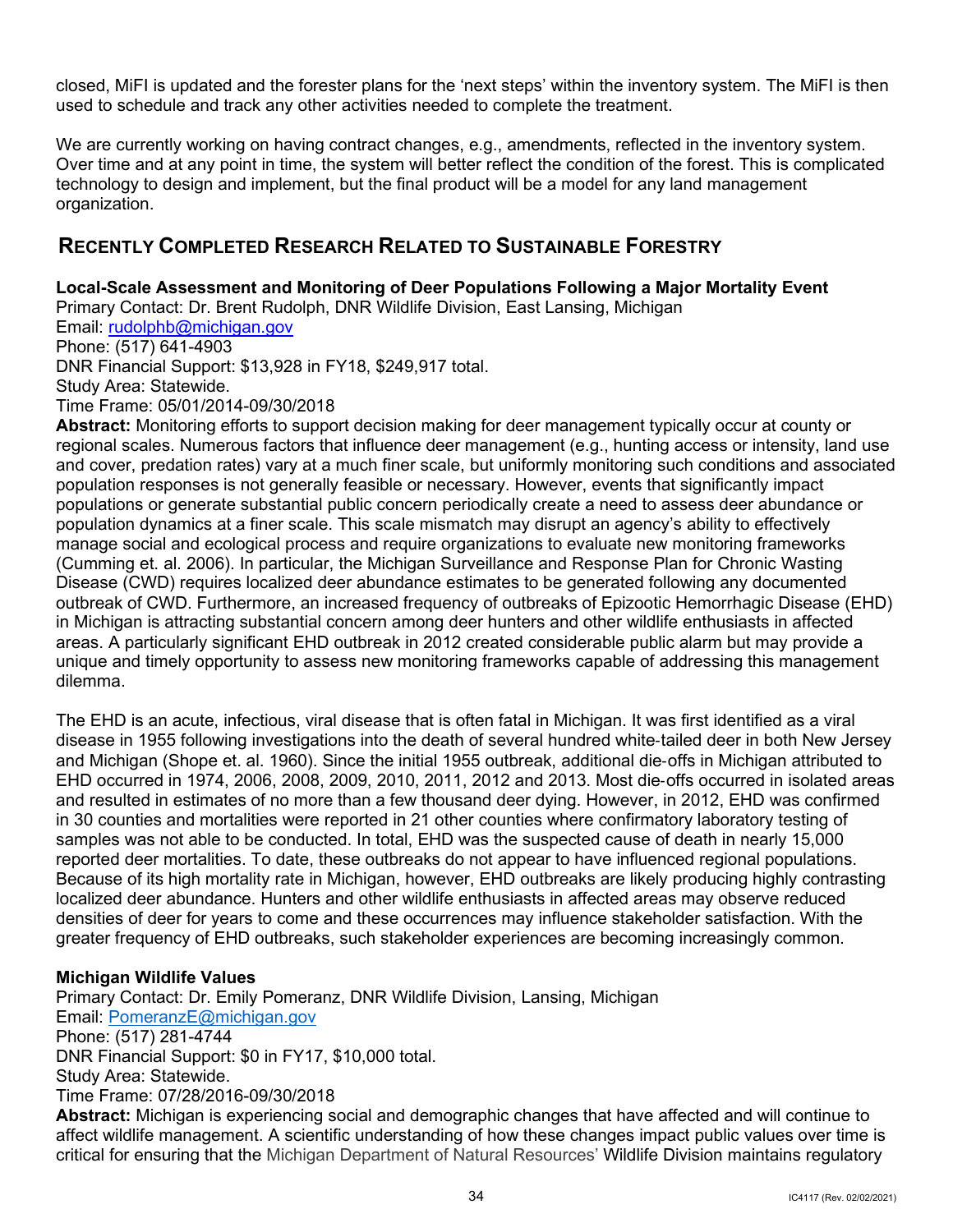<span id="page-36-1"></span> closed, MiFI is updated and the forester plans for the 'next steps' within the inventory system. The MiFI is then used to schedule and track any other activities needed to complete the treatment.

 We are currently working on having contract changes, e.g., amendments, reflected in the inventory system. Over time and at any point in time, the system will better reflect the condition of the forest. This is complicated technology to design and implement, but the final product will be a model for any land management organization.

# <span id="page-36-0"></span>**RECENTLY COMPLETED RESEARCH RELATED TO SUSTAINABLE FORESTRY**

## **Local-Scale Assessment and Monitoring of Deer Populations Following a Major Mortality Event**

Primary Contact: Dr. Brent Rudolph, DNR Wildlife Division, East Lansing, Michigan

Email: [rudolphb@michigan.gov](mailto:rudolphb@michigan.gov) 

Phone: (517) 641-4903

DNR Financial Support: \$13,928 in FY18, \$249,917 total.

Study Area: Statewide.

Time Frame: 05/01/2014-09/30/2018

 regional scales. Numerous factors that influence deer management (e.g., hunting access or intensity, land use **Abstract:** Monitoring efforts to support decision making for deer management typically occur at county or and cover, predation rates) vary at a much finer scale, but uniformly monitoring such conditions and associated population responses is not generally feasible or necessary. However, events that significantly impact populations or generate substantial public concern periodically create a need to assess deer abundance or population dynamics at a finer scale. This scale mismatch may disrupt an agency's ability to effectively manage social and ecological process and require organizations to evaluate new monitoring frameworks (Cumming et. al. 2006). In particular, the Michigan Surveillance and Response Plan for Chronic Wasting Disease (CWD) requires localized deer abundance estimates to be generated following any documented outbreak of CWD. Furthermore, an increased frequency of outbreaks of Epizootic Hemorrhagic Disease (EHD) in Michigan is attracting substantial concern among deer hunters and other wildlife enthusiasts in affected areas. A particularly significant EHD outbreak in 2012 created considerable public alarm but may provide a unique and timely opportunity to assess new monitoring frameworks capable of addressing this management dilemma.

 The EHD is an acute, infectious, viral disease that is often fatal in Michigan. It was first identified as a viral and resulted in estimates of no more than a few thousand deer dying. However, in 2012, EHD was confirmed densities of deer for years to come and these occurrences may influence stakeholder satisfaction. With the greater frequency of EHD outbreaks, such stakeholder experiences are becoming increasingly common. disease in 1955 following investigations into the death of several hundred white-tailed deer in both New Jersey and Michigan (Shope et. al. 1960). Since the initial 1955 outbreak, additional die-offs in Michigan attributed to EHD occurred in 1974, 2006, 2008, 2009, 2010, 2011, 2012 and 2013. Most die-offs occurred in isolated areas in 30 counties and mortalities were reported in 21 other counties where confirmatory laboratory testing of samples was not able to be conducted. In total, EHD was the suspected cause of death in nearly 15,000 reported deer mortalities. To date, these outbreaks do not appear to have influenced regional populations. Because of its high mortality rate in Michigan, however, EHD outbreaks are likely producing highly contrasting localized deer abundance. Hunters and other wildlife enthusiasts in affected areas may observe reduced

## **Michigan Wildlife Values**

Email: <u>PomeranzE@michigan.gov</u><br>Phone: (517) 281-4744 **Abstract:** Michigan is experiencing social and demographic changes that have affected and will continue to affect wildlife management. A scientific understanding of how these changes impact public values over time is Primary Contact: Dr. Emily Pomeranz, DNR Wildlife Division, Lansing, Michigan DNR Financial Support: \$0 in FY17, \$10,000 total. Study Area: Statewide. Time Frame: 07/28/2016-09/30/2018

critical for ensuring that the Michigan Department of Natural Resources' Wildlife Division maintains regulatory